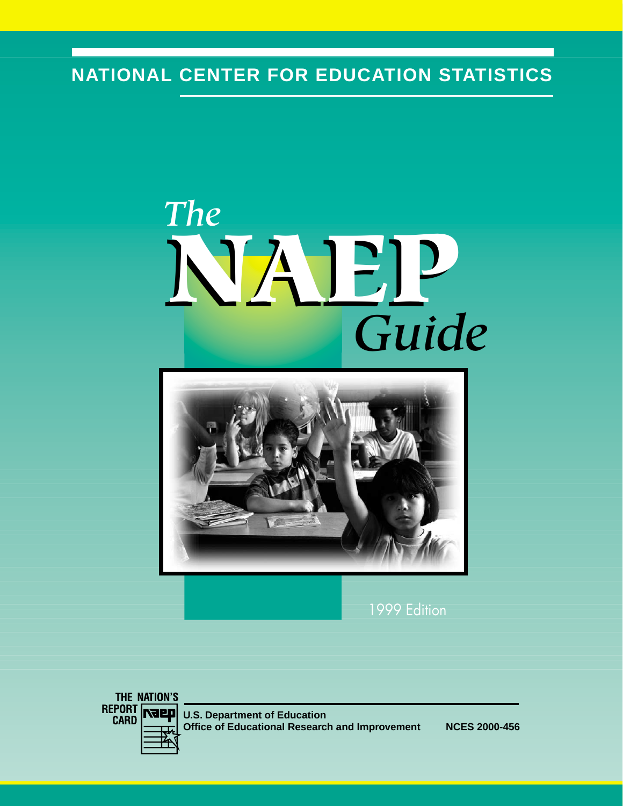# **NATIONAL CENTER FOR EDUCATION STATISTICS**

# *The Guide* **NAEP**



1999 Edition

THE NATION'S REPORT<br>CARD **Naep** 

**U.S. Department of Education Office of Educational Research and Improvement NCES 2000-456**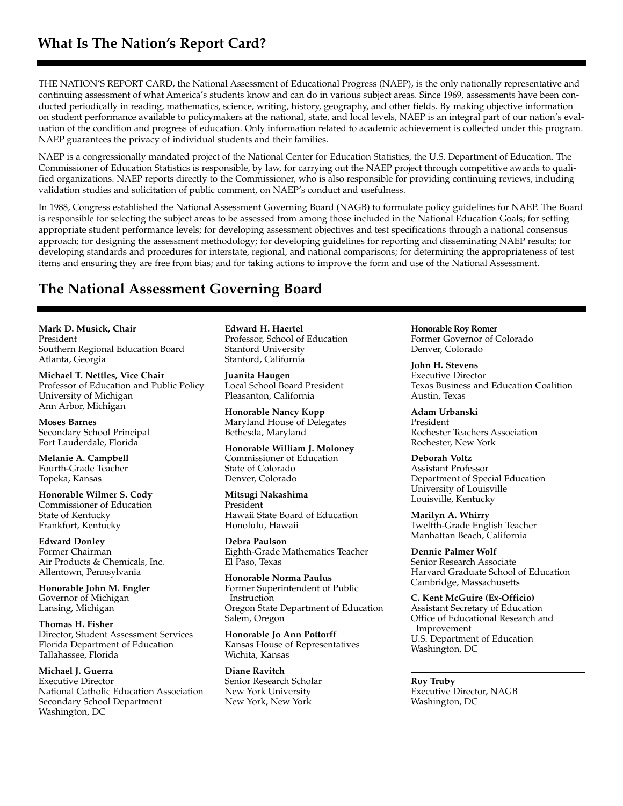THE NATION'S REPORT CARD, the National Assessment of Educational Progress (NAEP), is the only nationally representative and continuing assessment of what America's students know and can do in various subject areas. Since 1969, assessments have been conducted periodically in reading, mathematics, science, writing, history, geography, and other fields. By making objective information on student performance available to policymakers at the national, state, and local levels, NAEP is an integral part of our nation's evaluation of the condition and progress of education. Only information related to academic achievement is collected under this program. NAEP guarantees the privacy of individual students and their families.

NAEP is a congressionally mandated project of the National Center for Education Statistics, the U.S. Department of Education. The Commissioner of Education Statistics is responsible, by law, for carrying out the NAEP project through competitive awards to qualified organizations. NAEP reports directly to the Commissioner, who is also responsible for providing continuing reviews, including validation studies and solicitation of public comment, on NAEP's conduct and usefulness.

In 1988, Congress established the National Assessment Governing Board (NAGB) to formulate policy guidelines for NAEP. The Board is responsible for selecting the subject areas to be assessed from among those included in the National Education Goals; for setting appropriate student performance levels; for developing assessment objectives and test specifications through a national consensus approach; for designing the assessment methodology; for developing guidelines for reporting and disseminating NAEP results; for developing standards and procedures for interstate, regional, and national comparisons; for determining the appropriateness of test items and ensuring they are free from bias; and for taking actions to improve the form and use of the National Assessment.

#### **The National Assessment Governing Board**

**Mark D. Musick, Chair** President Southern Regional Education Board Atlanta, Georgia

**Michael T. Nettles, Vice Chair** Professor of Education and Public Policy University of Michigan Ann Arbor, Michigan

**Moses Barnes** Secondary School Principal Fort Lauderdale, Florida

**Melanie A. Campbell** Fourth-Grade Teacher Topeka, Kansas

**Honorable Wilmer S. Cody** Commissioner of Education State of Kentucky Frankfort, Kentucky

**Edward Donley** Former Chairman Air Products & Chemicals, Inc. Allentown, Pennsylvania

**Honorable John M. Engler** Governor of Michigan Lansing, Michigan

**Thomas H. Fisher** Director, Student Assessment Services Florida Department of Education Tallahassee, Florida

**Michael J. Guerra** Executive Director National Catholic Education Association Secondary School Department Washington, DC

**Edward H. Haertel** Professor, School of Education Stanford University Stanford, California

**Juanita Haugen** Local School Board President Pleasanton, California

**Honorable Nancy Kopp** Maryland House of Delegates Bethesda, Maryland

**Honorable William J. Moloney** Commissioner of Education State of Colorado Denver, Colorado

**Mitsugi Nakashima** President Hawaii State Board of Education Honolulu, Hawaii

**Debra Paulson** Eighth-Grade Mathematics Teacher El Paso, Texas

**Honorable Norma Paulus** Former Superintendent of Public Instruction Oregon State Department of Education Salem, Oregon

**Honorable Jo Ann Pottorff** Kansas House of Representatives Wichita, Kansas

**Diane Ravitch** Senior Research Scholar New York University New York, New York

**Honorable Roy Romer** Former Governor of Colorado Denver, Colorado

**John H. Stevens** Executive Director Texas Business and Education Coalition Austin, Texas

**Adam Urbanski** President Rochester Teachers Association Rochester, New York

**Deborah Voltz** Assistant Professor Department of Special Education University of Louisville Louisville, Kentucky

**Marilyn A. Whirry** Twelfth-Grade English Teacher Manhattan Beach, California

**Dennie Palmer Wolf** Senior Research Associate Harvard Graduate School of Education Cambridge, Massachusetts

**C. Kent McGuire (Ex-Officio)** Assistant Secretary of Education Office of Educational Research and Improvement U.S. Department of Education Washington, DC

**Roy Truby** Executive Director, NAGB Washington, DC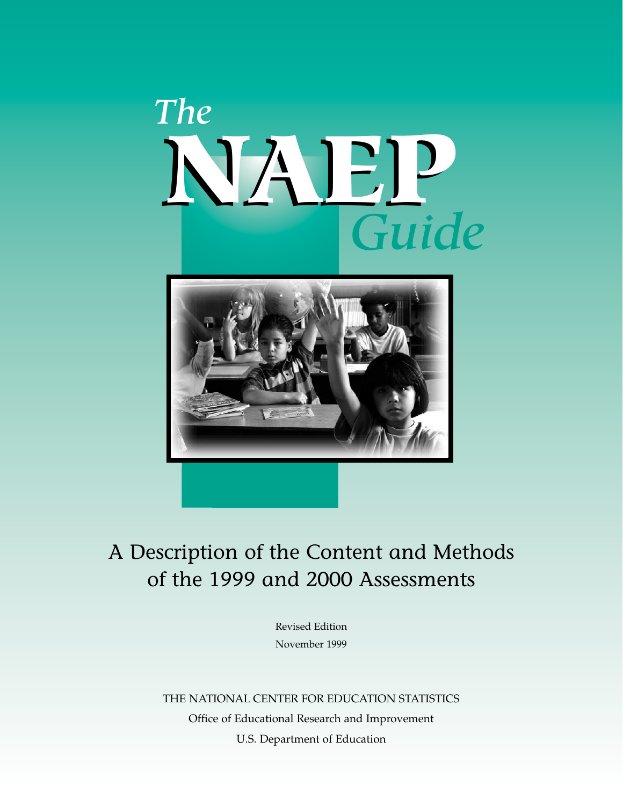# *The Guide* **NAEP**



# A Description of the Content and Methods of the 1999 and 2000 Assessments

Revised Edition November 1999

THE NATIONAL CENTER FOR EDUCATION STATISTICS Office of Educational Research and Improvement U.S. Department of Education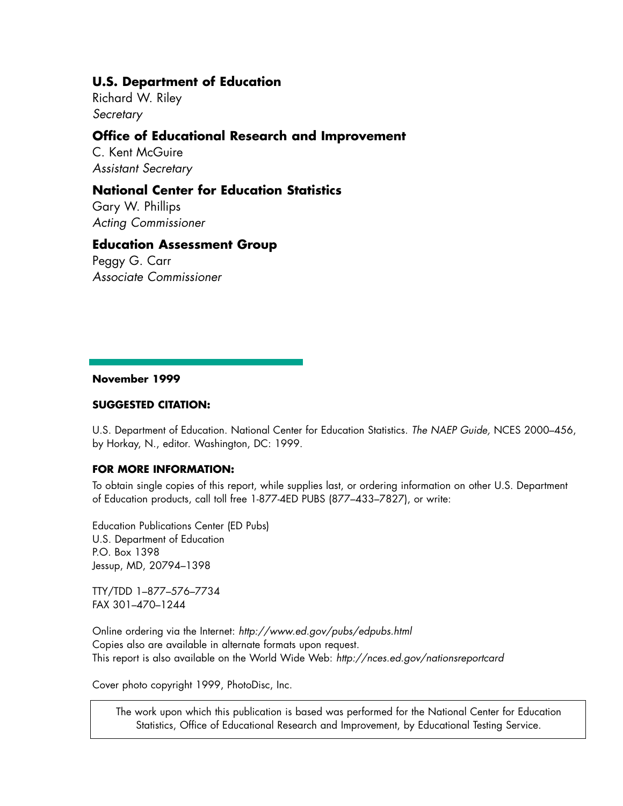#### **U.S. Department of Education**

Richard W. Riley *Secretary*

#### **Office of Educational Research and Improvement**

C. Kent McGuire *Assistant Secretary*

#### **National Center for Education Statistics**

Gary W. Phillips *Acting Commissioner*

#### **Education Assessment Group**

Peggy G. Carr *Associate Commissioner*

#### **November 1999**

#### **SUGGESTED CITATION:**

U.S. Department of Education. National Center for Education Statistics. *The NAEP Guide,* NCES 2000–456, by Horkay, N., editor. Washington, DC: 1999.

#### **FOR MORE INFORMATION:**

To obtain single copies of this report, while supplies last, or ordering information on other U.S. Department of Education products, call toll free 1-877-4ED PUBS (877–433–7827), or write:

Education Publications Center (ED Pubs) U.S. Department of Education P.O. Box 1398 Jessup, MD, 20794–1398

TTY/TDD 1–877–576–7734 FAX 301–470–1244

Online ordering via the Internet: *http://www.ed.gov/pubs/edpubs.html* Copies also are available in alternate formats upon request. This report is also available on the World Wide Web: *http://nces.ed.gov/nationsreportcard*

Cover photo copyright 1999, PhotoDisc, Inc.

The work upon which this publication is based was performed for the National Center for Education Statistics, Office of Educational Research and Improvement, by Educational Testing Service.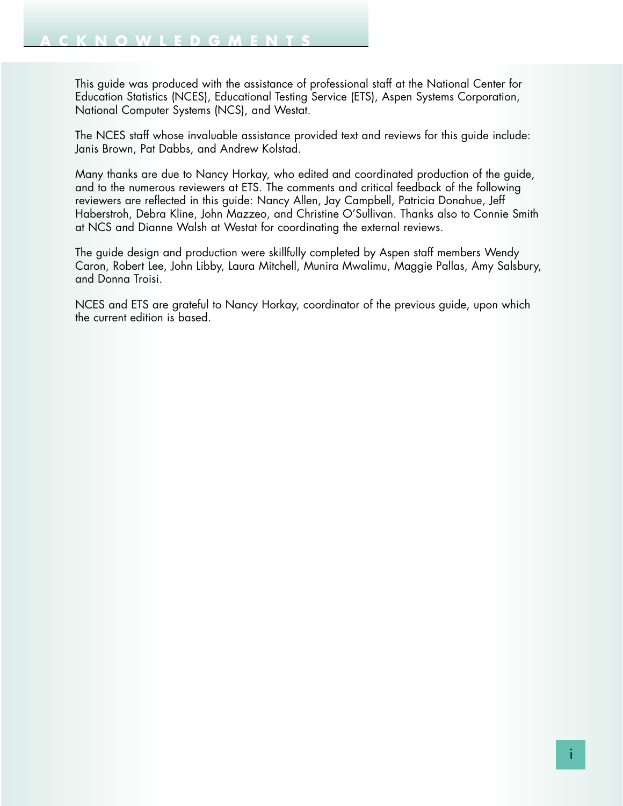This guide was produced with the assistance of professional staff at the National Center for Education Statistics (NCES), Educational Testing Service (ETS), Aspen Systems Corporation, National Computer Systems (NCS), and Westat.

The NCES staff whose invaluable assistance provided text and reviews for this guide include: Janis Brown, Pat Dabbs, and Andrew Kolstad.

Many thanks are due to Nancy Horkay, who edited and coordinated production of the guide, and to the numerous reviewers at ETS. The comments and critical feedback of the following reviewers are reflected in this guide: Nancy Allen, Jay Campbell, Patricia Donahue, Jeff Haberstroh, Debra Kline, John Mazzeo, and Christine O'Sullivan. Thanks also to Connie Smith at NCS and Dianne Walsh at Westat for coordinating the external reviews.

The guide design and production were skillfully completed by Aspen staff members Wendy Caron, Robert Lee, John Libby, Laura Mitchell, Munira Mwalimu, Maggie Pallas, Amy Salsbury, and Donna Troisi.

NCES and ETS are grateful to Nancy Horkay, coordinator of the previous guide, upon which the current edition is based.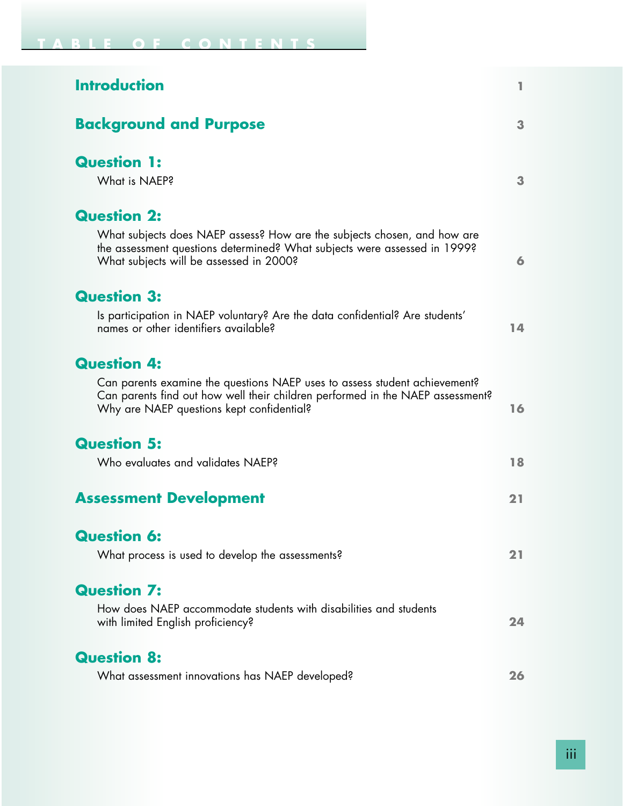| <b>Introduction</b>                                                                                                                                                                                       | L  |
|-----------------------------------------------------------------------------------------------------------------------------------------------------------------------------------------------------------|----|
| <b>Background and Purpose</b>                                                                                                                                                                             | 3  |
| <b>Question 1:</b>                                                                                                                                                                                        |    |
| What is NAEP?                                                                                                                                                                                             | 3  |
| <b>Question 2:</b>                                                                                                                                                                                        |    |
| What subjects does NAEP assess? How are the subjects chosen, and how are<br>the assessment questions determined? What subjects were assessed in 1999?<br>What subjects will be assessed in 2000?          | 6  |
| <b>Question 3:</b>                                                                                                                                                                                        |    |
| Is participation in NAEP voluntary? Are the data confidential? Are students'<br>names or other identifiers available?                                                                                     | 14 |
| <b>Question 4:</b>                                                                                                                                                                                        |    |
| Can parents examine the questions NAEP uses to assess student achievement?<br>Can parents find out how well their children performed in the NAEP assessment?<br>Why are NAEP questions kept confidential? | 16 |
| <b>Question 5:</b>                                                                                                                                                                                        |    |
| Who evaluates and validates NAEP?                                                                                                                                                                         | 18 |
| <b>Assessment Development</b>                                                                                                                                                                             | 21 |
| <b>Question 6:</b>                                                                                                                                                                                        |    |
| What process is used to develop the assessments?                                                                                                                                                          | 21 |
| <b>Question 7:</b>                                                                                                                                                                                        |    |
| How does NAEP accommodate students with disabilities and students<br>with limited English proficiency?                                                                                                    | 24 |
| <b>Question 8:</b>                                                                                                                                                                                        |    |
| What assessment innovations has NAEP developed?                                                                                                                                                           | 26 |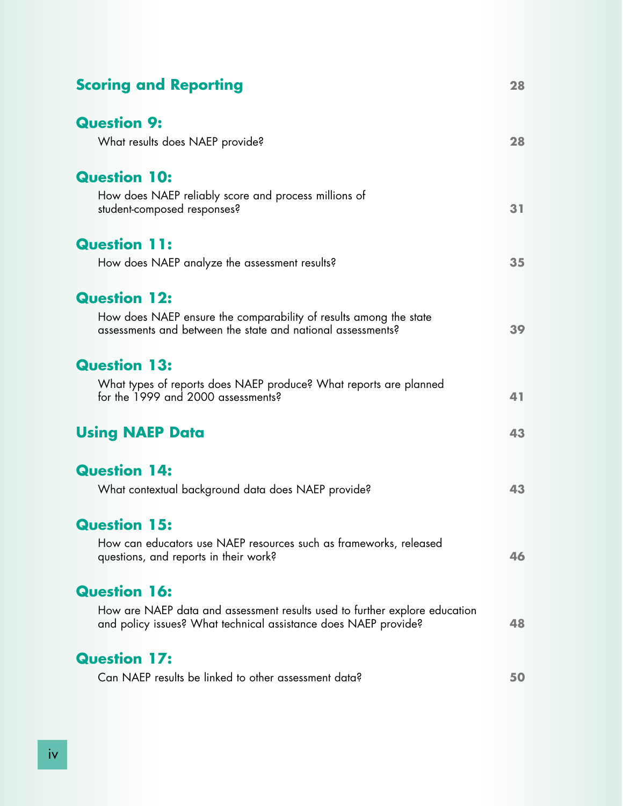| <b>Scoring and Reporting</b>                                                                                                                  | 28 |
|-----------------------------------------------------------------------------------------------------------------------------------------------|----|
| <b>Question 9:</b>                                                                                                                            |    |
| What results does NAEP provide?                                                                                                               | 28 |
| <b>Question 10:</b>                                                                                                                           |    |
| How does NAEP reliably score and process millions of<br>student-composed responses?                                                           | 31 |
| <b>Question 11:</b>                                                                                                                           |    |
| How does NAEP analyze the assessment results?                                                                                                 | 35 |
| <b>Question 12:</b>                                                                                                                           |    |
| How does NAEP ensure the comparability of results among the state<br>assessments and between the state and national assessments?              | 39 |
| <b>Question 13:</b>                                                                                                                           |    |
| What types of reports does NAEP produce? What reports are planned<br>for the 1999 and 2000 assessments?                                       | 41 |
| <b>Using NAEP Data</b>                                                                                                                        | 43 |
| <b>Question 14:</b>                                                                                                                           |    |
| What contextual background data does NAEP provide?                                                                                            | 43 |
| <b>Question 15:</b>                                                                                                                           |    |
| How can educators use NAEP resources such as frameworks, released<br>questions, and reports in their work?                                    | 46 |
| <b>Question 16:</b>                                                                                                                           |    |
| How are NAEP data and assessment results used to further explore education<br>and policy issues? What technical assistance does NAEP provide? | 48 |
| <b>Question 17:</b>                                                                                                                           |    |
| Can NAEP results be linked to other assessment data?                                                                                          | 50 |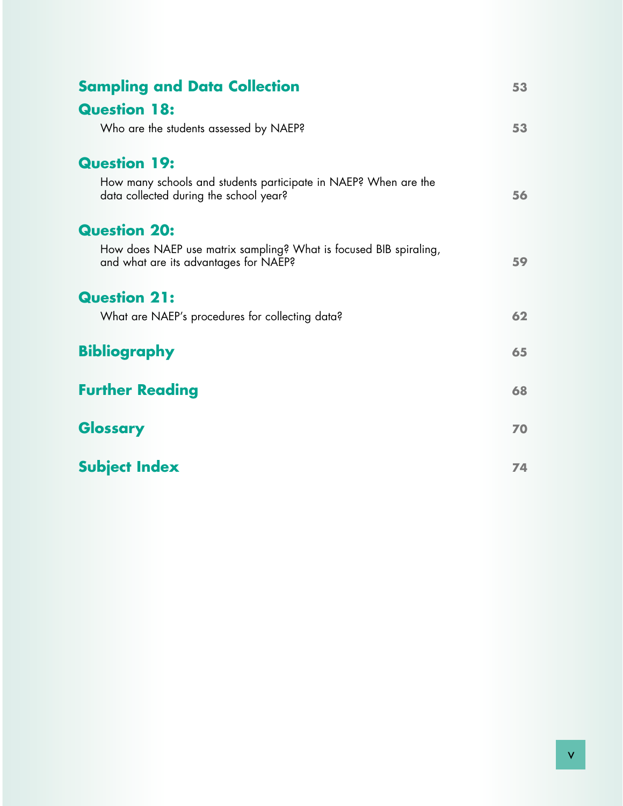| <b>Sampling and Data Collection</b>                                                                        | 53 |
|------------------------------------------------------------------------------------------------------------|----|
| <b>Question 18:</b>                                                                                        |    |
| Who are the students assessed by NAEP?                                                                     | 53 |
| <b>Question 19:</b>                                                                                        |    |
| How many schools and students participate in NAEP? When are the<br>data collected during the school year?  | 56 |
| <b>Question 20:</b>                                                                                        |    |
| How does NAEP use matrix sampling? What is focused BIB spiraling,<br>and what are its advantages for NAEP? | 59 |
| <b>Question 21:</b>                                                                                        |    |
| What are NAEP's procedures for collecting data?                                                            | 62 |
| <b>Bibliography</b>                                                                                        | 65 |
| <b>Further Reading</b>                                                                                     | 68 |
| Glossary                                                                                                   | 70 |
| <b>Subject Index</b>                                                                                       | 74 |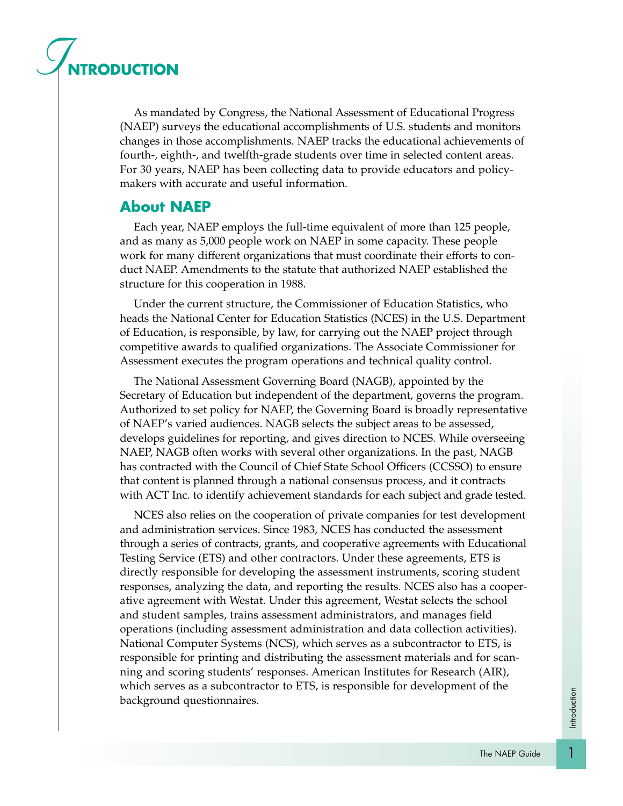# *I***NTRODUCTION**

As mandated by Congress, the National Assessment of Educational Progress (NAEP) surveys the educational accomplishments of U.S. students and monitors changes in those accomplishments. NAEP tracks the educational achievements of fourth-, eighth-, and twelfth-grade students over time in selected content areas. For 30 years, NAEP has been collecting data to provide educators and policymakers with accurate and useful information.

#### **About NAEP**

Each year, NAEP employs the full-time equivalent of more than 125 people, and as many as 5,000 people work on NAEP in some capacity. These people work for many different organizations that must coordinate their efforts to conduct NAEP. Amendments to the statute that authorized NAEP established the structure for this cooperation in 1988.

Under the current structure, the Commissioner of Education Statistics, who heads the National Center for Education Statistics (NCES) in the U.S. Department of Education, is responsible, by law, for carrying out the NAEP project through competitive awards to qualified organizations. The Associate Commissioner for Assessment executes the program operations and technical quality control.

The National Assessment Governing Board (NAGB), appointed by the Secretary of Education but independent of the department, governs the program. Authorized to set policy for NAEP, the Governing Board is broadly representative of NAEP's varied audiences. NAGB selects the subject areas to be assessed, develops guidelines for reporting, and gives direction to NCES. While overseeing NAEP, NAGB often works with several other organizations. In the past, NAGB has contracted with the Council of Chief State School Officers (CCSSO) to ensure that content is planned through a national consensus process, and it contracts with ACT Inc. to identify achievement standards for each subject and grade tested.

NCES also relies on the cooperation of private companies for test development and administration services. Since 1983, NCES has conducted the assessment through a series of contracts, grants, and cooperative agreements with Educational Testing Service (ETS) and other contractors. Under these agreements, ETS is directly responsible for developing the assessment instruments, scoring student responses, analyzing the data, and reporting the results. NCES also has a cooperative agreement with Westat. Under this agreement, Westat selects the school and student samples, trains assessment administrators, and manages field operations (including assessment administration and data collection activities). National Computer Systems (NCS), which serves as a subcontractor to ETS, is responsible for printing and distributing the assessment materials and for scanning and scoring students' responses. American Institutes for Research (AIR), which serves as a subcontractor to ETS, is responsible for development of the background questionnaires.

1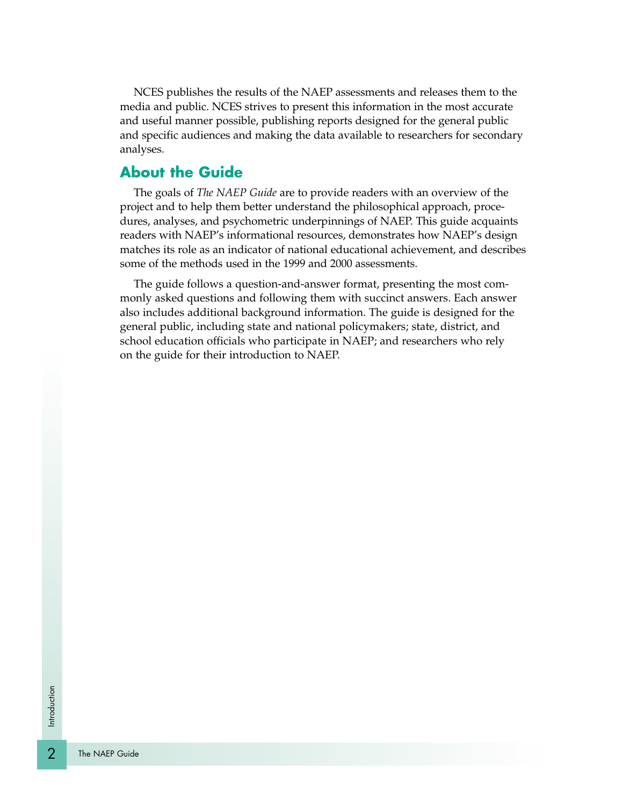NCES publishes the results of the NAEP assessments and releases them to the media and public. NCES strives to present this information in the most accurate and useful manner possible, publishing reports designed for the general public and specific audiences and making the data available to researchers for secondary analyses.

#### **About the Guide**

The goals of *The NAEP Guide* are to provide readers with an overview of the project and to help them better understand the philosophical approach, procedures, analyses, and psychometric underpinnings of NAEP. This guide acquaints readers with NAEP's informational resources, demonstrates how NAEP's design matches its role as an indicator of national educational achievement, and describes some of the methods used in the 1999 and 2000 assessments.

The guide follows a question-and-answer format, presenting the most commonly asked questions and following them with succinct answers. Each answer also includes additional background information. The guide is designed for the general public, including state and national policymakers; state, district, and school education officials who participate in NAEP; and researchers who rely on the guide for their introduction to NAEP.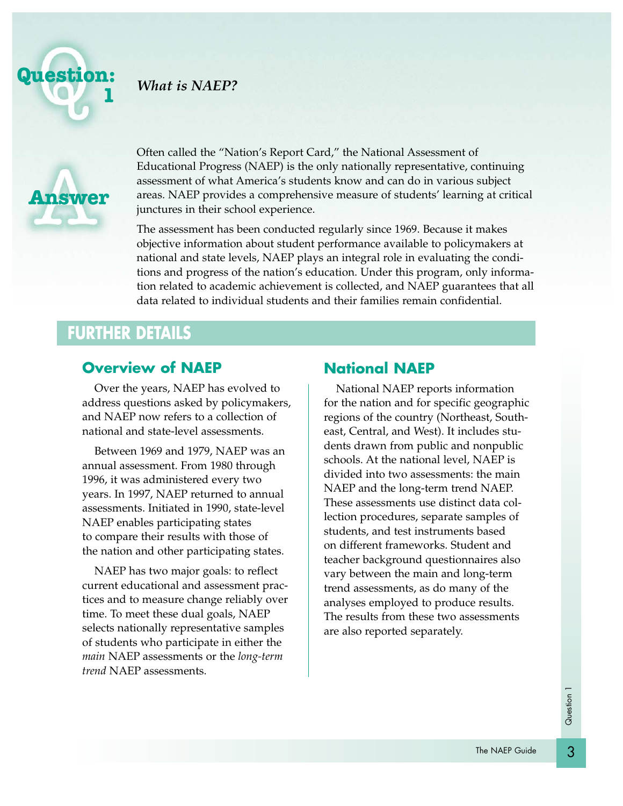

#### *What is NAEP?*



Often called the "Nation's Report Card," the National Assessment of Educational Progress (NAEP) is the only nationally representative, continuing assessment of what America's students know and can do in various subject areas. NAEP provides a comprehensive measure of students' learning at critical junctures in their school experience.

The assessment has been conducted regularly since 1969. Because it makes objective information about student performance available to policymakers at national and state levels, NAEP plays an integral role in evaluating the conditions and progress of the nation's education. Under this program, only information related to academic achievement is collected, and NAEP guarantees that all data related to individual students and their families remain confidential.

# **FURTHER DETAILS**

#### **Overview of NAEP**

Over the years, NAEP has evolved to address questions asked by policymakers, and NAEP now refers to a collection of national and state-level assessments.

Between 1969 and 1979, NAEP was an annual assessment. From 1980 through 1996, it was administered every two years. In 1997, NAEP returned to annual assessments. Initiated in 1990, state-level NAEP enables participating states to compare their results with those of the nation and other participating states.

NAEP has two major goals: to reflect current educational and assessment practices and to measure change reliably over time. To meet these dual goals, NAEP selects nationally representative samples of students who participate in either the *main* NAEP assessments or the *long-term trend* NAEP assessments.

#### **National NAEP**

National NAEP reports information for the nation and for specific geographic regions of the country (Northeast, Southeast, Central, and West). It includes students drawn from public and nonpublic schools. At the national level, NAEP is divided into two assessments: the main NAEP and the long-term trend NAEP. These assessments use distinct data collection procedures, separate samples of students, and test instruments based on different frameworks. Student and teacher background questionnaires also vary between the main and long-term trend assessments, as do many of the analyses employed to produce results. The results from these two assessments are also reported separately.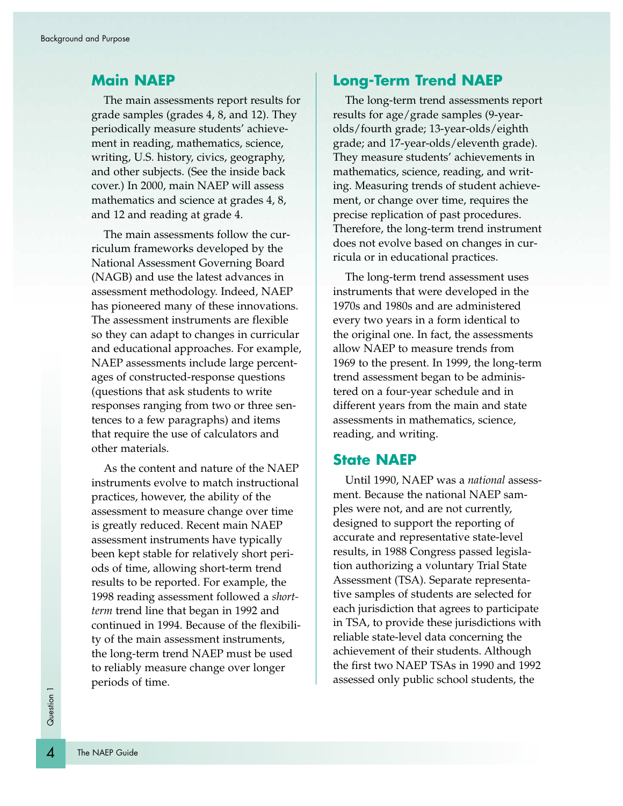#### **Main NAEP**

The main assessments report results for grade samples (grades 4, 8, and 12). They periodically measure students' achievement in reading, mathematics, science, writing, U.S. history, civics, geography, and other subjects. (See the inside back cover.) In 2000, main NAEP will assess mathematics and science at grades 4, 8, and 12 and reading at grade 4.

The main assessments follow the curriculum frameworks developed by the National Assessment Governing Board (NAGB) and use the latest advances in assessment methodology. Indeed, NAEP has pioneered many of these innovations. The assessment instruments are flexible so they can adapt to changes in curricular and educational approaches. For example, NAEP assessments include large percentages of constructed-response questions (questions that ask students to write responses ranging from two or three sentences to a few paragraphs) and items that require the use of calculators and other materials.

As the content and nature of the NAEP instruments evolve to match instructional practices, however, the ability of the assessment to measure change over time is greatly reduced. Recent main NAEP assessment instruments have typically been kept stable for relatively short periods of time, allowing short-term trend results to be reported. For example, the 1998 reading assessment followed a *shortterm* trend line that began in 1992 and continued in 1994. Because of the flexibility of the main assessment instruments, the long-term trend NAEP must be used to reliably measure change over longer periods of time.

#### **Long-Term Trend NAEP**

The long-term trend assessments report results for age/grade samples (9-yearolds/fourth grade; 13-year-olds/eighth grade; and 17-year-olds/eleventh grade). They measure students' achievements in mathematics, science, reading, and writing. Measuring trends of student achievement, or change over time, requires the precise replication of past procedures. Therefore, the long-term trend instrument does not evolve based on changes in curricula or in educational practices.

The long-term trend assessment uses instruments that were developed in the 1970s and 1980s and are administered every two years in a form identical to the original one. In fact, the assessments allow NAEP to measure trends from 1969 to the present. In 1999, the long-term trend assessment began to be administered on a four-year schedule and in different years from the main and state assessments in mathematics, science, reading, and writing.

#### **State NAEP**

Until 1990, NAEP was a *national* assessment. Because the national NAEP samples were not, and are not currently, designed to support the reporting of accurate and representative state-level results, in 1988 Congress passed legislation authorizing a voluntary Trial State Assessment (TSA). Separate representative samples of students are selected for each jurisdiction that agrees to participate in TSA, to provide these jurisdictions with reliable state-level data concerning the achievement of their students. Although the first two NAEP TSAs in 1990 and 1992 assessed only public school students, the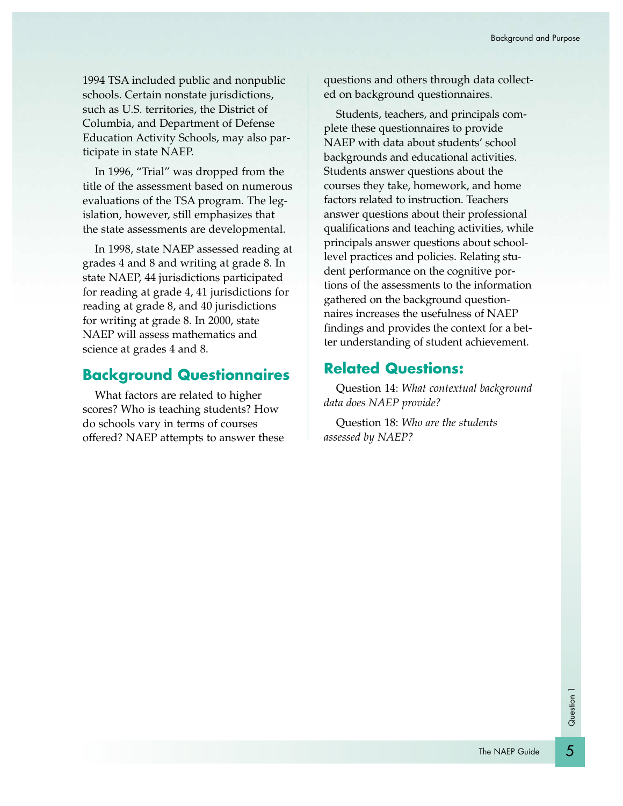1994 TSA included public and nonpublic schools. Certain nonstate jurisdictions, such as U.S. territories, the District of Columbia, and Department of Defense Education Activity Schools, may also participate in state NAEP.

In 1996, "Trial" was dropped from the title of the assessment based on numerous evaluations of the TSA program. The legislation, however, still emphasizes that the state assessments are developmental.

In 1998, state NAEP assessed reading at grades 4 and 8 and writing at grade 8. In state NAEP, 44 jurisdictions participated for reading at grade 4, 41 jurisdictions for reading at grade 8, and 40 jurisdictions for writing at grade 8. In 2000, state NAEP will assess mathematics and science at grades 4 and 8.

#### **Background Questionnaires**

What factors are related to higher scores? Who is teaching students? How do schools vary in terms of courses offered? NAEP attempts to answer these questions and others through data collected on background questionnaires.

Students, teachers, and principals complete these questionnaires to provide NAEP with data about students' school backgrounds and educational activities. Students answer questions about the courses they take, homework, and home factors related to instruction. Teachers answer questions about their professional qualifications and teaching activities, while principals answer questions about schoollevel practices and policies. Relating student performance on the cognitive portions of the assessments to the information gathered on the background questionnaires increases the usefulness of NAEP findings and provides the context for a better understanding of student achievement.

#### **Related Questions:**

Question 14: *What contextual background data does NAEP provide?*

Question 18: *Who are the students assessed by NAEP?*

5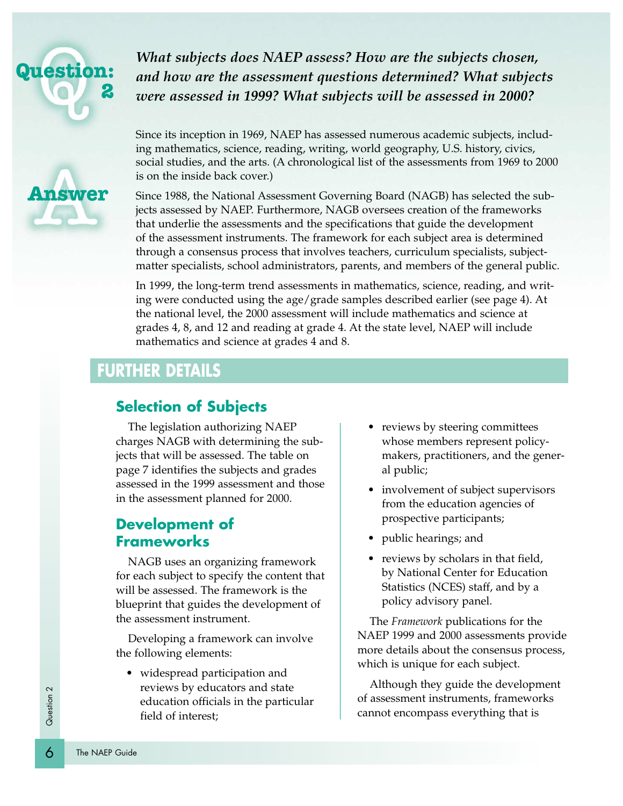

**Answer**

*What subjects does NAEP assess? How are the subjects chosen, and how are the assessment questions determined? What subjects were assessed in 1999? What subjects will be assessed in 2000?*

Since its inception in 1969, NAEP has assessed numerous academic subjects, including mathematics, science, reading, writing, world geography, U.S. history, civics, social studies, and the arts. (A chronological list of the assessments from 1969 to 2000 is on the inside back cover.)

Since 1988, the National Assessment Governing Board (NAGB) has selected the subjects assessed by NAEP. Furthermore, NAGB oversees creation of the frameworks that underlie the assessments and the specifications that guide the development of the assessment instruments. The framework for each subject area is determined through a consensus process that involves teachers, curriculum specialists, subjectmatter specialists, school administrators, parents, and members of the general public.

In 1999, the long-term trend assessments in mathematics, science, reading, and writing were conducted using the age/grade samples described earlier (see page 4). At the national level, the 2000 assessment will include mathematics and science at grades 4, 8, and 12 and reading at grade 4. At the state level, NAEP will include mathematics and science at grades 4 and 8.

### **FURTHER DETAILS**

#### **Selection of Subjects**

The legislation authorizing NAEP charges NAGB with determining the subjects that will be assessed. The table on page 7 identifies the subjects and grades assessed in the 1999 assessment and those in the assessment planned for 2000.

#### **Development of Frameworks**

NAGB uses an organizing framework for each subject to specify the content that will be assessed. The framework is the blueprint that guides the development of the assessment instrument.

Developing a framework can involve the following elements:

• widespread participation and reviews by educators and state education officials in the particular field of interest;

- reviews by steering committees whose members represent policymakers, practitioners, and the general public;
- involvement of subject supervisors from the education agencies of prospective participants;
- public hearings; and
- reviews by scholars in that field, by National Center for Education Statistics (NCES) staff, and by a policy advisory panel.

The *Framework* publications for the NAEP 1999 and 2000 assessments provide more details about the consensus process, which is unique for each subject.

Although they guide the development of assessment instruments, frameworks cannot encompass everything that is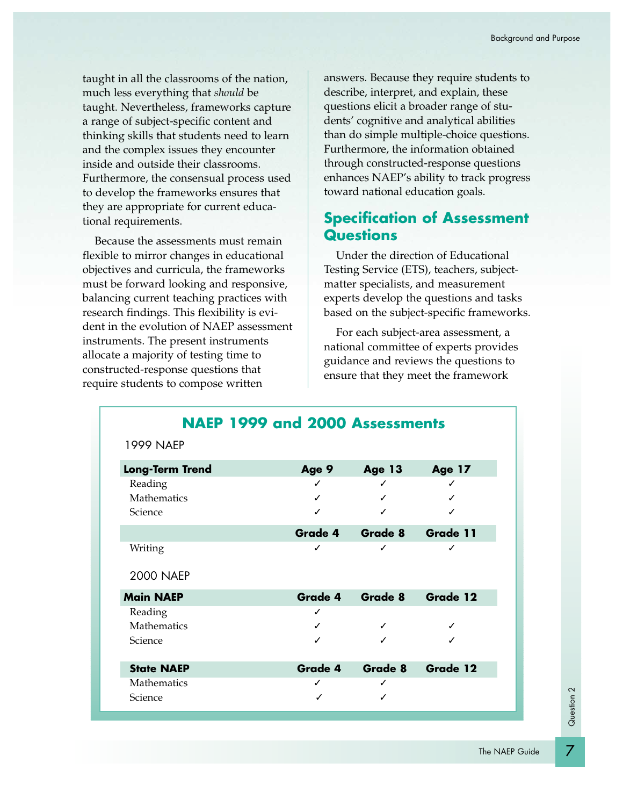taught in all the classrooms of the nation, much less everything that *should* be taught. Nevertheless, frameworks capture a range of subject-specific content and thinking skills that students need to learn and the complex issues they encounter inside and outside their classrooms. Furthermore, the consensual process used to develop the frameworks ensures that they are appropriate for current educational requirements.

Because the assessments must remain flexible to mirror changes in educational objectives and curricula, the frameworks must be forward looking and responsive, balancing current teaching practices with research findings. This flexibility is evident in the evolution of NAEP assessment instruments. The present instruments allocate a majority of testing time to constructed-response questions that require students to compose written

answers. Because they require students to describe, interpret, and explain, these questions elicit a broader range of students' cognitive and analytical abilities than do simple multiple-choice questions. Furthermore, the information obtained through constructed-response questions enhances NAEP's ability to track progress toward national education goals.

#### **Specification of Assessment Questions**

Under the direction of Educational Testing Service (ETS), teachers, subjectmatter specialists, and measurement experts develop the questions and tasks based on the subject-specific frameworks.

For each subject-area assessment, a national committee of experts provides guidance and reviews the questions to ensure that they meet the framework

|                        | NAEP 1999 and 2000 Assessments |                 |               |
|------------------------|--------------------------------|-----------------|---------------|
| <b>1999 NAEP</b>       |                                |                 |               |
| <b>Long-Term Trend</b> | Age 9                          | <b>Age 13</b>   | <b>Age 17</b> |
| Reading                | ✓                              |                 |               |
| Mathematics            |                                |                 |               |
| Science                |                                |                 |               |
|                        |                                | Grade 4 Grade 8 | Grade 11      |
| Writing                | ✓                              | ✓               | ✓             |
| <b>2000 NAEP</b>       |                                |                 |               |
| <b>Main NAEP</b>       | Grade 4                        | Grade 8         | Grade 12      |
| Reading                | ✓                              |                 |               |
| <b>Mathematics</b>     |                                |                 |               |
| Science                |                                |                 |               |
| <b>State NAEP</b>      | Grade 4                        | Grade 8         | Grade 12      |
| Mathematics            | ✓                              |                 |               |
| Science                |                                |                 |               |

Question 2

Question 2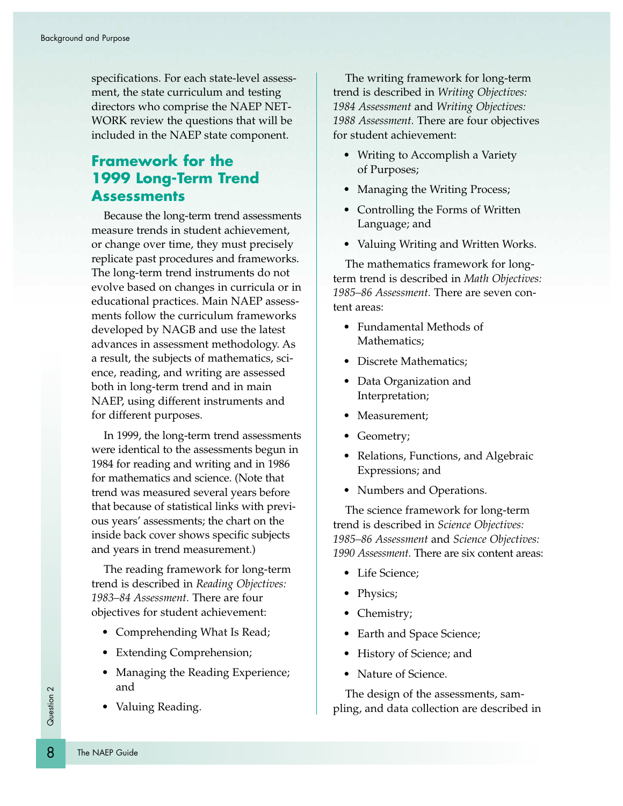specifications. For each state-level assessment, the state curriculum and testing directors who comprise the NAEP NET-WORK review the questions that will be included in the NAEP state component.

#### **Framework for the 1999 Long-Term Trend Assessments**

Because the long-term trend assessments measure trends in student achievement, or change over time, they must precisely replicate past procedures and frameworks. The long-term trend instruments do not evolve based on changes in curricula or in educational practices. Main NAEP assessments follow the curriculum frameworks developed by NAGB and use the latest advances in assessment methodology. As a result, the subjects of mathematics, science, reading, and writing are assessed both in long-term trend and in main NAEP, using different instruments and for different purposes.

In 1999, the long-term trend assessments were identical to the assessments begun in 1984 for reading and writing and in 1986 for mathematics and science. (Note that trend was measured several years before that because of statistical links with previous years' assessments; the chart on the inside back cover shows specific subjects and years in trend measurement.)

The reading framework for long-term trend is described in *Reading Objectives: 1983–84 Assessment.* There are four objectives for student achievement:

- Comprehending What Is Read;
- Extending Comprehension;
- Managing the Reading Experience; and
- Valuing Reading.

The writing framework for long-term trend is described in *Writing Objectives: 1984 Assessment* and *Writing Objectives: 1988 Assessment.* There are four objectives for student achievement:

- Writing to Accomplish a Variety of Purposes;
- Managing the Writing Process;
- Controlling the Forms of Written Language; and
- Valuing Writing and Written Works.

The mathematics framework for longterm trend is described in *Math Objectives: 1985–86 Assessment.* There are seven content areas:

- Fundamental Methods of Mathematics;
- Discrete Mathematics;
- Data Organization and Interpretation;
- Measurement;
- Geometry;
- Relations, Functions, and Algebraic Expressions; and
- Numbers and Operations.

The science framework for long-term trend is described in *Science Objectives: 1985–86 Assessment* and *Science Objectives: 1990 Assessment.* There are six content areas:

- Life Science;
- Physics;
- Chemistry;
- Earth and Space Science;
- History of Science; and
- Nature of Science.

The design of the assessments, sampling, and data collection are described in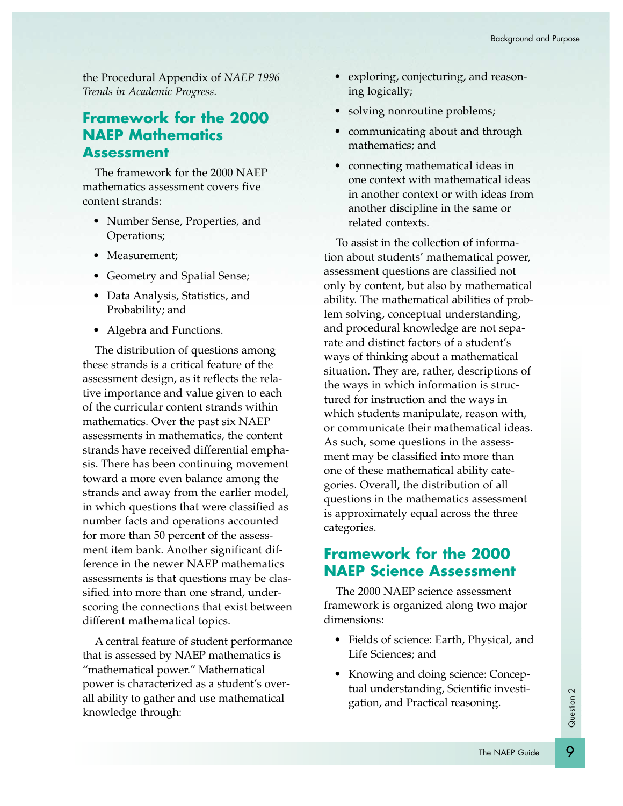the Procedural Appendix of *NAEP 1996 Trends in Academic Progress.*

#### **Framework for the 2000 NAEP Mathematics Assessment**

The framework for the 2000 NAEP mathematics assessment covers five content strands:

- Number Sense, Properties, and Operations;
- Measurement;
- Geometry and Spatial Sense;
- Data Analysis, Statistics, and Probability; and
- Algebra and Functions.

The distribution of questions among these strands is a critical feature of the assessment design, as it reflects the relative importance and value given to each of the curricular content strands within mathematics. Over the past six NAEP assessments in mathematics, the content strands have received differential emphasis. There has been continuing movement toward a more even balance among the strands and away from the earlier model, in which questions that were classified as number facts and operations accounted for more than 50 percent of the assessment item bank. Another significant difference in the newer NAEP mathematics assessments is that questions may be classified into more than one strand, underscoring the connections that exist between different mathematical topics.

A central feature of student performance that is assessed by NAEP mathematics is "mathematical power." Mathematical power is characterized as a student's overall ability to gather and use mathematical knowledge through:

- exploring, conjecturing, and reasoning logically;
- solving nonroutine problems;
- communicating about and through mathematics; and
- connecting mathematical ideas in one context with mathematical ideas in another context or with ideas from another discipline in the same or related contexts.

To assist in the collection of information about students' mathematical power, assessment questions are classified not only by content, but also by mathematical ability. The mathematical abilities of problem solving, conceptual understanding, and procedural knowledge are not separate and distinct factors of a student's ways of thinking about a mathematical situation. They are, rather, descriptions of the ways in which information is structured for instruction and the ways in which students manipulate, reason with, or communicate their mathematical ideas. As such, some questions in the assessment may be classified into more than one of these mathematical ability categories. Overall, the distribution of all questions in the mathematics assessment is approximately equal across the three categories.

#### **Framework for the 2000 NAEP Science Assessment**

The 2000 NAEP science assessment framework is organized along two major dimensions:

- Fields of science: Earth, Physical, and Life Sciences; and
- Knowing and doing science: Conceptual understanding, Scientific investigation, and Practical reasoning.

Question 2 Question 2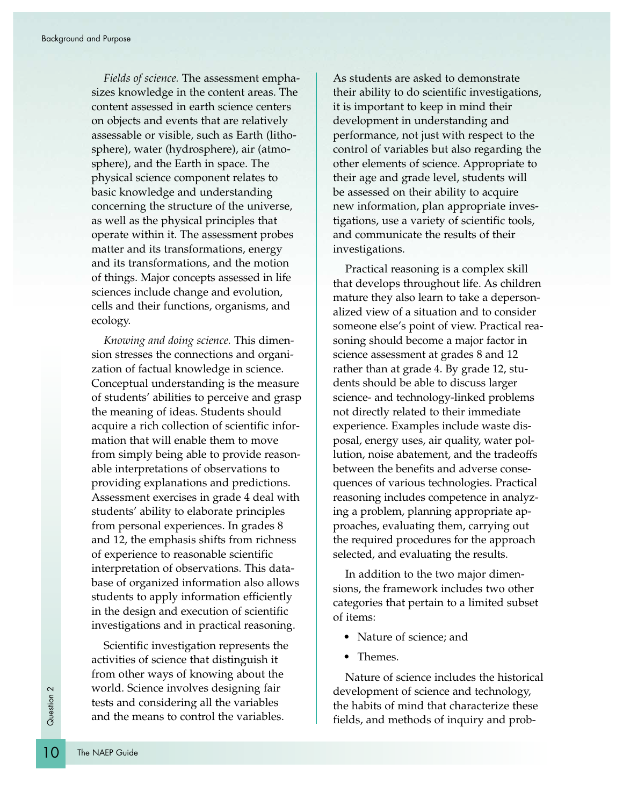*Fields of science.* The assessment emphasizes knowledge in the content areas. The content assessed in earth science centers on objects and events that are relatively assessable or visible, such as Earth (lithosphere), water (hydrosphere), air (atmosphere), and the Earth in space. The physical science component relates to basic knowledge and understanding concerning the structure of the universe, as well as the physical principles that operate within it. The assessment probes matter and its transformations, energy and its transformations, and the motion of things. Major concepts assessed in life sciences include change and evolution, cells and their functions, organisms, and ecology.

*Knowing and doing science.* This dimension stresses the connections and organization of factual knowledge in science. Conceptual understanding is the measure of students' abilities to perceive and grasp the meaning of ideas. Students should acquire a rich collection of scientific information that will enable them to move from simply being able to provide reasonable interpretations of observations to providing explanations and predictions. Assessment exercises in grade 4 deal with students' ability to elaborate principles from personal experiences. In grades 8 and 12, the emphasis shifts from richness of experience to reasonable scientific interpretation of observations. This database of organized information also allows students to apply information efficiently in the design and execution of scientific investigations and in practical reasoning.

 $\frac{1}{2}$  world. Screen<br>tests and<br>and the n<br>**10** The NAEP Guide Scientific investigation represents the activities of science that distinguish it from other ways of knowing about the world. Science involves designing fair tests and considering all the variables and the means to control the variables.

As students are asked to demonstrate their ability to do scientific investigations, it is important to keep in mind their development in understanding and performance, not just with respect to the control of variables but also regarding the other elements of science. Appropriate to their age and grade level, students will be assessed on their ability to acquire new information, plan appropriate investigations, use a variety of scientific tools, and communicate the results of their investigations.

Practical reasoning is a complex skill that develops throughout life. As children mature they also learn to take a depersonalized view of a situation and to consider someone else's point of view. Practical reasoning should become a major factor in science assessment at grades 8 and 12 rather than at grade 4. By grade 12, students should be able to discuss larger science- and technology-linked problems not directly related to their immediate experience. Examples include waste disposal, energy uses, air quality, water pollution, noise abatement, and the tradeoffs between the benefits and adverse consequences of various technologies. Practical reasoning includes competence in analyzing a problem, planning appropriate approaches, evaluating them, carrying out the required procedures for the approach selected, and evaluating the results.

In addition to the two major dimensions, the framework includes two other categories that pertain to a limited subset of items:

- Nature of science; and
- Themes.

Nature of science includes the historical development of science and technology, the habits of mind that characterize these fields, and methods of inquiry and prob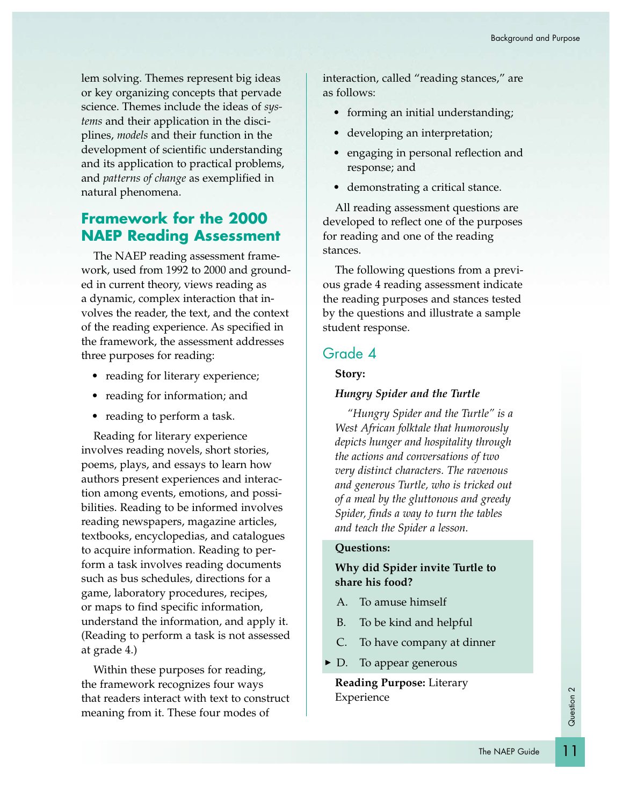lem solving. Themes represent big ideas or key organizing concepts that pervade science. Themes include the ideas of *systems* and their application in the disciplines, *models* and their function in the development of scientific understanding and its application to practical problems, and *patterns of change* as exemplified in natural phenomena.

#### **Framework for the 2000 NAEP Reading Assessment**

The NAEP reading assessment framework, used from 1992 to 2000 and grounded in current theory, views reading as a dynamic, complex interaction that involves the reader, the text, and the context of the reading experience. As specified in the framework, the assessment addresses three purposes for reading:

- reading for literary experience;
- reading for information; and
- reading to perform a task.

Reading for literary experience involves reading novels, short stories, poems, plays, and essays to learn how authors present experiences and interaction among events, emotions, and possibilities. Reading to be informed involves reading newspapers, magazine articles, textbooks, encyclopedias, and catalogues to acquire information. Reading to perform a task involves reading documents such as bus schedules, directions for a game, laboratory procedures, recipes, or maps to find specific information, understand the information, and apply it. (Reading to perform a task is not assessed at grade 4.)

Within these purposes for reading, the framework recognizes four ways that readers interact with text to construct meaning from it. These four modes of

interaction, called "reading stances," are as follows:

- forming an initial understanding;
- developing an interpretation;
- engaging in personal reflection and response; and
- demonstrating a critical stance.

All reading assessment questions are developed to reflect one of the purposes for reading and one of the reading stances.

The following questions from a previous grade 4 reading assessment indicate the reading purposes and stances tested by the questions and illustrate a sample student response.

#### Grade 4

#### **Story:**

#### *Hungry Spider and the Turtle*

*"Hungry Spider and the Turtle" is a West African folktale that humorously depicts hunger and hospitality through the actions and conversations of two very distinct characters. The ravenous and generous Turtle, who is tricked out of a meal by the gluttonous and greedy Spider, finds a way to turn the tables and teach the Spider a lesson.*

#### **Questions:**

#### **Why did Spider invite Turtle to share his food?**

- A. To amuse himself
- B. To be kind and helpful
- C. To have company at dinner
- $\blacktriangleright$  D. To appear generous

**Reading Purpose:** Literary Experience

# Question 2 Question 2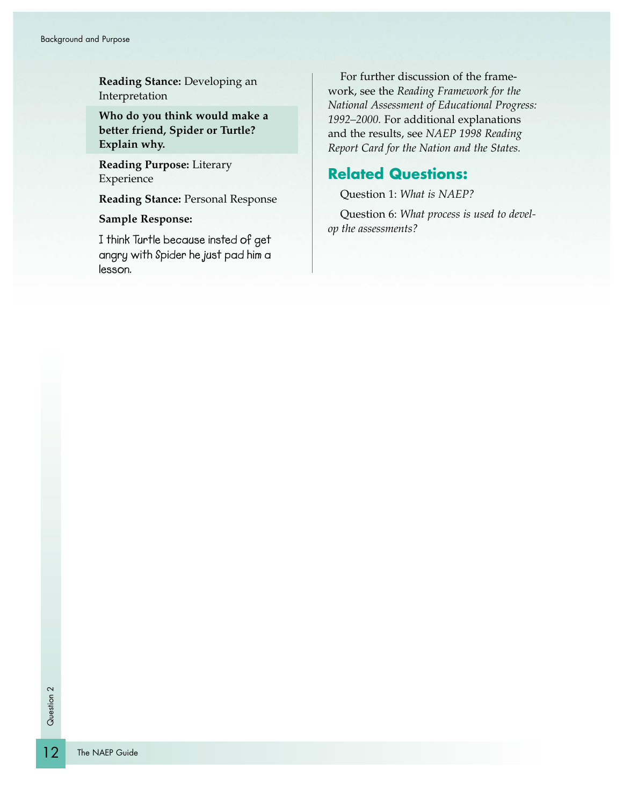**Reading Stance:** Developing an Interpretation

**Who do you think would make a better friend, Spider or Turtle? Explain why.**

**Reading Purpose:** Literary Experience

**Reading Stance:** Personal Response

**Sample Response:**

**I think Turtle because insted of get angry with Spider he just pad him a lesson.**

For further discussion of the framework, see the *Reading Framework for the National Assessment of Educational Progress: 1992–2000.* For additional explanations and the results, see *NAEP 1998 Reading Report Card for the Nation and the States.*

#### **Related Questions:**

Question 1: *What is NAEP?*

Question 6: *What process is used to develop the assessments?*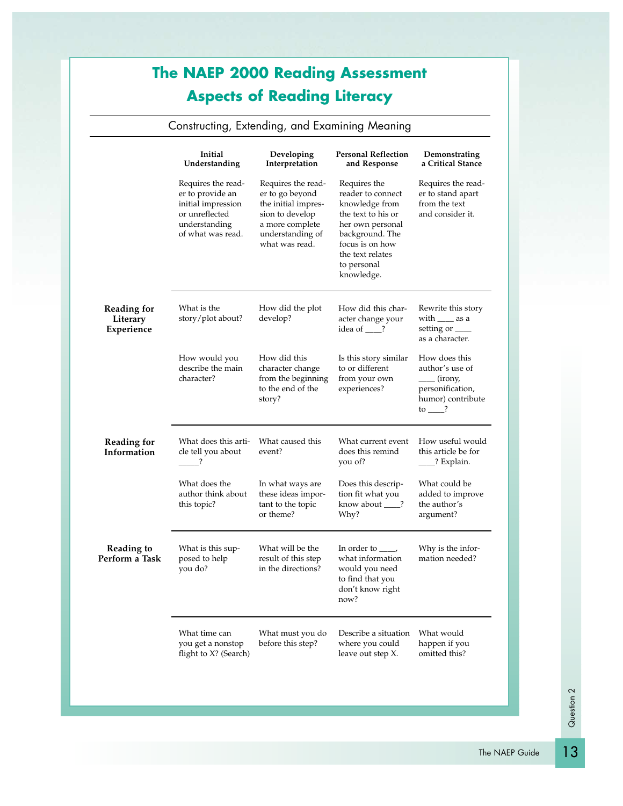# **The NAEP 2000 Reading Assessment Aspects of Reading Literacy**

#### Constructing, Extending, and Examining Meaning

|                                              | Initial<br>Understanding                                                                                             | Developing<br>Interpretation                                                                                                             | <b>Personal Reflection</b><br>and Response                                                                                                                                           | Demonstrating<br>a Critical Stance                                                                                              |
|----------------------------------------------|----------------------------------------------------------------------------------------------------------------------|------------------------------------------------------------------------------------------------------------------------------------------|--------------------------------------------------------------------------------------------------------------------------------------------------------------------------------------|---------------------------------------------------------------------------------------------------------------------------------|
|                                              | Requires the read-<br>er to provide an<br>initial impression<br>or unreflected<br>understanding<br>of what was read. | Requires the read-<br>er to go beyond<br>the initial impres-<br>sion to develop<br>a more complete<br>understanding of<br>what was read. | Requires the<br>reader to connect<br>knowledge from<br>the text to his or<br>her own personal<br>background. The<br>focus is on how<br>the text relates<br>to personal<br>knowledge. | Requires the read-<br>er to stand apart<br>from the text<br>and consider it.                                                    |
| <b>Reading for</b><br>Literary<br>Experience | What is the<br>story/plot about?                                                                                     | How did the plot<br>develop?                                                                                                             | How did this char-<br>acter change your<br>idea of $\_\$ ?                                                                                                                           | Rewrite this story<br>with ______ as a<br>setting or _____<br>as a character.                                                   |
|                                              | How would you<br>describe the main<br>character?                                                                     | How did this<br>character change<br>from the beginning<br>to the end of the<br>story?                                                    | Is this story similar<br>to or different<br>from your own<br>experiences?                                                                                                            | How does this<br>author's use of<br>$\frac{1}{\text{(irony)}}$<br>personification,<br>humor) contribute<br>$\frac{1}{\sqrt{2}}$ |
| <b>Reading for</b><br>Information            | What does this arti-<br>cle tell you about<br>$\overline{\phantom{a}}$                                               | What caused this<br>event?                                                                                                               | What current event<br>does this remind<br>you of?                                                                                                                                    | How useful would<br>this article be for<br>____? Explain.                                                                       |
|                                              | What does the<br>author think about<br>this topic?                                                                   | In what ways are<br>these ideas impor-<br>tant to the topic<br>or theme?                                                                 | Does this descrip-<br>tion fit what you<br>know about ___?<br>Why?                                                                                                                   | What could be<br>added to improve<br>the author's<br>argument?                                                                  |
| <b>Reading to</b><br>Perform a Task          | What is this sup-<br>posed to help<br>you do?                                                                        | What will be the<br>result of this step<br>in the directions?                                                                            | In order to $\_\_\$<br>what information<br>would you need<br>to find that you<br>don't know right<br>now?                                                                            | Why is the infor-<br>mation needed?                                                                                             |
|                                              | What time can<br>you get a nonstop<br>flight to X? (Search)                                                          | What must you do<br>before this step?                                                                                                    | Describe a situation<br>where you could<br>leave out step X.                                                                                                                         | What would<br>happen if you<br>omitted this?                                                                                    |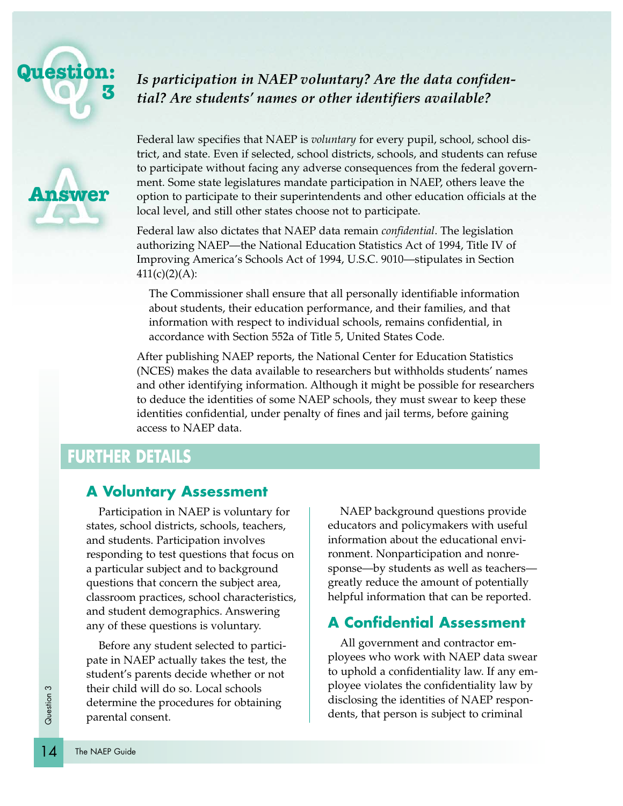

#### **1** *Is participation in NAEP voluntary? Are the data confidential? Are students' names or other identifiers available?*



Federal law specifies that NAEP is *voluntary* for every pupil, school, school district, and state. Even if selected, school districts, schools, and students can refuse to participate without facing any adverse consequences from the federal government. Some state legislatures mandate participation in NAEP, others leave the option to participate to their superintendents and other education officials at the local level, and still other states choose not to participate.

Federal law also dictates that NAEP data remain *confidential*. The legislation authorizing NAEP—the National Education Statistics Act of 1994, Title IV of Improving America's Schools Act of 1994, U.S.C. 9010—stipulates in Section  $411(c)(2)(A)$ :

The Commissioner shall ensure that all personally identifiable information about students, their education performance, and their families, and that information with respect to individual schools, remains confidential, in accordance with Section 552a of Title 5, United States Code.

After publishing NAEP reports, the National Center for Education Statistics (NCES) makes the data available to researchers but withholds students' names and other identifying information. Although it might be possible for researchers to deduce the identities of some NAEP schools, they must swear to keep these identities confidential, under penalty of fines and jail terms, before gaining access to NAEP data.

# **FURTHER DETAILS**

#### **A Voluntary Assessment**

Participation in NAEP is voluntary for states, school districts, schools, teachers, and students. Participation involves responding to test questions that focus on a particular subject and to background questions that concern the subject area, classroom practices, school characteristics, and student demographics. Answering any of these questions is voluntary.

their child<br>
determine<br>
garental contracts<br>
The NAEP Guide Before any student selected to participate in NAEP actually takes the test, the student's parents decide whether or not their child will do so. Local schools determine the procedures for obtaining parental consent.

NAEP background questions provide educators and policymakers with useful information about the educational environment. Nonparticipation and nonresponse—by students as well as teachers greatly reduce the amount of potentially helpful information that can be reported.

#### **A Confidential Assessment**

All government and contractor employees who work with NAEP data swear to uphold a confidentiality law. If any employee violates the confidentiality law by disclosing the identities of NAEP respondents, that person is subject to criminal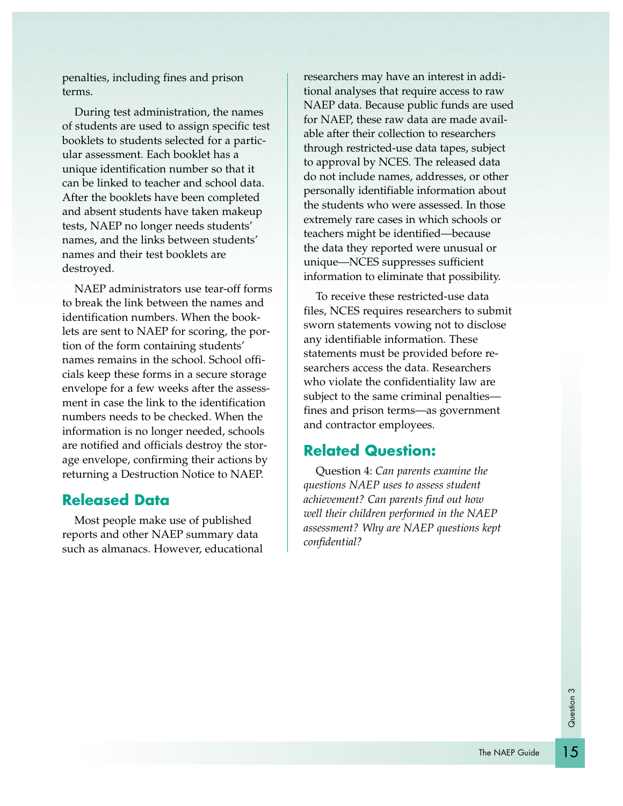penalties, including fines and prison terms.

During test administration, the names of students are used to assign specific test booklets to students selected for a particular assessment. Each booklet has a unique identification number so that it can be linked to teacher and school data. After the booklets have been completed and absent students have taken makeup tests, NAEP no longer needs students' names, and the links between students' names and their test booklets are destroyed.

NAEP administrators use tear-off forms to break the link between the names and identification numbers. When the booklets are sent to NAEP for scoring, the portion of the form containing students' names remains in the school. School officials keep these forms in a secure storage envelope for a few weeks after the assessment in case the link to the identification numbers needs to be checked. When the information is no longer needed, schools are notified and officials destroy the storage envelope, confirming their actions by returning a Destruction Notice to NAEP.

#### **Released Data**

Most people make use of published reports and other NAEP summary data such as almanacs. However, educational researchers may have an interest in additional analyses that require access to raw NAEP data. Because public funds are used for NAEP, these raw data are made available after their collection to researchers through restricted-use data tapes, subject to approval by NCES. The released data do not include names, addresses, or other personally identifiable information about the students who were assessed. In those extremely rare cases in which schools or teachers might be identified—because the data they reported were unusual or unique—NCES suppresses sufficient information to eliminate that possibility.

To receive these restricted-use data files, NCES requires researchers to submit sworn statements vowing not to disclose any identifiable information. These statements must be provided before researchers access the data. Researchers who violate the confidentiality law are subject to the same criminal penalties fines and prison terms—as government and contractor employees.

#### **Related Question:**

Question 4: *Can parents examine the questions NAEP uses to assess student achievement? Can parents find out how well their children performed in the NAEP assessment? Why are NAEP questions kept confidential?*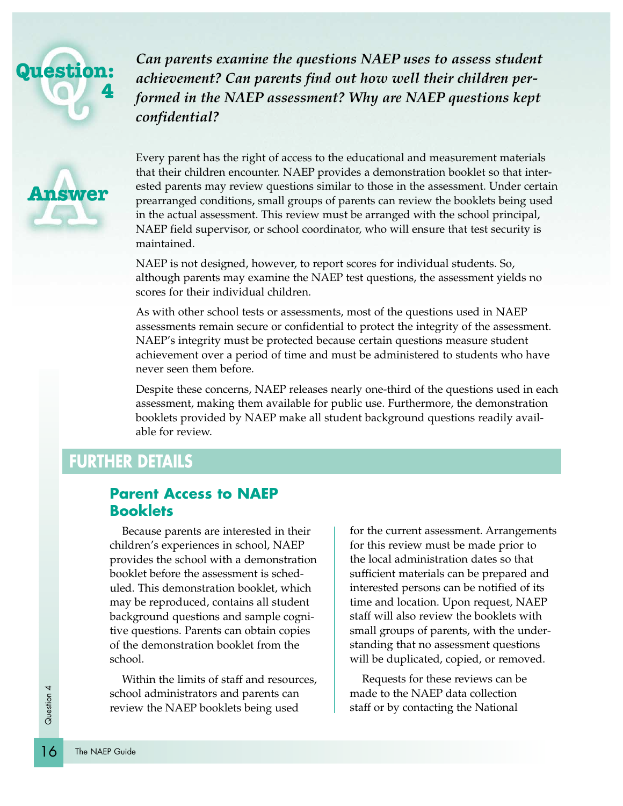# **Question: 4**

**Answer**

*Can parents examine the questions NAEP uses to assess student achievement? Can parents find out how well their children performed in the NAEP assessment? Why are NAEP questions kept confidential?*

Every parent has the right of access to the educational and measurement materials that their children encounter. NAEP provides a demonstration booklet so that interested parents may review questions similar to those in the assessment. Under certain prearranged conditions, small groups of parents can review the booklets being used in the actual assessment. This review must be arranged with the school principal, NAEP field supervisor, or school coordinator, who will ensure that test security is maintained.

NAEP is not designed, however, to report scores for individual students. So, although parents may examine the NAEP test questions, the assessment yields no scores for their individual children.

As with other school tests or assessments, most of the questions used in NAEP assessments remain secure or confidential to protect the integrity of the assessment. NAEP's integrity must be protected because certain questions measure student achievement over a period of time and must be administered to students who have never seen them before.

Despite these concerns, NAEP releases nearly one-third of the questions used in each assessment, making them available for public use. Furthermore, the demonstration booklets provided by NAEP make all student background questions readily available for review.

# **FURTHER DETAILS**

#### **Parent Access to NAEP Booklets**

Because parents are interested in their children's experiences in school, NAEP provides the school with a demonstration booklet before the assessment is scheduled. This demonstration booklet, which may be reproduced, contains all student background questions and sample cognitive questions. Parents can obtain copies of the demonstration booklet from the school.

Within the limits of staff and resources, school administrators and parents can review the NAEP booklets being used

for the current assessment. Arrangements for this review must be made prior to the local administration dates so that sufficient materials can be prepared and interested persons can be notified of its time and location. Upon request, NAEP staff will also review the booklets with small groups of parents, with the understanding that no assessment questions will be duplicated, copied, or removed.

Requests for these reviews can be made to the NAEP data collection staff or by contacting the National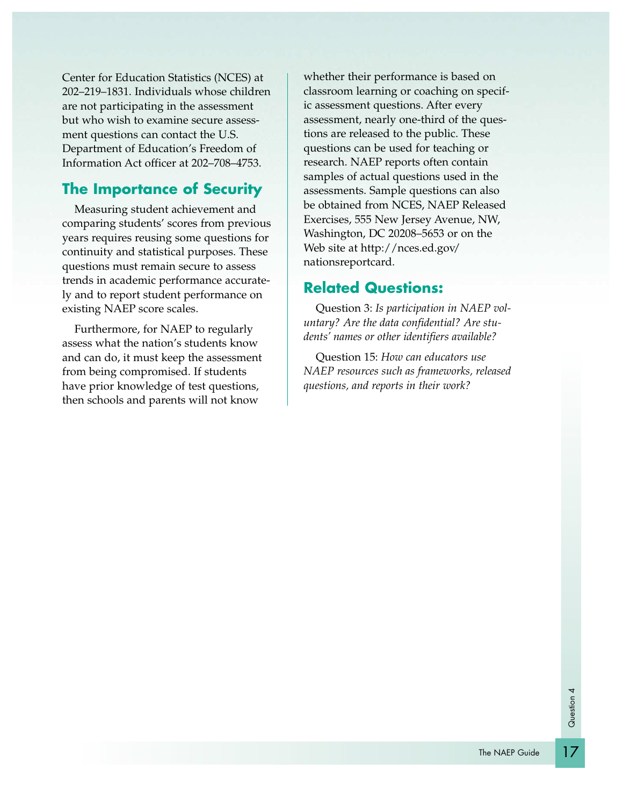Center for Education Statistics (NCES) at 202–219–1831. Individuals whose children are not participating in the assessment but who wish to examine secure assessment questions can contact the U.S. Department of Education's Freedom of Information Act officer at 202–708–4753.

#### **The Importance of Security**

Measuring student achievement and comparing students' scores from previous years requires reusing some questions for continuity and statistical purposes. These questions must remain secure to assess trends in academic performance accurately and to report student performance on existing NAEP score scales.

Furthermore, for NAEP to regularly assess what the nation's students know and can do, it must keep the assessment from being compromised. If students have prior knowledge of test questions, then schools and parents will not know

whether their performance is based on classroom learning or coaching on specific assessment questions. After every assessment, nearly one-third of the questions are released to the public. These questions can be used for teaching or research. NAEP reports often contain samples of actual questions used in the assessments. Sample questions can also be obtained from NCES, NAEP Released Exercises, 555 New Jersey Avenue, NW, Washington, DC 20208–5653 or on the Web site at http://nces.ed.gov/ nationsreportcard.

#### **Related Questions:**

Question 3: *Is participation in NAEP voluntary? Are the data confidential? Are students' names or other identifiers available?*

Question 15: *How can educators use NAEP resources such as frameworks, released questions, and reports in their work?*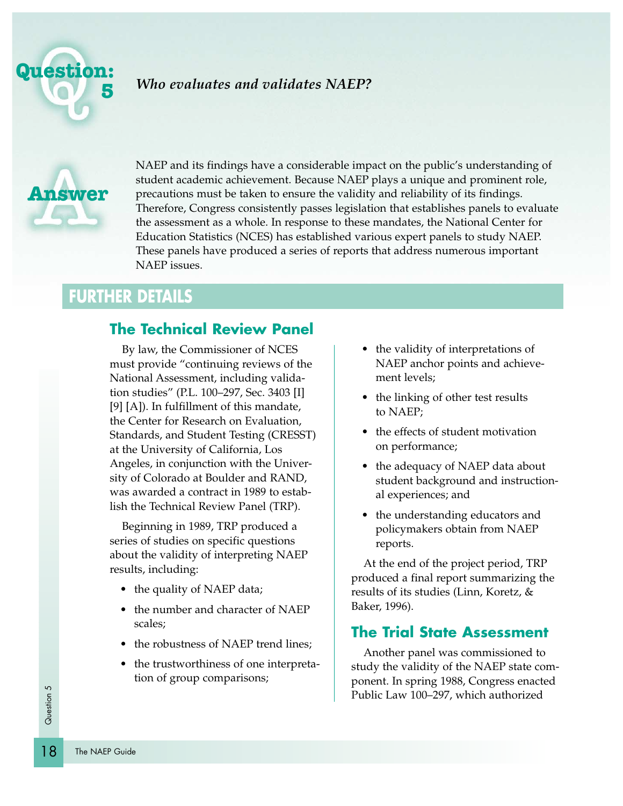

#### *Who evaluates and validates NAEP?*



NAEP and its findings have a considerable impact on the public's understanding of student academic achievement. Because NAEP plays a unique and prominent role, precautions must be taken to ensure the validity and reliability of its findings. Therefore, Congress consistently passes legislation that establishes panels to evaluate the assessment as a whole. In response to these mandates, the National Center for Education Statistics (NCES) has established various expert panels to study NAEP. These panels have produced a series of reports that address numerous important NAEP issues.

# **FURTHER DETAILS**

#### **The Technical Review Panel**

By law, the Commissioner of NCES must provide "continuing reviews of the National Assessment, including validation studies" (P.L. 100–297, Sec. 3403 [I] [9] [A]). In fulfillment of this mandate, the Center for Research on Evaluation, Standards, and Student Testing (CRESST) at the University of California, Los Angeles, in conjunction with the University of Colorado at Boulder and RAND, was awarded a contract in 1989 to establish the Technical Review Panel (TRP).

Beginning in 1989, TRP produced a series of studies on specific questions about the validity of interpreting NAEP results, including:

- the quality of NAEP data;
- the number and character of NAEP scales;
- the robustness of NAEP trend lines;
- the trustworthiness of one interpretation of group comparisons;
- the validity of interpretations of NAEP anchor points and achievement levels;
- the linking of other test results to NAEP;
- the effects of student motivation on performance;
- the adequacy of NAEP data about student background and instructional experiences; and
- the understanding educators and policymakers obtain from NAEP reports.

At the end of the project period, TRP produced a final report summarizing the results of its studies (Linn, Koretz, & Baker, 1996).

#### **The Trial State Assessment**

Another panel was commissioned to study the validity of the NAEP state component. In spring 1988, Congress enacted Public Law 100–297, which authorized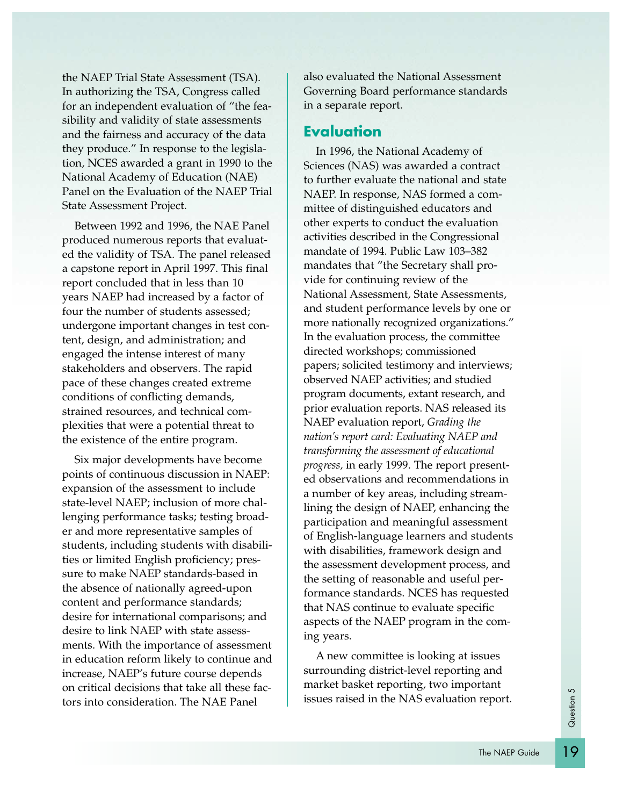the NAEP Trial State Assessment (TSA). In authorizing the TSA, Congress called for an independent evaluation of "the feasibility and validity of state assessments and the fairness and accuracy of the data they produce." In response to the legislation, NCES awarded a grant in 1990 to the National Academy of Education (NAE) Panel on the Evaluation of the NAEP Trial State Assessment Project.

Between 1992 and 1996, the NAE Panel produced numerous reports that evaluated the validity of TSA. The panel released a capstone report in April 1997. This final report concluded that in less than 10 years NAEP had increased by a factor of four the number of students assessed; undergone important changes in test content, design, and administration; and engaged the intense interest of many stakeholders and observers. The rapid pace of these changes created extreme conditions of conflicting demands, strained resources, and technical complexities that were a potential threat to the existence of the entire program.

Six major developments have become points of continuous discussion in NAEP: expansion of the assessment to include state-level NAEP; inclusion of more challenging performance tasks; testing broader and more representative samples of students, including students with disabilities or limited English proficiency; pressure to make NAEP standards-based in the absence of nationally agreed-upon content and performance standards; desire for international comparisons; and desire to link NAEP with state assessments. With the importance of assessment in education reform likely to continue and increase, NAEP's future course depends on critical decisions that take all these factors into consideration. The NAE Panel

also evaluated the National Assessment Governing Board performance standards in a separate report.

#### **Evaluation**

In 1996, the National Academy of Sciences (NAS) was awarded a contract to further evaluate the national and state NAEP. In response, NAS formed a committee of distinguished educators and other experts to conduct the evaluation activities described in the Congressional mandate of 1994. Public Law 103–382 mandates that "the Secretary shall provide for continuing review of the National Assessment, State Assessments, and student performance levels by one or more nationally recognized organizations." In the evaluation process, the committee directed workshops; commissioned papers; solicited testimony and interviews; observed NAEP activities; and studied program documents, extant research, and prior evaluation reports. NAS released its NAEP evaluation report, *Grading the nation's report card: Evaluating NAEP and transforming the assessment of educational progress,* in early 1999. The report presented observations and recommendations in a number of key areas, including streamlining the design of NAEP, enhancing the participation and meaningful assessment of English-language learners and students with disabilities, framework design and the assessment development process, and the setting of reasonable and useful performance standards. NCES has requested that NAS continue to evaluate specific aspects of the NAEP program in the coming years.

A new committee is looking at issues surrounding district-level reporting and market basket reporting, two important issues raised in the NAS evaluation report.

19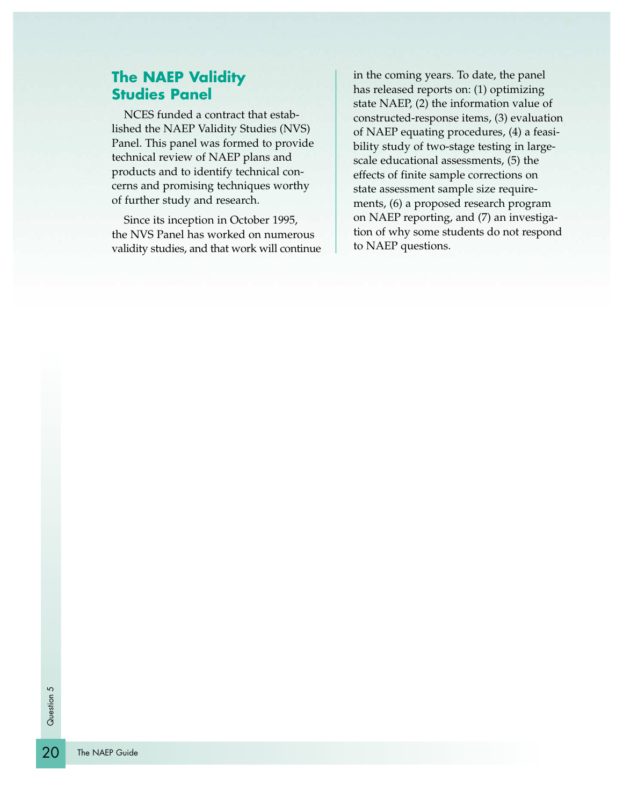#### **The NAEP Validity Studies Panel**

NCES funded a contract that established the NAEP Validity Studies (NVS) Panel. This panel was formed to provide technical review of NAEP plans and products and to identify technical concerns and promising techniques worthy of further study and research.

Since its inception in October 1995, the NVS Panel has worked on numerous validity studies, and that work will continue in the coming years. To date, the panel has released reports on: (1) optimizing state NAEP, (2) the information value of constructed-response items, (3) evaluation of NAEP equating procedures, (4) a feasibility study of two-stage testing in largescale educational assessments, (5) the effects of finite sample corrections on state assessment sample size requirements, (6) a proposed research program on NAEP reporting, and (7) an investigation of why some students do not respond to NAEP questions.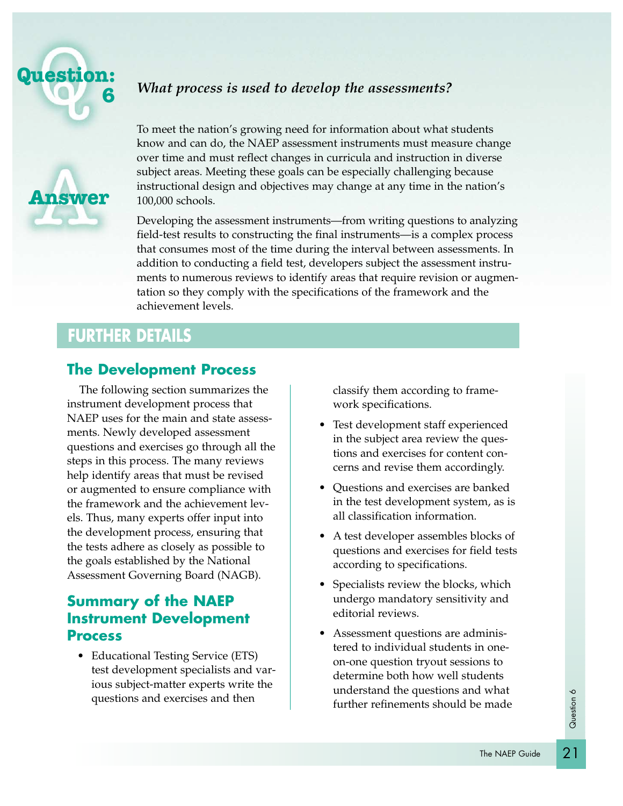

**Answer**

#### *What process is used to develop the assessments?*

To meet the nation's growing need for information about what students know and can do, the NAEP assessment instruments must measure change over time and must reflect changes in curricula and instruction in diverse subject areas. Meeting these goals can be especially challenging because instructional design and objectives may change at any time in the nation's 100,000 schools.

Developing the assessment instruments—from writing questions to analyzing field-test results to constructing the final instruments—is a complex process that consumes most of the time during the interval between assessments. In addition to conducting a field test, developers subject the assessment instruments to numerous reviews to identify areas that require revision or augmentation so they comply with the specifications of the framework and the achievement levels.

### **FURTHER DETAILS**

#### **The Development Process**

The following section summarizes the instrument development process that NAEP uses for the main and state assessments. Newly developed assessment questions and exercises go through all the steps in this process. The many reviews help identify areas that must be revised or augmented to ensure compliance with the framework and the achievement levels. Thus, many experts offer input into the development process, ensuring that the tests adhere as closely as possible to the goals established by the National Assessment Governing Board (NAGB).

#### **Summary of the NAEP Instrument Development Process**

• Educational Testing Service (ETS) test development specialists and various subject-matter experts write the questions and exercises and then

classify them according to framework specifications.

- Test development staff experienced in the subject area review the questions and exercises for content concerns and revise them accordingly.
- Questions and exercises are banked in the test development system, as is all classification information.
- A test developer assembles blocks of questions and exercises for field tests according to specifications.
- Specialists review the blocks, which undergo mandatory sensitivity and editorial reviews.
- Assessment questions are administered to individual students in oneon-one question tryout sessions to determine both how well students understand the questions and what further refinements should be made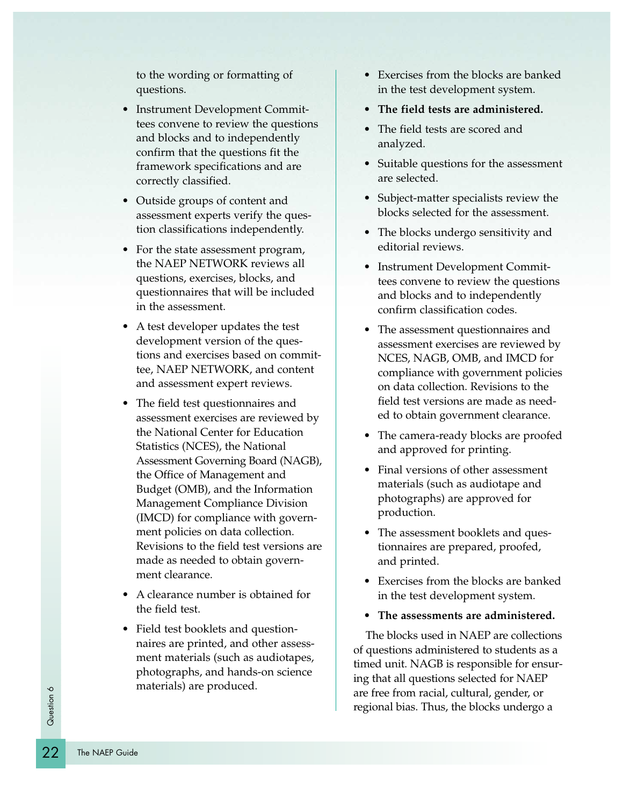to the wording or formatting of questions.

- Instrument Development Committees convene to review the questions and blocks and to independently confirm that the questions fit the framework specifications and are correctly classified.
- Outside groups of content and assessment experts verify the question classifications independently.
- For the state assessment program, the NAEP NETWORK reviews all questions, exercises, blocks, and questionnaires that will be included in the assessment.
- A test developer updates the test development version of the questions and exercises based on committee, NAEP NETWORK, and content and assessment expert reviews.
- The field test questionnaires and assessment exercises are reviewed by the National Center for Education Statistics (NCES), the National Assessment Governing Board (NAGB), the Office of Management and Budget (OMB), and the Information Management Compliance Division (IMCD) for compliance with government policies on data collection. Revisions to the field test versions are made as needed to obtain government clearance.
- A clearance number is obtained for the field test.
- Field test booklets and questionnaires are printed, and other assessment materials (such as audiotapes, photographs, and hands-on science materials) are produced.
- Exercises from the blocks are banked in the test development system.
- **• The field tests are administered.**
- The field tests are scored and analyzed.
- Suitable questions for the assessment are selected.
- Subject-matter specialists review the blocks selected for the assessment.
- The blocks undergo sensitivity and editorial reviews.
- Instrument Development Committees convene to review the questions and blocks and to independently confirm classification codes.
- The assessment questionnaires and assessment exercises are reviewed by NCES, NAGB, OMB, and IMCD for compliance with government policies on data collection. Revisions to the field test versions are made as needed to obtain government clearance.
- The camera-ready blocks are proofed and approved for printing.
- Final versions of other assessment materials (such as audiotape and photographs) are approved for production.
- The assessment booklets and questionnaires are prepared, proofed, and printed.
- Exercises from the blocks are banked in the test development system.
- **• The assessments are administered.**

The blocks used in NAEP are collections of questions administered to students as a timed unit. NAGB is responsible for ensuring that all questions selected for NAEP are free from racial, cultural, gender, or regional bias. Thus, the blocks undergo a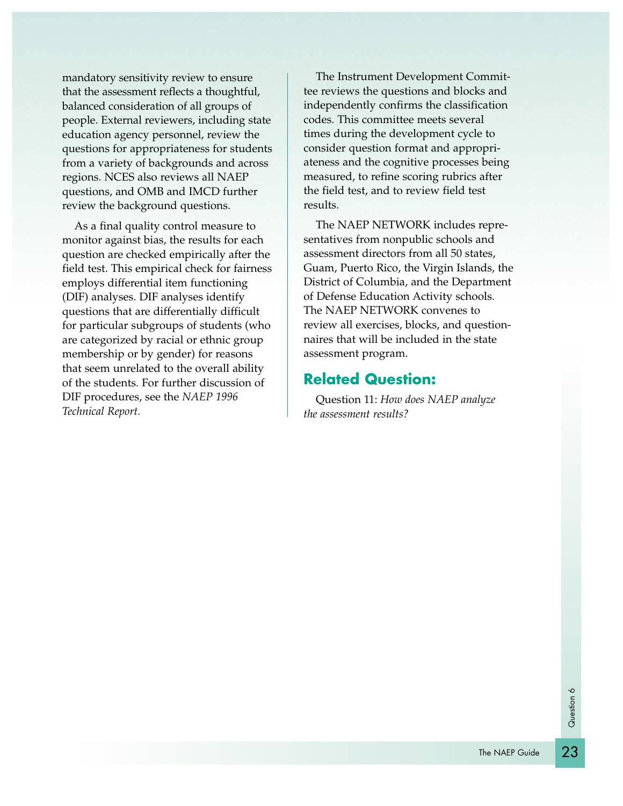mandatory sensitivity review to ensure that the assessment reflects a thoughtful, balanced consideration of all groups of people. External reviewers, including state education agency personnel, review the questions for appropriateness for students from a variety of backgrounds and across regions. NCES also reviews all NAEP questions, and OMB and IMCD further review the background questions.

As a final quality control measure to monitor against bias, the results for each question are checked empirically after the field test. This empirical check for fairness employs differential item functioning (DIF) analyses. DIF analyses identify questions that are differentially difficult for particular subgroups of students (who are categorized by racial or ethnic group membership or by gender) for reasons that seem unrelated to the overall ability of the students. For further discussion of DIF procedures, see the *NAEP 1996 Technical Report.*

The Instrument Development Committee reviews the questions and blocks and independently confirms the classification codes. This committee meets several times during the development cycle to consider question format and appropriateness and the cognitive processes being measured, to refine scoring rubrics after the field test, and to review field test results.

The NAEP NETWORK includes representatives from nonpublic schools and assessment directors from all 50 states, Guam, Puerto Rico, the Virgin Islands, the District of Columbia, and the Department of Defense Education Activity schools. The NAEP NETWORK convenes to review all exercises, blocks, and questionnaires that will be included in the state assessment program.

#### **Related Question:**

Question 11: *How does NAEP analyze the assessment results?*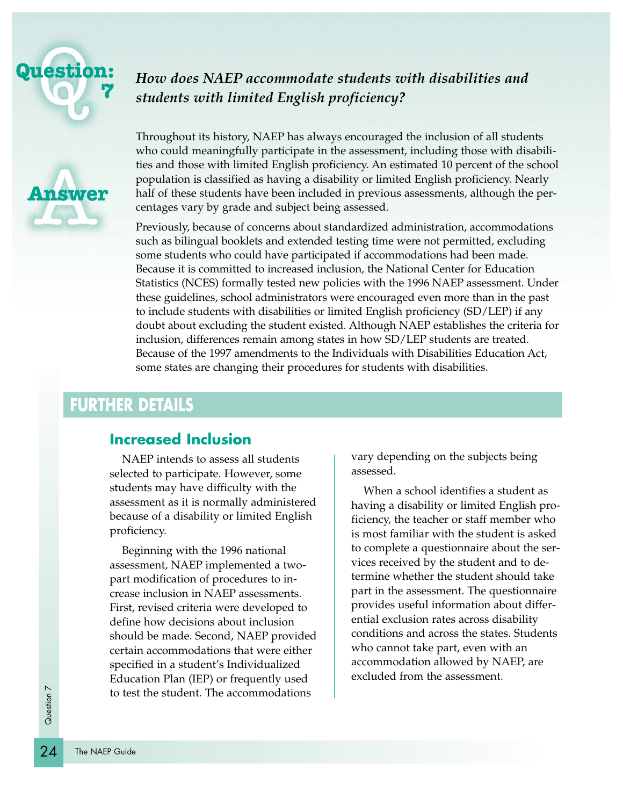



### *How does NAEP accommodate students with disabilities and students with limited English proficiency?*

Throughout its history, NAEP has always encouraged the inclusion of all students who could meaningfully participate in the assessment, including those with disabilities and those with limited English proficiency. An estimated 10 percent of the school population is classified as having a disability or limited English proficiency. Nearly half of these students have been included in previous assessments, although the percentages vary by grade and subject being assessed.

Previously, because of concerns about standardized administration, accommodations such as bilingual booklets and extended testing time were not permitted, excluding some students who could have participated if accommodations had been made. Because it is committed to increased inclusion, the National Center for Education Statistics (NCES) formally tested new policies with the 1996 NAEP assessment. Under these guidelines, school administrators were encouraged even more than in the past to include students with disabilities or limited English proficiency (SD/LEP) if any doubt about excluding the student existed. Although NAEP establishes the criteria for inclusion, differences remain among states in how SD/LEP students are treated. Because of the 1997 amendments to the Individuals with Disabilities Education Act, some states are changing their procedures for students with disabilities.

# **FURTHER DETAILS**

#### **Increased Inclusion**

NAEP intends to assess all students selected to participate. However, some students may have difficulty with the assessment as it is normally administered because of a disability or limited English proficiency.

Beginning with the 1996 national assessment, NAEP implemented a twopart modification of procedures to increase inclusion in NAEP assessments. First, revised criteria were developed to define how decisions about inclusion should be made. Second, NAEP provided certain accommodations that were either specified in a student's Individualized Education Plan (IEP) or frequently used to test the student. The accommodations

vary depending on the subjects being assessed.

When a school identifies a student as having a disability or limited English proficiency, the teacher or staff member who is most familiar with the student is asked to complete a questionnaire about the services received by the student and to determine whether the student should take part in the assessment. The questionnaire provides useful information about differential exclusion rates across disability conditions and across the states. Students who cannot take part, even with an accommodation allowed by NAEP, are excluded from the assessment.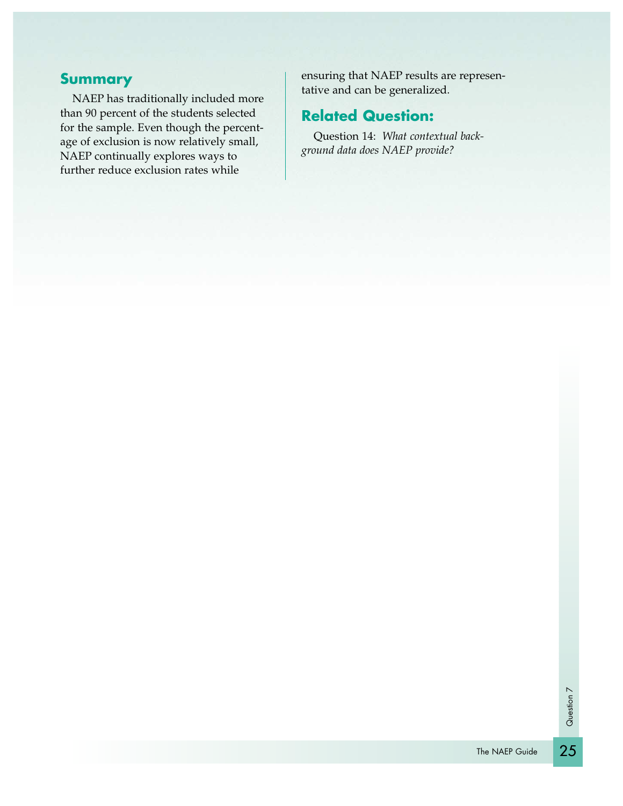#### **Summary**

NAEP has traditionally included more than 90 percent of the students selected for the sample. Even though the percentage of exclusion is now relatively small, NAEP continually explores ways to further reduce exclusion rates while

ensuring that NAEP results are representative and can be generalized.

### **Related Question:**

Question 14: *What contextual background data does NAEP provide?*

25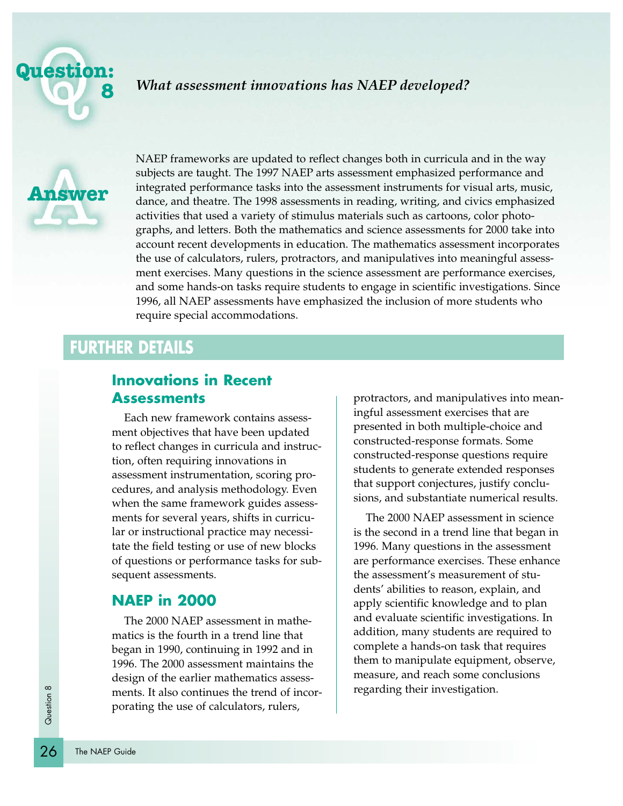



NAEP frameworks are updated to reflect changes both in curricula and in the way subjects are taught. The 1997 NAEP arts assessment emphasized performance and integrated performance tasks into the assessment instruments for visual arts, music, dance, and theatre. The 1998 assessments in reading, writing, and civics emphasized activities that used a variety of stimulus materials such as cartoons, color photographs, and letters. Both the mathematics and science assessments for 2000 take into account recent developments in education. The mathematics assessment incorporates the use of calculators, rulers, protractors, and manipulatives into meaningful assessment exercises. Many questions in the science assessment are performance exercises, and some hands-on tasks require students to engage in scientific investigations. Since 1996, all NAEP assessments have emphasized the inclusion of more students who require special accommodations.

## **FURTHER DETAILS**

#### **Innovations in Recent Assessments**

Each new framework contains assessment objectives that have been updated to reflect changes in curricula and instruction, often requiring innovations in assessment instrumentation, scoring procedures, and analysis methodology. Even when the same framework guides assessments for several years, shifts in curricular or instructional practice may necessitate the field testing or use of new blocks of questions or performance tasks for subsequent assessments.

#### **NAEP in 2000**

The 2000 NAEP assessment in mathematics is the fourth in a trend line that began in 1990, continuing in 1992 and in 1996. The 2000 assessment maintains the design of the earlier mathematics assessments. It also continues the trend of incorporating the use of calculators, rulers,

protractors, and manipulatives into meaningful assessment exercises that are presented in both multiple-choice and constructed-response formats. Some constructed-response questions require students to generate extended responses that support conjectures, justify conclusions, and substantiate numerical results.

The 2000 NAEP assessment in science is the second in a trend line that began in 1996. Many questions in the assessment are performance exercises. These enhance the assessment's measurement of students' abilities to reason, explain, and apply scientific knowledge and to plan and evaluate scientific investigations. In addition, many students are required to complete a hands-on task that requires them to manipulate equipment, observe, measure, and reach some conclusions regarding their investigation.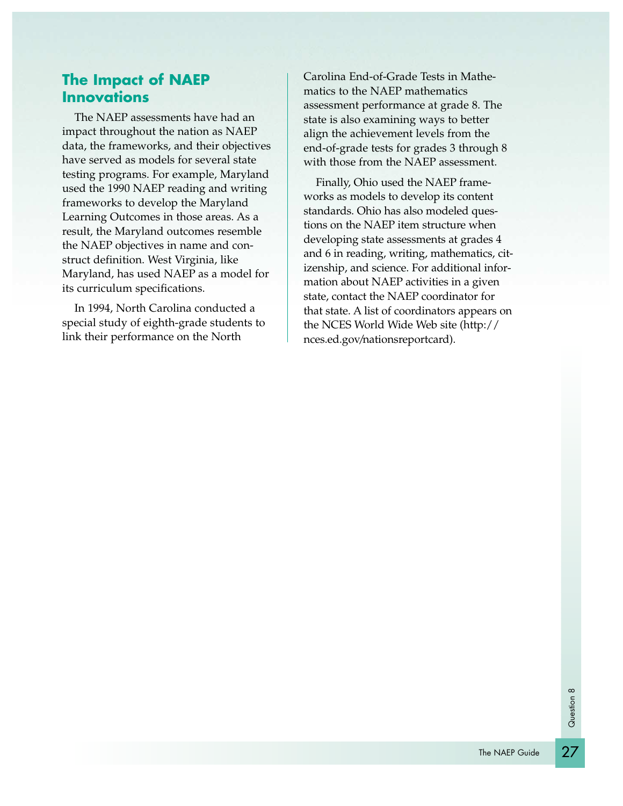### **The Impact of NAEP Innovations**

The NAEP assessments have had an impact throughout the nation as NAEP data, the frameworks, and their objectives have served as models for several state testing programs. For example, Maryland used the 1990 NAEP reading and writing frameworks to develop the Maryland Learning Outcomes in those areas. As a result, the Maryland outcomes resemble the NAEP objectives in name and construct definition. West Virginia, like Maryland, has used NAEP as a model for its curriculum specifications.

In 1994, North Carolina conducted a special study of eighth-grade students to link their performance on the North

Carolina End-of-Grade Tests in Mathematics to the NAEP mathematics assessment performance at grade 8. The state is also examining ways to better align the achievement levels from the end-of-grade tests for grades 3 through 8 with those from the NAEP assessment.

Finally, Ohio used the NAEP frameworks as models to develop its content standards. Ohio has also modeled questions on the NAEP item structure when developing state assessments at grades 4 and 6 in reading, writing, mathematics, citizenship, and science. For additional information about NAEP activities in a given state, contact the NAEP coordinator for that state. A list of coordinators appears on the NCES World Wide Web site (http:// nces.ed.gov/nationsreportcard).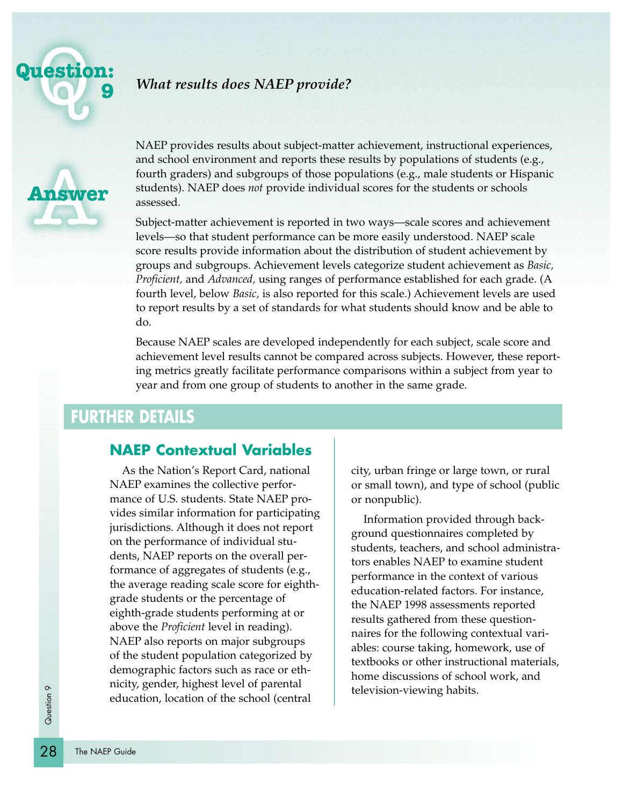

### *What results does NAEP provide?*



NAEP provides results about subject-matter achievement, instructional experiences, and school environment and reports these results by populations of students (e.g., fourth graders) and subgroups of those populations (e.g., male students or Hispanic students). NAEP does *not* provide individual scores for the students or schools assessed.

Subject-matter achievement is reported in two ways—scale scores and achievement levels—so that student performance can be more easily understood. NAEP scale score results provide information about the distribution of student achievement by groups and subgroups. Achievement levels categorize student achievement as *Basic, Proficient,* and *Advanced,* using ranges of performance established for each grade. (A fourth level, below *Basic,* is also reported for this scale.) Achievement levels are used to report results by a set of standards for what students should know and be able to do.

Because NAEP scales are developed independently for each subject, scale score and achievement level results cannot be compared across subjects. However, these reporting metrics greatly facilitate performance comparisons within a subject from year to year and from one group of students to another in the same grade.

# **FURTHER DETAILS**

#### **NAEP Contextual Variables**

As the Nation's Report Card, national NAEP examines the collective performance of U.S. students. State NAEP provides similar information for participating jurisdictions. Although it does not report on the performance of individual students, NAEP reports on the overall performance of aggregates of students (e.g., the average reading scale score for eighthgrade students or the percentage of eighth-grade students performing at or above the *Proficient* level in reading). NAEP also reports on major subgroups of the student population categorized by demographic factors such as race or ethnicity, gender, highest level of parental education, location of the school (central

city, urban fringe or large town, or rural or small town), and type of school (public or nonpublic).

Information provided through background questionnaires completed by students, teachers, and school administrators enables NAEP to examine student performance in the context of various education-related factors. For instance, the NAEP 1998 assessments reported results gathered from these questionnaires for the following contextual variables: course taking, homework, use of textbooks or other instructional materials, home discussions of school work, and television-viewing habits.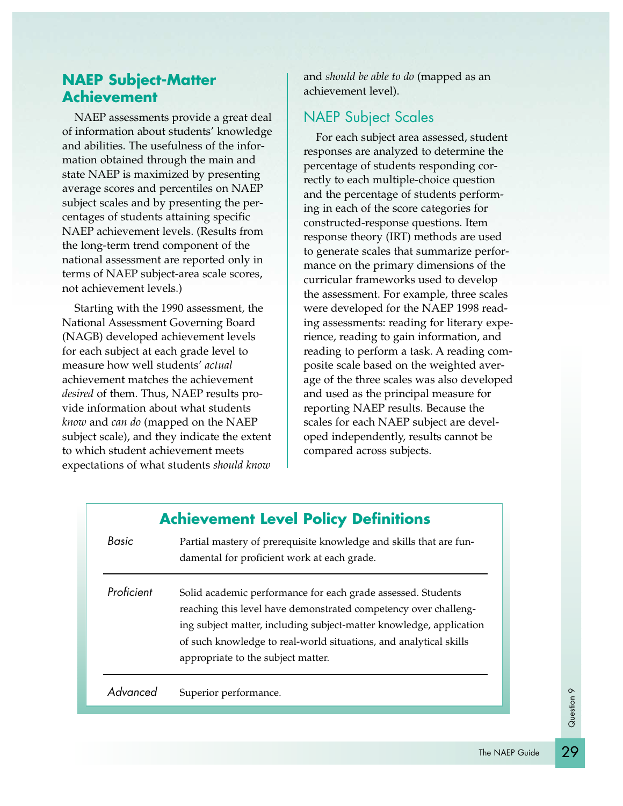# **NAEP Subject-Matter Achievement**

NAEP assessments provide a great deal of information about students' knowledge and abilities. The usefulness of the information obtained through the main and state NAEP is maximized by presenting average scores and percentiles on NAEP subject scales and by presenting the percentages of students attaining specific NAEP achievement levels. (Results from the long-term trend component of the national assessment are reported only in terms of NAEP subject-area scale scores, not achievement levels.)

Starting with the 1990 assessment, the National Assessment Governing Board (NAGB) developed achievement levels for each subject at each grade level to measure how well students' *actual* achievement matches the achievement *desired* of them. Thus, NAEP results provide information about what students *know* and *can do* (mapped on the NAEP subject scale), and they indicate the extent to which student achievement meets expectations of what students *should know*

and *should be able to do* (mapped as an achievement level).

### NAEP Subject Scales

For each subject area assessed, student responses are analyzed to determine the percentage of students responding correctly to each multiple-choice question and the percentage of students performing in each of the score categories for constructed-response questions. Item response theory (IRT) methods are used to generate scales that summarize performance on the primary dimensions of the curricular frameworks used to develop the assessment. For example, three scales were developed for the NAEP 1998 reading assessments: reading for literary experience, reading to gain information, and reading to perform a task. A reading composite scale based on the weighted average of the three scales was also developed and used as the principal measure for reporting NAEP results. Because the scales for each NAEP subject are developed independently, results cannot be compared across subjects.

|            | <b>Achievement Level Policy Definitions</b>                                                                                                                                                                                                                                                                       |
|------------|-------------------------------------------------------------------------------------------------------------------------------------------------------------------------------------------------------------------------------------------------------------------------------------------------------------------|
| Basic      | Partial mastery of prerequisite knowledge and skills that are fun-<br>damental for proficient work at each grade.                                                                                                                                                                                                 |
| Proficient | Solid academic performance for each grade assessed. Students<br>reaching this level have demonstrated competency over challeng-<br>ing subject matter, including subject-matter knowledge, application<br>of such knowledge to real-world situations, and analytical skills<br>appropriate to the subject matter. |
| Advancec   | Superior performance.                                                                                                                                                                                                                                                                                             |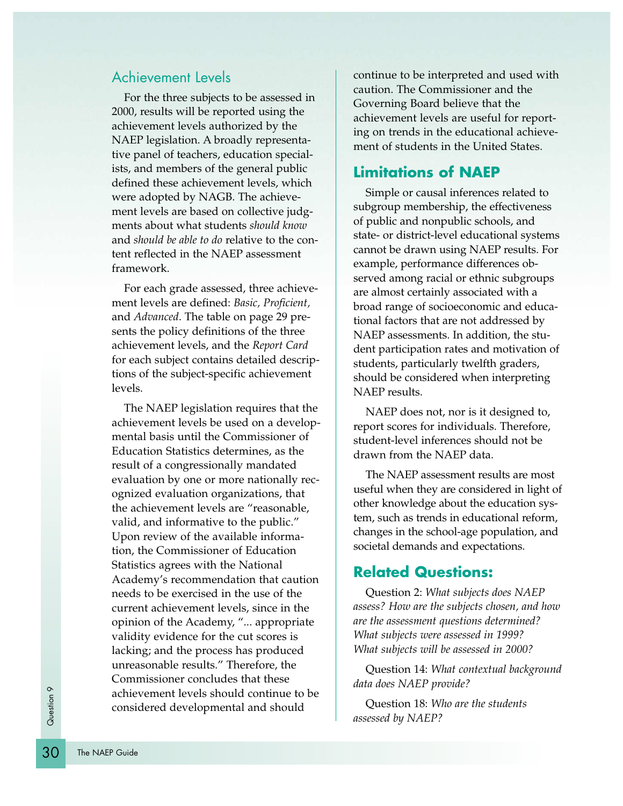#### Achievement Levels

For the three subjects to be assessed in 2000, results will be reported using the achievement levels authorized by the NAEP legislation. A broadly representative panel of teachers, education specialists, and members of the general public defined these achievement levels, which were adopted by NAGB. The achievement levels are based on collective judgments about what students *should know* and *should be able to do* relative to the content reflected in the NAEP assessment framework.

For each grade assessed, three achievement levels are defined: *Basic, Proficient,* and *Advanced*. The table on page 29 presents the policy definitions of the three achievement levels, and the *Report Card* for each subject contains detailed descriptions of the subject-specific achievement levels.

The NAEP legislation requires that the achievement levels be used on a developmental basis until the Commissioner of Education Statistics determines, as the result of a congressionally mandated evaluation by one or more nationally recognized evaluation organizations, that the achievement levels are "reasonable, valid, and informative to the public." Upon review of the available information, the Commissioner of Education Statistics agrees with the National Academy's recommendation that caution needs to be exercised in the use of the current achievement levels, since in the opinion of the Academy, "... appropriate validity evidence for the cut scores is lacking; and the process has produced unreasonable results." Therefore, the Commissioner concludes that these achievement levels should continue to be considered developmental and should

continue to be interpreted and used with caution. The Commissioner and the Governing Board believe that the achievement levels are useful for reporting on trends in the educational achievement of students in the United States.

#### **Limitations of NAEP**

Simple or causal inferences related to subgroup membership, the effectiveness of public and nonpublic schools, and state- or district-level educational systems cannot be drawn using NAEP results. For example, performance differences observed among racial or ethnic subgroups are almost certainly associated with a broad range of socioeconomic and educational factors that are not addressed by NAEP assessments. In addition, the student participation rates and motivation of students, particularly twelfth graders, should be considered when interpreting NAEP results.

NAEP does not, nor is it designed to, report scores for individuals. Therefore, student-level inferences should not be drawn from the NAEP data.

The NAEP assessment results are most useful when they are considered in light of other knowledge about the education system, such as trends in educational reform, changes in the school-age population, and societal demands and expectations.

#### **Related Questions:**

Question 2: *What subjects does NAEP assess? How are the subjects chosen, and how are the assessment questions determined? What subjects were assessed in 1999? What subjects will be assessed in 2000?*

Question 14: *What contextual background data does NAEP provide?*

Question 18: *Who are the students assessed by NAEP?*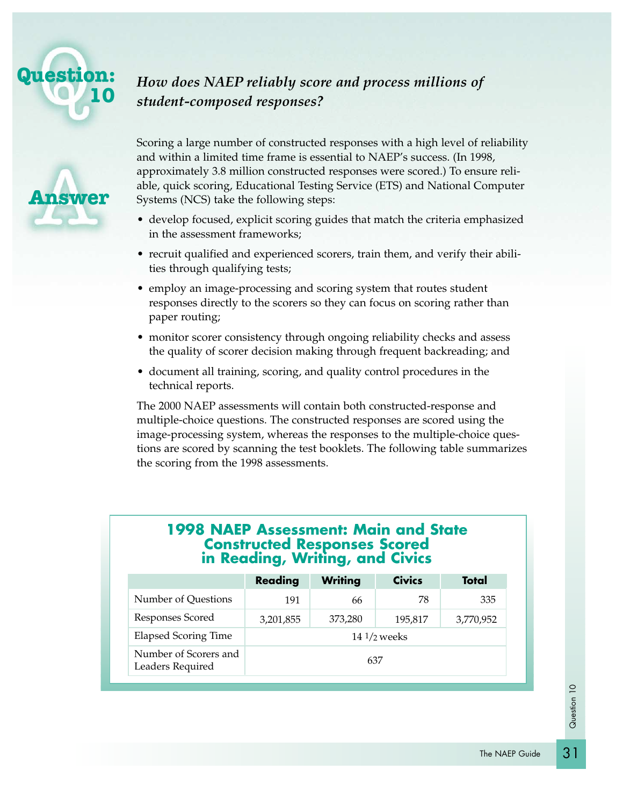

# *How does NAEP reliably score and process millions of student-composed responses?*

Scoring a large number of constructed responses with a high level of reliability and within a limited time frame is essential to NAEP's success. (In 1998, approximately 3.8 million constructed responses were scored.) To ensure reliable, quick scoring, Educational Testing Service (ETS) and National Computer Systems (NCS) take the following steps:

- develop focused, explicit scoring guides that match the criteria emphasized in the assessment frameworks;
- recruit qualified and experienced scorers, train them, and verify their abilities through qualifying tests;
- employ an image-processing and scoring system that routes student responses directly to the scorers so they can focus on scoring rather than paper routing;
- monitor scorer consistency through ongoing reliability checks and assess the quality of scorer decision making through frequent backreading; and
- document all training, scoring, and quality control procedures in the technical reports.

The 2000 NAEP assessments will contain both constructed-response and multiple-choice questions. The constructed responses are scored using the image-processing system, whereas the responses to the multiple-choice questions are scored by scanning the test booklets. The following table summarizes the scoring from the 1998 assessments.

#### **1998 NAEP Assessment: Main and State Constructed Responses Scored in Reading, Writing, and Civics**

|                                           | Reading   | <b>Writing</b> | <b>Civics</b> | Total     |
|-------------------------------------------|-----------|----------------|---------------|-----------|
| Number of Questions                       | 191       | 66             | 78            | 335       |
| Responses Scored                          | 3,201,855 | 373,280        | 195,817       | 3,770,952 |
| <b>Elapsed Scoring Time</b>               |           |                | $141/2$ weeks |           |
| Number of Scorers and<br>Leaders Required |           | 637            |               |           |

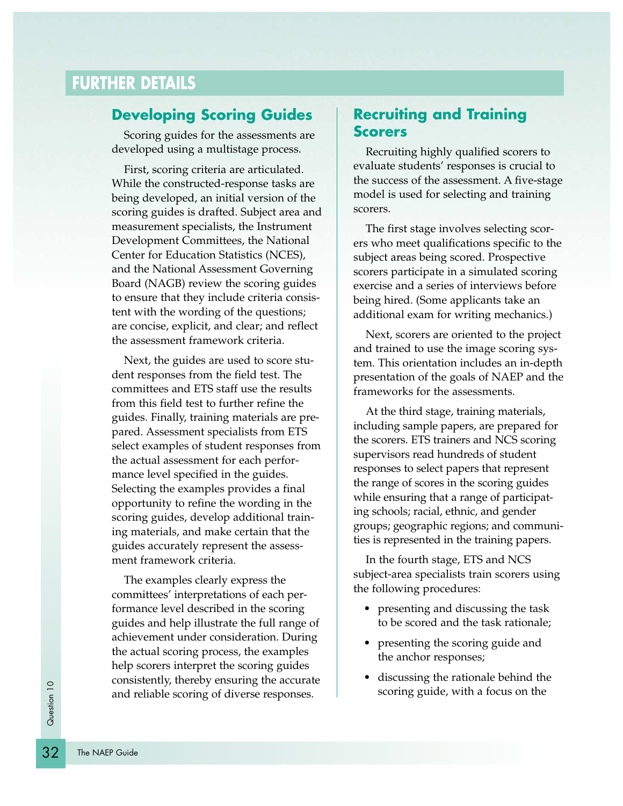### **Developing Scoring Guides**

Scoring guides for the assessments are developed using a multistage process.

First, scoring criteria are articulated. While the constructed-response tasks are being developed, an initial version of the scoring guides is drafted. Subject area and measurement specialists, the Instrument Development Committees, the National Center for Education Statistics (NCES), and the National Assessment Governing Board (NAGB) review the scoring guides to ensure that they include criteria consistent with the wording of the questions; are concise, explicit, and clear; and reflect the assessment framework criteria.

Next, the guides are used to score student responses from the field test. The committees and ETS staff use the results from this field test to further refine the guides. Finally, training materials are prepared. Assessment specialists from ETS select examples of student responses from the actual assessment for each performance level specified in the guides. Selecting the examples provides a final opportunity to refine the wording in the scoring guides, develop additional training materials, and make certain that the guides accurately represent the assessment framework criteria.

The examples clearly express the committees' interpretations of each performance level described in the scoring guides and help illustrate the full range of achievement under consideration. During the actual scoring process, the examples help scorers interpret the scoring guides consistently, thereby ensuring the accurate and reliable scoring of diverse responses.

### **Recruiting and Training Scorers**

Recruiting highly qualified scorers to evaluate students' responses is crucial to the success of the assessment. A five-stage model is used for selecting and training scorers.

The first stage involves selecting scorers who meet qualifications specific to the subject areas being scored. Prospective scorers participate in a simulated scoring exercise and a series of interviews before being hired. (Some applicants take an additional exam for writing mechanics.)

Next, scorers are oriented to the project and trained to use the image scoring system. This orientation includes an in-depth presentation of the goals of NAEP and the frameworks for the assessments.

At the third stage, training materials, including sample papers, are prepared for the scorers. ETS trainers and NCS scoring supervisors read hundreds of student responses to select papers that represent the range of scores in the scoring guides while ensuring that a range of participating schools; racial, ethnic, and gender groups; geographic regions; and communities is represented in the training papers.

In the fourth stage, ETS and NCS subject-area specialists train scorers using the following procedures:

- presenting and discussing the task to be scored and the task rationale;
- presenting the scoring guide and the anchor responses;
- discussing the rationale behind the scoring guide, with a focus on the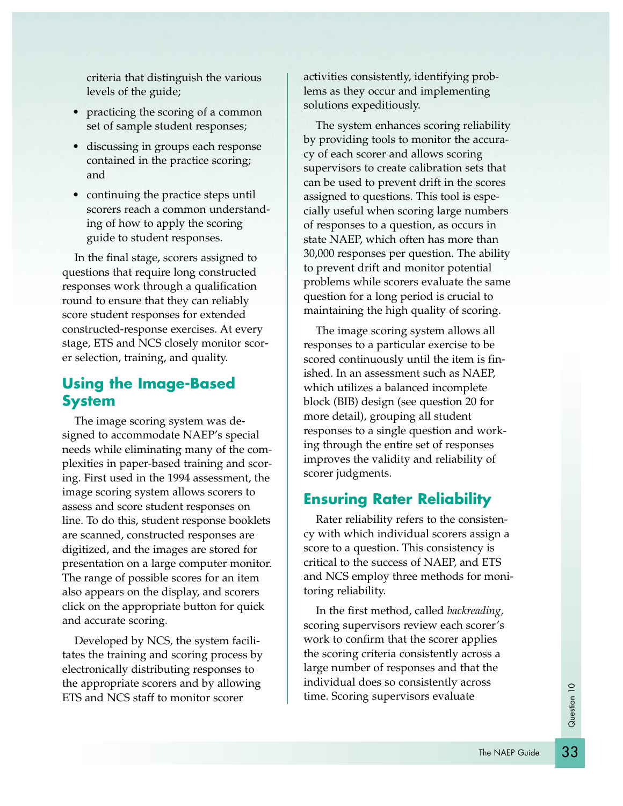criteria that distinguish the various levels of the guide;

- practicing the scoring of a common set of sample student responses;
- discussing in groups each response contained in the practice scoring; and
- continuing the practice steps until scorers reach a common understanding of how to apply the scoring guide to student responses.

In the final stage, scorers assigned to questions that require long constructed responses work through a qualification round to ensure that they can reliably score student responses for extended constructed-response exercises. At every stage, ETS and NCS closely monitor scorer selection, training, and quality.

# **Using the Image-Based System**

The image scoring system was designed to accommodate NAEP's special needs while eliminating many of the complexities in paper-based training and scoring. First used in the 1994 assessment, the image scoring system allows scorers to assess and score student responses on line. To do this, student response booklets are scanned, constructed responses are digitized, and the images are stored for presentation on a large computer monitor. The range of possible scores for an item also appears on the display, and scorers click on the appropriate button for quick and accurate scoring.

Developed by NCS, the system facilitates the training and scoring process by electronically distributing responses to the appropriate scorers and by allowing ETS and NCS staff to monitor scorer

activities consistently, identifying problems as they occur and implementing solutions expeditiously.

The system enhances scoring reliability by providing tools to monitor the accuracy of each scorer and allows scoring supervisors to create calibration sets that can be used to prevent drift in the scores assigned to questions. This tool is especially useful when scoring large numbers of responses to a question, as occurs in state NAEP, which often has more than 30,000 responses per question. The ability to prevent drift and monitor potential problems while scorers evaluate the same question for a long period is crucial to maintaining the high quality of scoring.

The image scoring system allows all responses to a particular exercise to be scored continuously until the item is finished. In an assessment such as NAEP, which utilizes a balanced incomplete block (BIB) design (see question 20 for more detail), grouping all student responses to a single question and working through the entire set of responses improves the validity and reliability of scorer judgments.

# **Ensuring Rater Reliability**

Rater reliability refers to the consistency with which individual scorers assign a score to a question. This consistency is critical to the success of NAEP, and ETS and NCS employ three methods for monitoring reliability.

In the first method, called *backreading,* scoring supervisors review each scorer's work to confirm that the scorer applies the scoring criteria consistently across a large number of responses and that the individual does so consistently across time. Scoring supervisors evaluate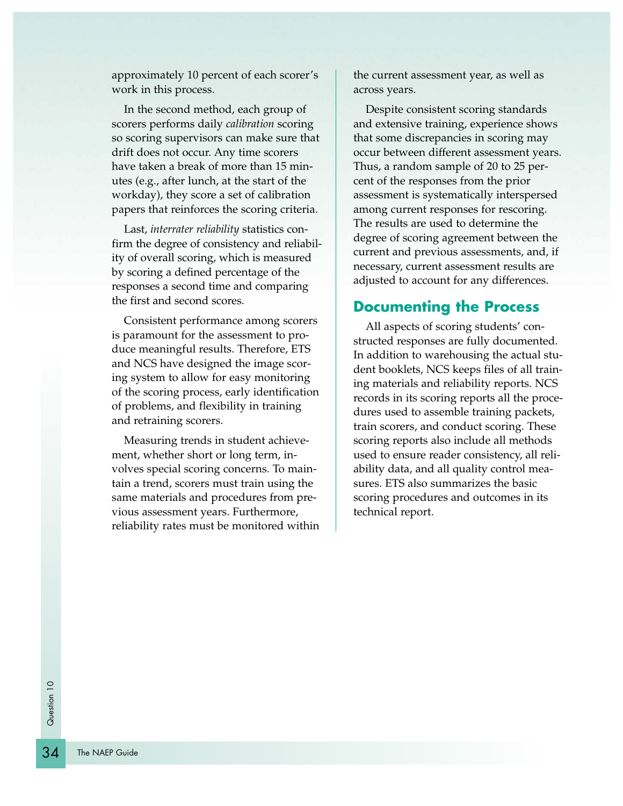approximately 10 percent of each scorer's work in this process.

In the second method, each group of scorers performs daily *calibration* scoring so scoring supervisors can make sure that drift does not occur. Any time scorers have taken a break of more than 15 minutes (e.g., after lunch, at the start of the workday), they score a set of calibration papers that reinforces the scoring criteria.

Last, *interrater reliability* statistics confirm the degree of consistency and reliability of overall scoring, which is measured by scoring a defined percentage of the responses a second time and comparing the first and second scores.

Consistent performance among scorers is paramount for the assessment to produce meaningful results. Therefore, ETS and NCS have designed the image scoring system to allow for easy monitoring of the scoring process, early identification of problems, and flexibility in training and retraining scorers.

Measuring trends in student achievement, whether short or long term, involves special scoring concerns. To maintain a trend, scorers must train using the same materials and procedures from previous assessment years. Furthermore, reliability rates must be monitored within

the current assessment year, as well as across years.

Despite consistent scoring standards and extensive training, experience shows that some discrepancies in scoring may occur between different assessment years. Thus, a random sample of 20 to 25 percent of the responses from the prior assessment is systematically interspersed among current responses for rescoring. The results are used to determine the degree of scoring agreement between the current and previous assessments, and, if necessary, current assessment results are adjusted to account for any differences.

#### **Documenting the Process**

All aspects of scoring students' constructed responses are fully documented. In addition to warehousing the actual student booklets, NCS keeps files of all training materials and reliability reports. NCS records in its scoring reports all the procedures used to assemble training packets, train scorers, and conduct scoring. These scoring reports also include all methods used to ensure reader consistency, all reliability data, and all quality control measures. ETS also summarizes the basic scoring procedures and outcomes in its technical report.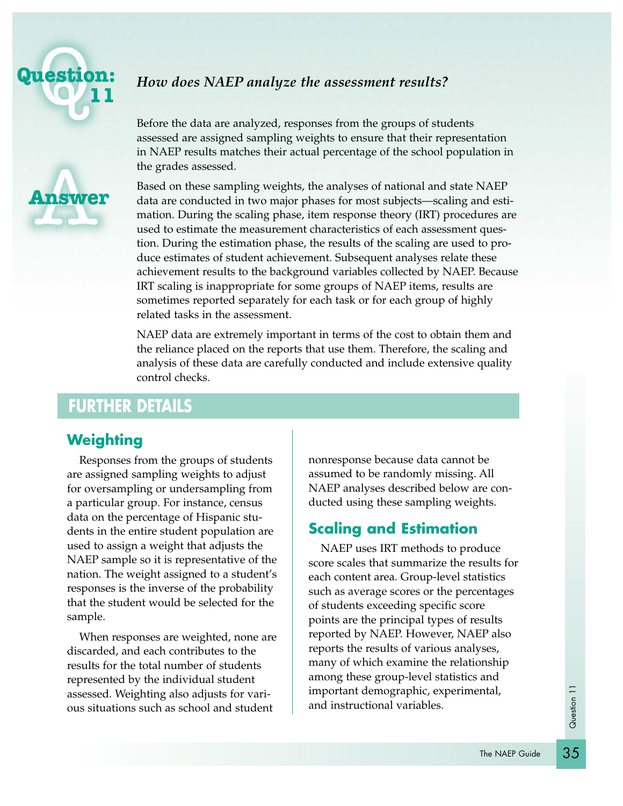

**Answer**

# *How does NAEP analyze the assessment results?*

Before the data are analyzed, responses from the groups of students assessed are assigned sampling weights to ensure that their representation in NAEP results matches their actual percentage of the school population in the grades assessed.

Based on these sampling weights, the analyses of national and state NAEP data are conducted in two major phases for most subjects—scaling and estimation. During the scaling phase, item response theory (IRT) procedures are used to estimate the measurement characteristics of each assessment question. During the estimation phase, the results of the scaling are used to produce estimates of student achievement. Subsequent analyses relate these achievement results to the background variables collected by NAEP. Because IRT scaling is inappropriate for some groups of NAEP items, results are sometimes reported separately for each task or for each group of highly related tasks in the assessment.

NAEP data are extremely important in terms of the cost to obtain them and the reliance placed on the reports that use them. Therefore, the scaling and analysis of these data are carefully conducted and include extensive quality control checks.

# **FURTHER DETAILS**

# **Weighting**

Responses from the groups of students are assigned sampling weights to adjust for oversampling or undersampling from a particular group. For instance, census data on the percentage of Hispanic students in the entire student population are used to assign a weight that adjusts the NAEP sample so it is representative of the nation. The weight assigned to a student's responses is the inverse of the probability that the student would be selected for the sample.

When responses are weighted, none are discarded, and each contributes to the results for the total number of students represented by the individual student assessed. Weighting also adjusts for various situations such as school and student

nonresponse because data cannot be assumed to be randomly missing. All NAEP analyses described below are conducted using these sampling weights.

# **Scaling and Estimation**

NAEP uses IRT methods to produce score scales that summarize the results for each content area. Group-level statistics such as average scores or the percentages of students exceeding specific score points are the principal types of results reported by NAEP. However, NAEP also reports the results of various analyses, many of which examine the relationship among these group-level statistics and important demographic, experimental, and instructional variables.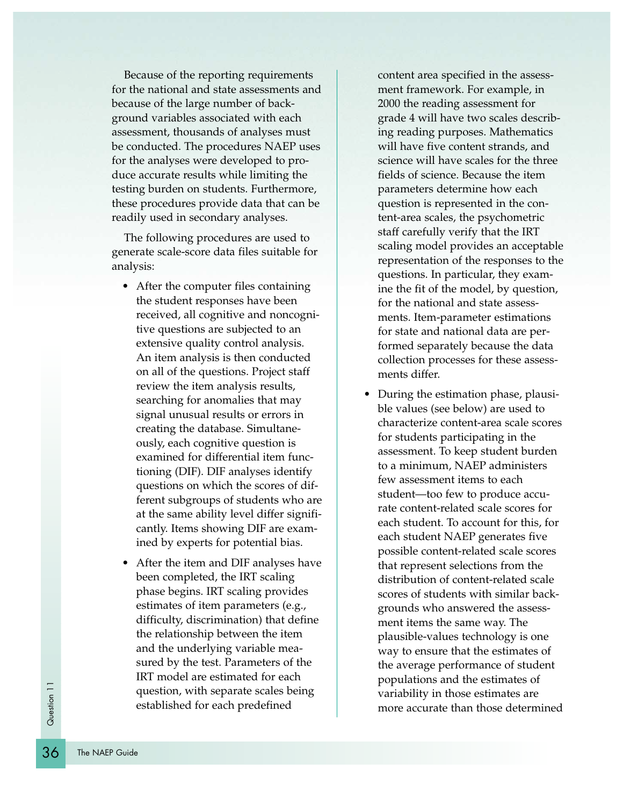Because of the reporting requirements for the national and state assessments and because of the large number of background variables associated with each assessment, thousands of analyses must be conducted. The procedures NAEP uses for the analyses were developed to produce accurate results while limiting the testing burden on students. Furthermore, these procedures provide data that can be readily used in secondary analyses.

The following procedures are used to generate scale-score data files suitable for analysis:

- After the computer files containing the student responses have been received, all cognitive and noncognitive questions are subjected to an extensive quality control analysis. An item analysis is then conducted on all of the questions. Project staff review the item analysis results, searching for anomalies that may signal unusual results or errors in creating the database. Simultaneously, each cognitive question is examined for differential item functioning (DIF). DIF analyses identify questions on which the scores of different subgroups of students who are at the same ability level differ significantly. Items showing DIF are examined by experts for potential bias.
- After the item and DIF analyses have been completed, the IRT scaling phase begins. IRT scaling provides estimates of item parameters (e.g., difficulty, discrimination) that define the relationship between the item and the underlying variable measured by the test. Parameters of the IRT model are estimated for each question, with separate scales being established for each predefined

content area specified in the assessment framework. For example, in 2000 the reading assessment for grade 4 will have two scales describing reading purposes. Mathematics will have five content strands, and science will have scales for the three fields of science. Because the item parameters determine how each question is represented in the content-area scales, the psychometric staff carefully verify that the IRT scaling model provides an acceptable representation of the responses to the questions. In particular, they examine the fit of the model, by question, for the national and state assessments. Item-parameter estimations for state and national data are performed separately because the data collection processes for these assessments differ.

• During the estimation phase, plausible values (see below) are used to characterize content-area scale scores for students participating in the assessment. To keep student burden to a minimum, NAEP administers few assessment items to each student—too few to produce accurate content-related scale scores for each student. To account for this, for each student NAEP generates five possible content-related scale scores that represent selections from the distribution of content-related scale scores of students with similar backgrounds who answered the assessment items the same way. The plausible-values technology is one way to ensure that the estimates of the average performance of student populations and the estimates of variability in those estimates are more accurate than those determined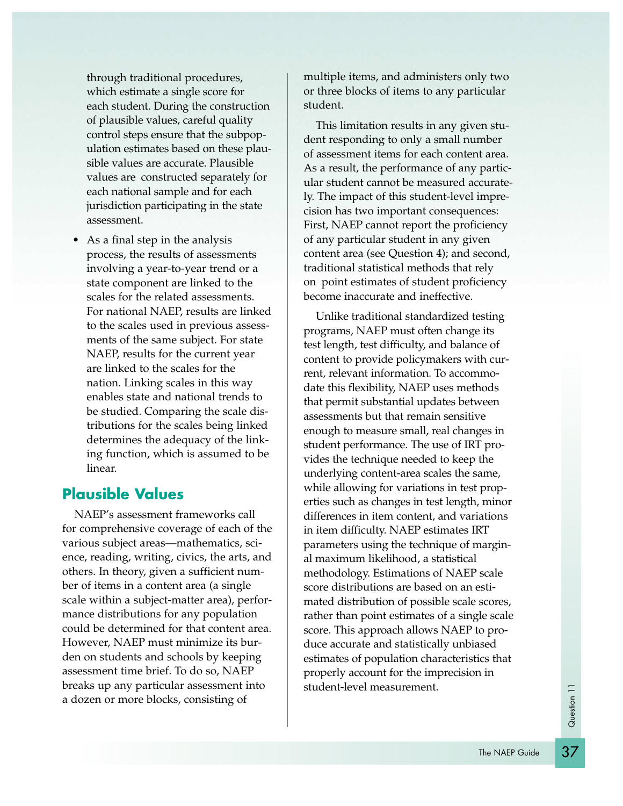through traditional procedures, which estimate a single score for each student. During the construction of plausible values, careful quality control steps ensure that the subpopulation estimates based on these plausible values are accurate. Plausible values are constructed separately for each national sample and for each jurisdiction participating in the state assessment.

• As a final step in the analysis process, the results of assessments involving a year-to-year trend or a state component are linked to the scales for the related assessments. For national NAEP, results are linked to the scales used in previous assessments of the same subject. For state NAEP, results for the current year are linked to the scales for the nation. Linking scales in this way enables state and national trends to be studied. Comparing the scale distributions for the scales being linked determines the adequacy of the linking function, which is assumed to be linear.

### **Plausible Values**

NAEP's assessment frameworks call for comprehensive coverage of each of the various subject areas—mathematics, science, reading, writing, civics, the arts, and others. In theory, given a sufficient number of items in a content area (a single scale within a subject-matter area), performance distributions for any population could be determined for that content area. However, NAEP must minimize its burden on students and schools by keeping assessment time brief. To do so, NAEP breaks up any particular assessment into a dozen or more blocks, consisting of

multiple items, and administers only two or three blocks of items to any particular student.

This limitation results in any given student responding to only a small number of assessment items for each content area. As a result, the performance of any particular student cannot be measured accurately. The impact of this student-level imprecision has two important consequences: First, NAEP cannot report the proficiency of any particular student in any given content area (see Question 4); and second, traditional statistical methods that rely on point estimates of student proficiency become inaccurate and ineffective.

Unlike traditional standardized testing programs, NAEP must often change its test length, test difficulty, and balance of content to provide policymakers with current, relevant information. To accommodate this flexibility, NAEP uses methods that permit substantial updates between assessments but that remain sensitive enough to measure small, real changes in student performance. The use of IRT provides the technique needed to keep the underlying content-area scales the same, while allowing for variations in test properties such as changes in test length, minor differences in item content, and variations in item difficulty. NAEP estimates IRT parameters using the technique of marginal maximum likelihood, a statistical methodology. Estimations of NAEP scale score distributions are based on an estimated distribution of possible scale scores, rather than point estimates of a single scale score. This approach allows NAEP to produce accurate and statistically unbiased estimates of population characteristics that properly account for the imprecision in student-level measurement.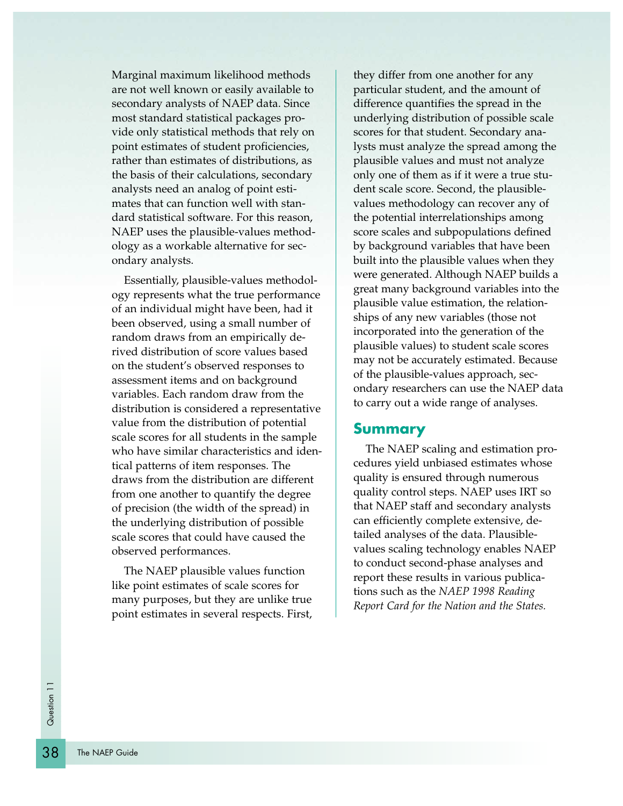Marginal maximum likelihood methods are not well known or easily available to secondary analysts of NAEP data. Since most standard statistical packages provide only statistical methods that rely on point estimates of student proficiencies, rather than estimates of distributions, as the basis of their calculations, secondary analysts need an analog of point estimates that can function well with standard statistical software. For this reason, NAEP uses the plausible-values methodology as a workable alternative for secondary analysts.

Essentially, plausible-values methodology represents what the true performance of an individual might have been, had it been observed, using a small number of random draws from an empirically derived distribution of score values based on the student's observed responses to assessment items and on background variables. Each random draw from the distribution is considered a representative value from the distribution of potential scale scores for all students in the sample who have similar characteristics and identical patterns of item responses. The draws from the distribution are different from one another to quantify the degree of precision (the width of the spread) in the underlying distribution of possible scale scores that could have caused the observed performances.

The NAEP plausible values function like point estimates of scale scores for many purposes, but they are unlike true point estimates in several respects. First, they differ from one another for any particular student, and the amount of difference quantifies the spread in the underlying distribution of possible scale scores for that student. Secondary analysts must analyze the spread among the plausible values and must not analyze only one of them as if it were a true student scale score. Second, the plausiblevalues methodology can recover any of the potential interrelationships among score scales and subpopulations defined by background variables that have been built into the plausible values when they were generated. Although NAEP builds a great many background variables into the plausible value estimation, the relationships of any new variables (those not incorporated into the generation of the plausible values) to student scale scores may not be accurately estimated. Because of the plausible-values approach, secondary researchers can use the NAEP data to carry out a wide range of analyses.

#### **Summary**

The NAEP scaling and estimation procedures yield unbiased estimates whose quality is ensured through numerous quality control steps. NAEP uses IRT so that NAEP staff and secondary analysts can efficiently complete extensive, detailed analyses of the data. Plausiblevalues scaling technology enables NAEP to conduct second-phase analyses and report these results in various publications such as the *NAEP 1998 Reading Report Card for the Nation and the States.*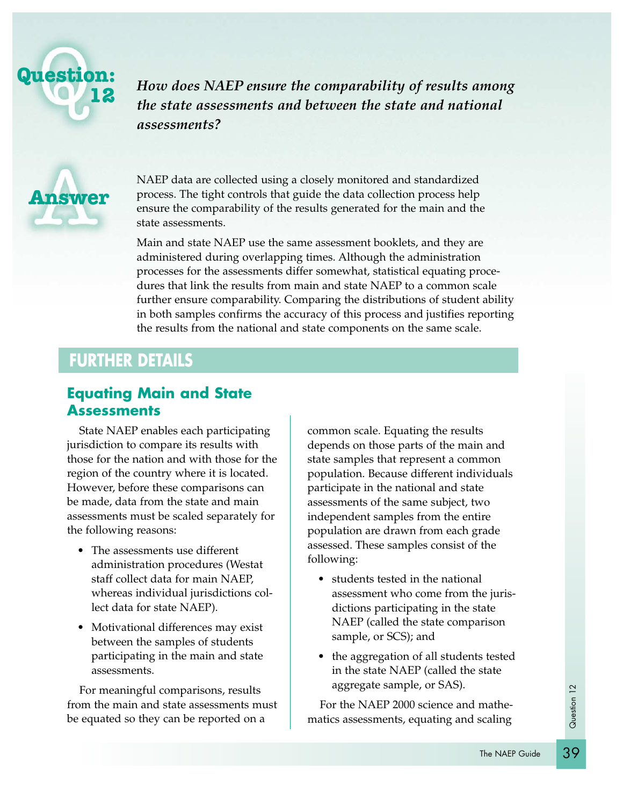

*How does NAEP ensure the comparability of results among the state assessments and between the state and national assessments?*



NAEP data are collected using a closely monitored and standardized process. The tight controls that guide the data collection process help ensure the comparability of the results generated for the main and the state assessments.

Main and state NAEP use the same assessment booklets, and they are administered during overlapping times. Although the administration processes for the assessments differ somewhat, statistical equating procedures that link the results from main and state NAEP to a common scale further ensure comparability. Comparing the distributions of student ability in both samples confirms the accuracy of this process and justifies reporting the results from the national and state components on the same scale.

# **FURTHER DETAILS**

### **Equating Main and State Assessments**

State NAEP enables each participating jurisdiction to compare its results with those for the nation and with those for the region of the country where it is located. However, before these comparisons can be made, data from the state and main assessments must be scaled separately for the following reasons:

- The assessments use different administration procedures (Westat staff collect data for main NAEP, whereas individual jurisdictions collect data for state NAEP).
- Motivational differences may exist between the samples of students participating in the main and state assessments.

For meaningful comparisons, results from the main and state assessments must be equated so they can be reported on a

common scale. Equating the results depends on those parts of the main and state samples that represent a common population. Because different individuals participate in the national and state assessments of the same subject, two independent samples from the entire population are drawn from each grade assessed. These samples consist of the following:

- students tested in the national assessment who come from the jurisdictions participating in the state NAEP (called the state comparison sample, or SCS); and
- the aggregation of all students tested in the state NAEP (called the state aggregate sample, or SAS).

For the NAEP 2000 science and mathematics assessments, equating and scaling

39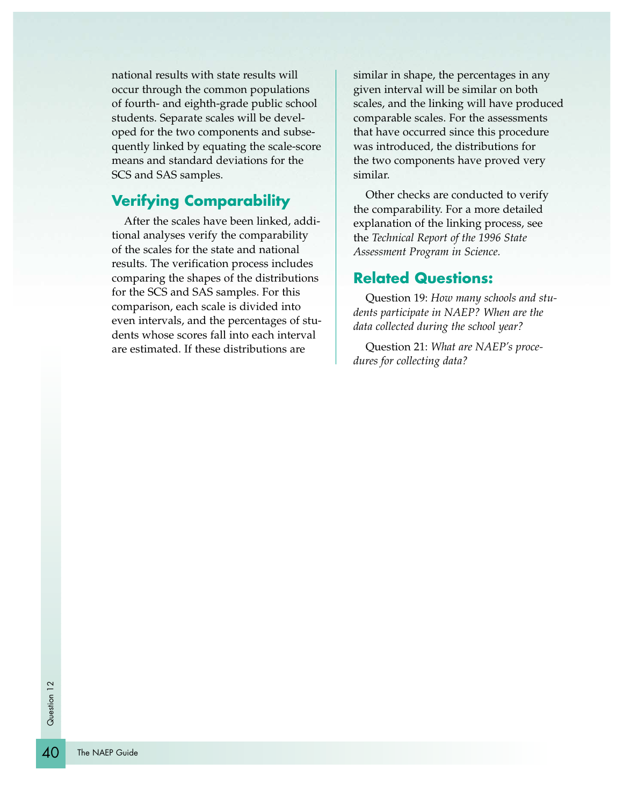national results with state results will occur through the common populations of fourth- and eighth-grade public school students. Separate scales will be developed for the two components and subsequently linked by equating the scale-score means and standard deviations for the SCS and SAS samples.

# **Verifying Comparability**

After the scales have been linked, additional analyses verify the comparability of the scales for the state and national results. The verification process includes comparing the shapes of the distributions for the SCS and SAS samples. For this comparison, each scale is divided into even intervals, and the percentages of students whose scores fall into each interval are estimated. If these distributions are

similar in shape, the percentages in any given interval will be similar on both scales, and the linking will have produced comparable scales. For the assessments that have occurred since this procedure was introduced, the distributions for the two components have proved very similar.

Other checks are conducted to verify the comparability. For a more detailed explanation of the linking process, see the *Technical Report of the 1996 State Assessment Program in Science.*

### **Related Questions:**

Question 19: *How many schools and students participate in NAEP? When are the data collected during the school year?*

Question 21: *What are NAEP's procedures for collecting data?*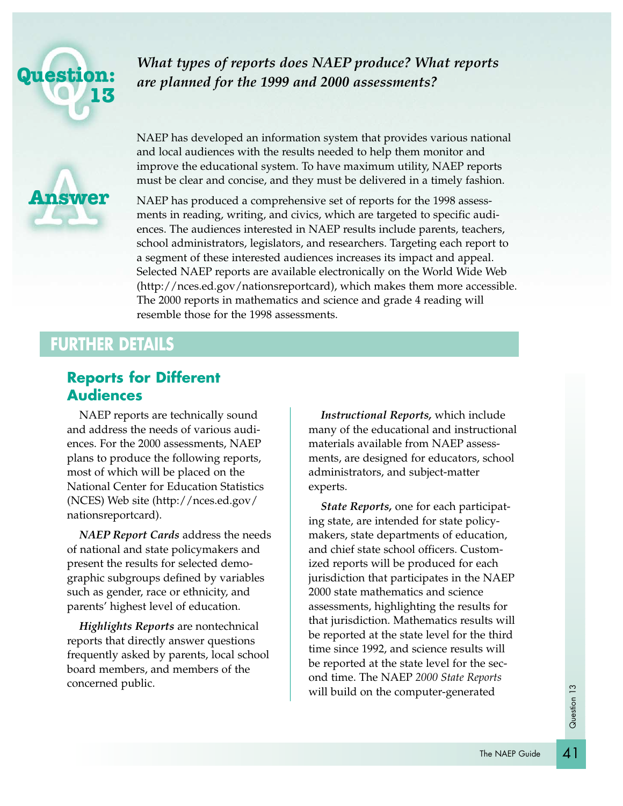

*What types of reports does NAEP produce? What reports are planned for the 1999 and 2000 assessments?* 



NAEP has developed an information system that provides various national and local audiences with the results needed to help them monitor and improve the educational system. To have maximum utility, NAEP reports must be clear and concise, and they must be delivered in a timely fashion.

NAEP has produced a comprehensive set of reports for the 1998 assessments in reading, writing, and civics, which are targeted to specific audiences. The audiences interested in NAEP results include parents, teachers, school administrators, legislators, and researchers. Targeting each report to a segment of these interested audiences increases its impact and appeal. Selected NAEP reports are available electronically on the World Wide Web (http://nces.ed.gov/nationsreportcard), which makes them more accessible. The 2000 reports in mathematics and science and grade 4 reading will resemble those for the 1998 assessments.

# **FURTHER DETAILS**

# **Reports for Different Audiences**

NAEP reports are technically sound and address the needs of various audiences. For the 2000 assessments, NAEP plans to produce the following reports, most of which will be placed on the National Center for Education Statistics (NCES) Web site (http://nces.ed.gov/ nationsreportcard).

*NAEP Report Cards* address the needs of national and state policymakers and present the results for selected demographic subgroups defined by variables such as gender, race or ethnicity, and parents' highest level of education.

*Highlights Reports* are nontechnical reports that directly answer questions frequently asked by parents, local school board members, and members of the concerned public.

*Instructional Reports,* which include many of the educational and instructional materials available from NAEP assessments, are designed for educators, school administrators, and subject-matter experts.

*State Reports,* one for each participating state, are intended for state policymakers, state departments of education, and chief state school officers. Customized reports will be produced for each jurisdiction that participates in the NAEP 2000 state mathematics and science assessments, highlighting the results for that jurisdiction. Mathematics results will be reported at the state level for the third time since 1992, and science results will be reported at the state level for the second time. The NAEP *2000 State Reports* will build on the computer-generated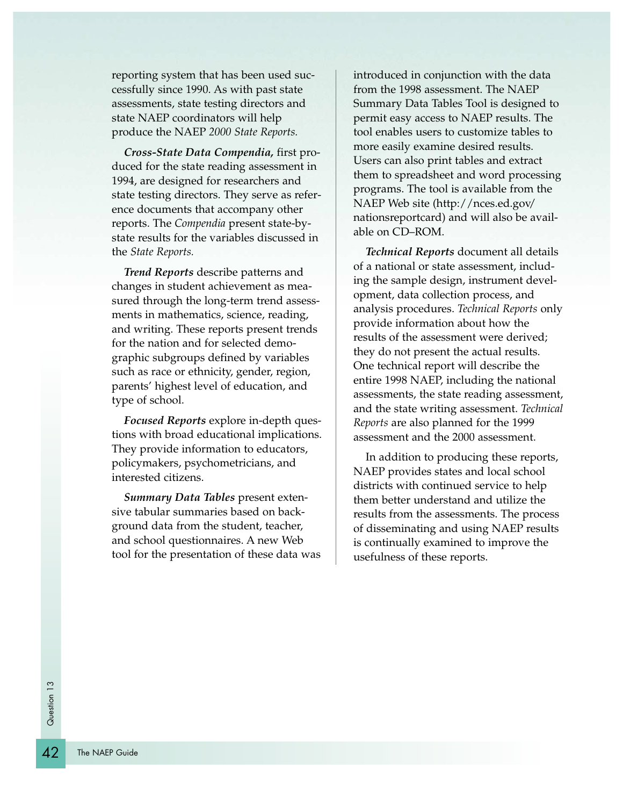reporting system that has been used successfully since 1990. As with past state assessments, state testing directors and state NAEP coordinators will help produce the NAEP *2000 State Reports.*

*Cross-State Data Compendia,* first produced for the state reading assessment in 1994, are designed for researchers and state testing directors. They serve as reference documents that accompany other reports. The *Compendia* present state-bystate results for the variables discussed in the *State Reports.*

*Trend Reports* describe patterns and changes in student achievement as measured through the long-term trend assessments in mathematics, science, reading, and writing. These reports present trends for the nation and for selected demographic subgroups defined by variables such as race or ethnicity, gender, region, parents' highest level of education, and type of school.

*Focused Reports* explore in-depth questions with broad educational implications. They provide information to educators, policymakers, psychometricians, and interested citizens.

*Summary Data Tables* present extensive tabular summaries based on background data from the student, teacher, and school questionnaires. A new Web tool for the presentation of these data was introduced in conjunction with the data from the 1998 assessment. The NAEP Summary Data Tables Tool is designed to permit easy access to NAEP results. The tool enables users to customize tables to more easily examine desired results. Users can also print tables and extract them to spreadsheet and word processing programs. The tool is available from the NAEP Web site (http://nces.ed.gov/ nationsreportcard) and will also be available on CD–ROM.

*Technical Reports* document all details of a national or state assessment, including the sample design, instrument development, data collection process, and analysis procedures. *Technical Reports* only provide information about how the results of the assessment were derived; they do not present the actual results. One technical report will describe the entire 1998 NAEP, including the national assessments, the state reading assessment, and the state writing assessment. *Technical Reports* are also planned for the 1999 assessment and the 2000 assessment.

In addition to producing these reports, NAEP provides states and local school districts with continued service to help them better understand and utilize the results from the assessments. The process of disseminating and using NAEP results is continually examined to improve the usefulness of these reports.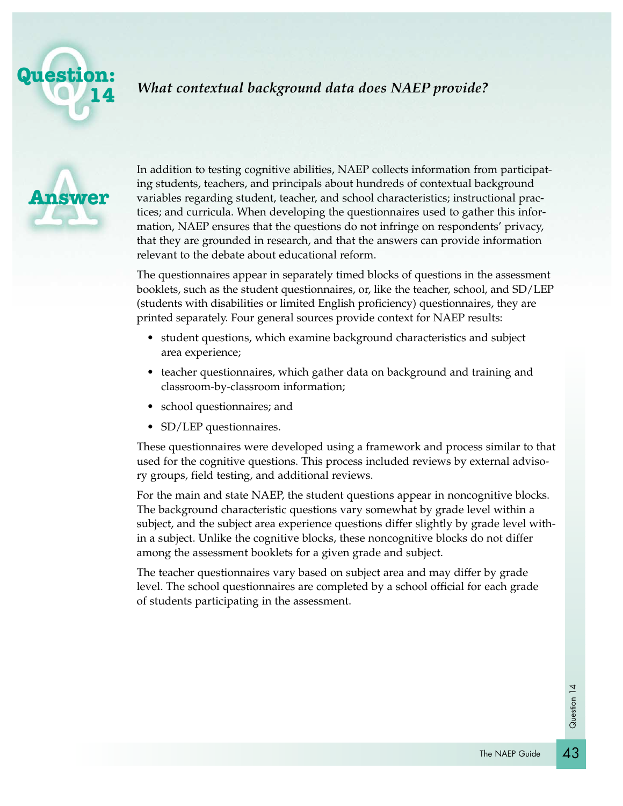

# *What contextual background data does NAEP provide?*



In addition to testing cognitive abilities, NAEP collects information from participating students, teachers, and principals about hundreds of contextual background variables regarding student, teacher, and school characteristics; instructional practices; and curricula. When developing the questionnaires used to gather this information, NAEP ensures that the questions do not infringe on respondents' privacy, that they are grounded in research, and that the answers can provide information relevant to the debate about educational reform.

The questionnaires appear in separately timed blocks of questions in the assessment booklets, such as the student questionnaires, or, like the teacher, school, and SD/LEP (students with disabilities or limited English proficiency) questionnaires, they are printed separately. Four general sources provide context for NAEP results:

- student questions, which examine background characteristics and subject area experience;
- teacher questionnaires, which gather data on background and training and classroom-by-classroom information;
- school questionnaires; and
- SD/LEP questionnaires.

These questionnaires were developed using a framework and process similar to that used for the cognitive questions. This process included reviews by external advisory groups, field testing, and additional reviews.

For the main and state NAEP, the student questions appear in noncognitive blocks. The background characteristic questions vary somewhat by grade level within a subject, and the subject area experience questions differ slightly by grade level within a subject. Unlike the cognitive blocks, these noncognitive blocks do not differ among the assessment booklets for a given grade and subject.

The teacher questionnaires vary based on subject area and may differ by grade level. The school questionnaires are completed by a school official for each grade of students participating in the assessment.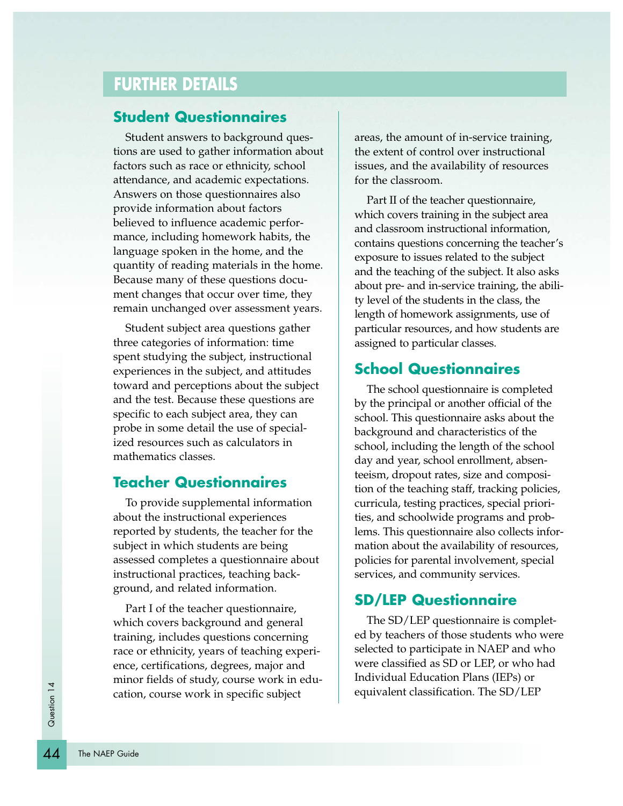# **FURTHER DETAILS**

#### **Student Questionnaires**

Student answers to background questions are used to gather information about factors such as race or ethnicity, school attendance, and academic expectations. Answers on those questionnaires also provide information about factors believed to influence academic performance, including homework habits, the language spoken in the home, and the quantity of reading materials in the home. Because many of these questions document changes that occur over time, they remain unchanged over assessment years.

Student subject area questions gather three categories of information: time spent studying the subject, instructional experiences in the subject, and attitudes toward and perceptions about the subject and the test. Because these questions are specific to each subject area, they can probe in some detail the use of specialized resources such as calculators in mathematics classes.

### **Teacher Questionnaires**

To provide supplemental information about the instructional experiences reported by students, the teacher for the subject in which students are being assessed completes a questionnaire about instructional practices, teaching background, and related information.

Part I of the teacher questionnaire, which covers background and general training, includes questions concerning race or ethnicity, years of teaching experience, certifications, degrees, major and minor fields of study, course work in education, course work in specific subject

areas, the amount of in-service training, the extent of control over instructional issues, and the availability of resources for the classroom.

Part II of the teacher questionnaire, which covers training in the subject area and classroom instructional information, contains questions concerning the teacher's exposure to issues related to the subject and the teaching of the subject. It also asks about pre- and in-service training, the ability level of the students in the class, the length of homework assignments, use of particular resources, and how students are assigned to particular classes.

#### **School Questionnaires**

The school questionnaire is completed by the principal or another official of the school. This questionnaire asks about the background and characteristics of the school, including the length of the school day and year, school enrollment, absenteeism, dropout rates, size and composition of the teaching staff, tracking policies, curricula, testing practices, special priorities, and schoolwide programs and problems. This questionnaire also collects information about the availability of resources, policies for parental involvement, special services, and community services.

#### **SD/LEP Questionnaire**

The SD/LEP questionnaire is completed by teachers of those students who were selected to participate in NAEP and who were classified as SD or LEP, or who had Individual Education Plans (IEPs) or equivalent classification. The SD/LEP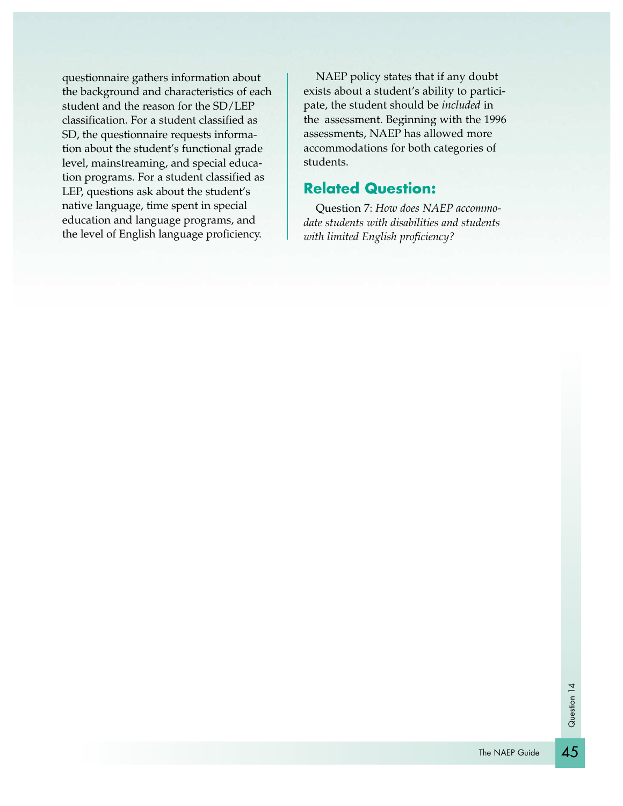questionnaire gathers information about the background and characteristics of each student and the reason for the SD/LEP classification. For a student classified as SD, the questionnaire requests information about the student's functional grade level, mainstreaming, and special education programs. For a student classified as LEP, questions ask about the student's native language, time spent in special education and language programs, and the level of English language proficiency.

NAEP policy states that if any doubt exists about a student's ability to participate, the student should be *included* in the assessment. Beginning with the 1996 assessments, NAEP has allowed more accommodations for both categories of students.

### **Related Question:**

Question 7: *How does NAEP accommodate students with disabilities and students with limited English proficiency?*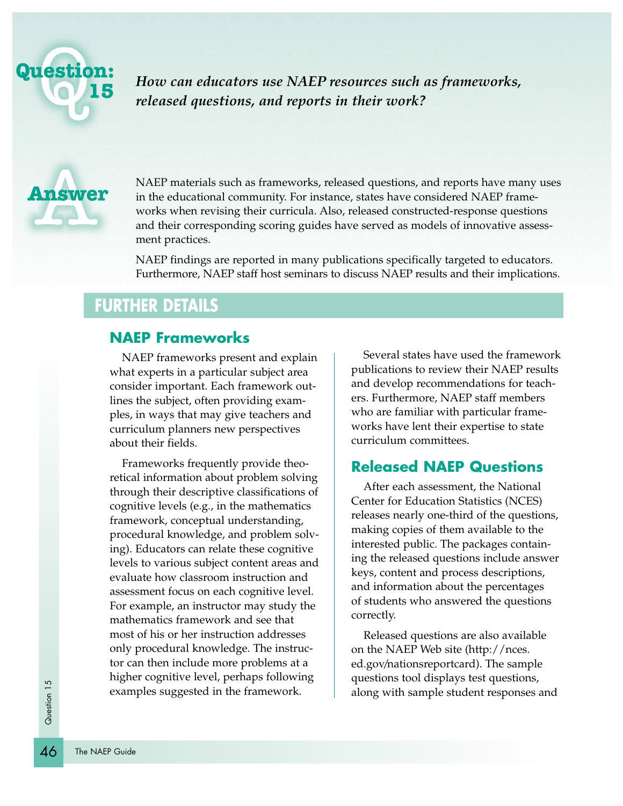

*How can educators use NAEP resources such as frameworks, released questions, and reports in their work?*



NAEP materials such as frameworks, released questions, and reports have many uses in the educational community. For instance, states have considered NAEP frameworks when revising their curricula. Also, released constructed-response questions and their corresponding scoring guides have served as models of innovative assessment practices.

NAEP findings are reported in many publications specifically targeted to educators. Furthermore, NAEP staff host seminars to discuss NAEP results and their implications.

# **FURTHER DETAILS**

### **NAEP Frameworks**

NAEP frameworks present and explain what experts in a particular subject area consider important. Each framework outlines the subject, often providing examples, in ways that may give teachers and curriculum planners new perspectives about their fields.

Frameworks frequently provide theoretical information about problem solving through their descriptive classifications of cognitive levels (e.g., in the mathematics framework, conceptual understanding, procedural knowledge, and problem solving). Educators can relate these cognitive levels to various subject content areas and evaluate how classroom instruction and assessment focus on each cognitive level. For example, an instructor may study the mathematics framework and see that most of his or her instruction addresses only procedural knowledge. The instructor can then include more problems at a higher cognitive level, perhaps following examples suggested in the framework.

Several states have used the framework publications to review their NAEP results and develop recommendations for teachers. Furthermore, NAEP staff members who are familiar with particular frameworks have lent their expertise to state curriculum committees.

#### **Released NAEP Questions**

After each assessment, the National Center for Education Statistics (NCES) releases nearly one-third of the questions, making copies of them available to the interested public. The packages containing the released questions include answer keys, content and process descriptions, and information about the percentages of students who answered the questions correctly.

Released questions are also available on the NAEP Web site (http://nces. ed.gov/nationsreportcard). The sample questions tool displays test questions, along with sample student responses and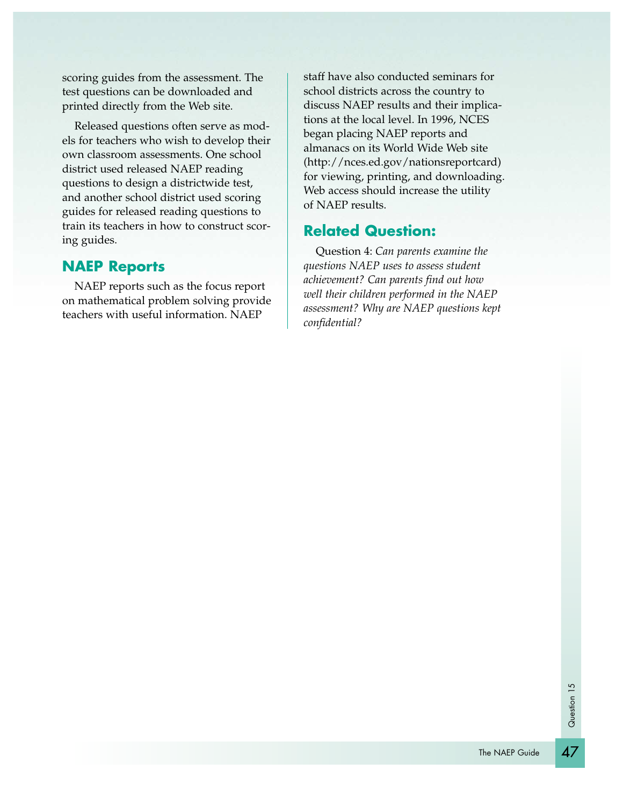scoring guides from the assessment. The test questions can be downloaded and printed directly from the Web site.

Released questions often serve as models for teachers who wish to develop their own classroom assessments. One school district used released NAEP reading questions to design a districtwide test, and another school district used scoring guides for released reading questions to train its teachers in how to construct scoring guides.

### **NAEP Reports**

NAEP reports such as the focus report on mathematical problem solving provide teachers with useful information. NAEP

staff have also conducted seminars for school districts across the country to discuss NAEP results and their implications at the local level. In 1996, NCES began placing NAEP reports and almanacs on its World Wide Web site (http://nces.ed.gov/nationsreportcard) for viewing, printing, and downloading. Web access should increase the utility of NAEP results.

### **Related Question:**

Question 4: *Can parents examine the questions NAEP uses to assess student achievement? Can parents find out how well their children performed in the NAEP assessment? Why are NAEP questions kept confidential?*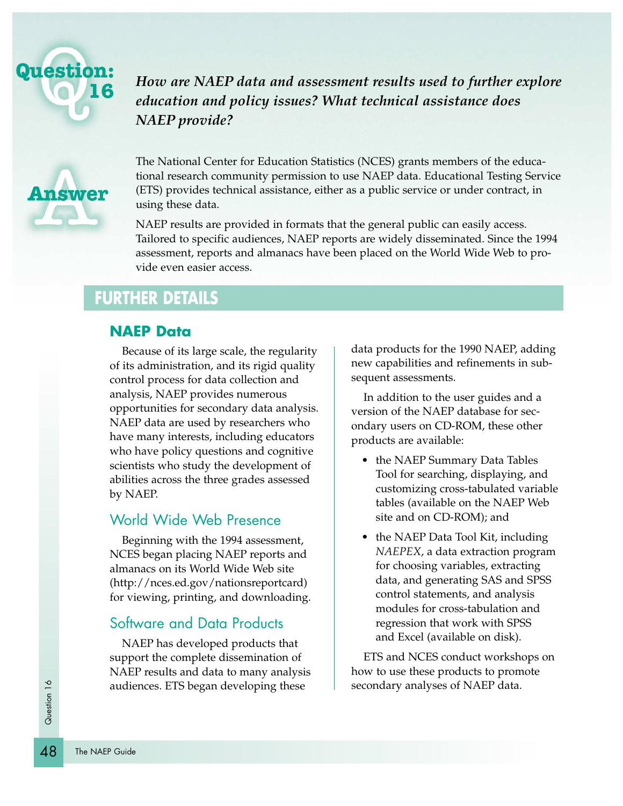

*How are NAEP data and assessment results used to further explore education and policy issues? What technical assistance does NAEP provide?*



The National Center for Education Statistics (NCES) grants members of the educational research community permission to use NAEP data. Educational Testing Service (ETS) provides technical assistance, either as a public service or under contract, in using these data.

NAEP results are provided in formats that the general public can easily access. Tailored to specific audiences, NAEP reports are widely disseminated. Since the 1994 assessment, reports and almanacs have been placed on the World Wide Web to provide even easier access.

# **FURTHER DETAILS**

#### **NAEP Data**

Because of its large scale, the regularity of its administration, and its rigid quality control process for data collection and analysis, NAEP provides numerous opportunities for secondary data analysis. NAEP data are used by researchers who have many interests, including educators who have policy questions and cognitive scientists who study the development of abilities across the three grades assessed by NAEP.

#### World Wide Web Presence

Beginning with the 1994 assessment, NCES began placing NAEP reports and almanacs on its World Wide Web site (http://nces.ed.gov/nationsreportcard) for viewing, printing, and downloading.

#### Software and Data Products

NAEP has developed products that support the complete dissemination of NAEP results and data to many analysis audiences. ETS began developing these

data products for the 1990 NAEP, adding new capabilities and refinements in subsequent assessments.

In addition to the user guides and a version of the NAEP database for secondary users on CD-ROM, these other products are available:

- the NAEP Summary Data Tables Tool for searching, displaying, and customizing cross-tabulated variable tables (available on the NAEP Web site and on CD-ROM); and
- the NAEP Data Tool Kit, including *NAEPEX*, a data extraction program for choosing variables, extracting data, and generating SAS and SPSS control statements, and analysis modules for cross-tabulation and regression that work with SPSS and Excel (available on disk).

ETS and NCES conduct workshops on how to use these products to promote secondary analyses of NAEP data.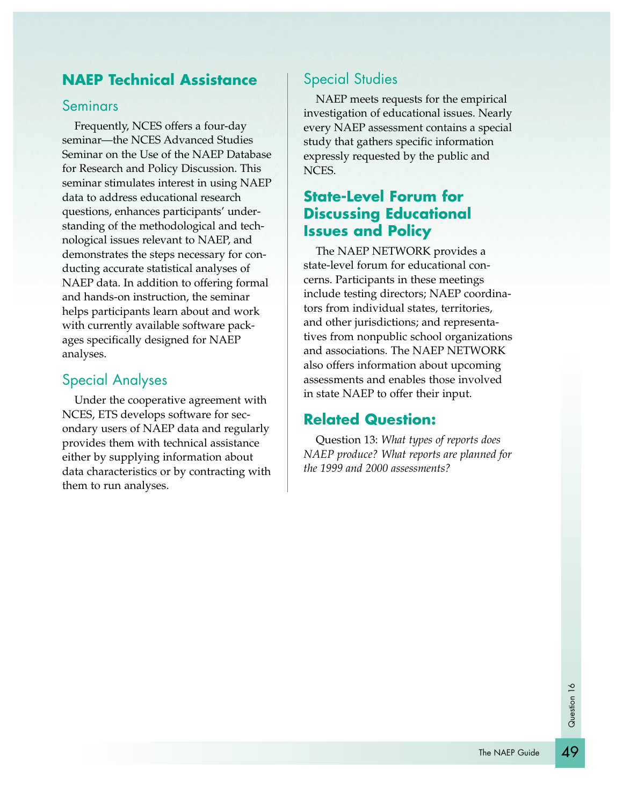### **NAEP Technical Assistance**

#### **Seminars**

Frequently, NCES offers a four-day seminar—the NCES Advanced Studies Seminar on the Use of the NAEP Database for Research and Policy Discussion. This seminar stimulates interest in using NAEP data to address educational research questions, enhances participants' understanding of the methodological and technological issues relevant to NAEP, and demonstrates the steps necessary for conducting accurate statistical analyses of NAEP data. In addition to offering formal and hands-on instruction, the seminar helps participants learn about and work with currently available software packages specifically designed for NAEP analyses.

#### Special Analyses

Under the cooperative agreement with NCES, ETS develops software for secondary users of NAEP data and regularly provides them with technical assistance either by supplying information about data characteristics or by contracting with them to run analyses.

### Special Studies

NAEP meets requests for the empirical investigation of educational issues. Nearly every NAEP assessment contains a special study that gathers specific information expressly requested by the public and NCES.

# **State-Level Forum for Discussing Educational Issues and Policy**

The NAEP NETWORK provides a state-level forum for educational concerns. Participants in these meetings include testing directors; NAEP coordinators from individual states, territories, and other jurisdictions; and representatives from nonpublic school organizations and associations. The NAEP NETWORK also offers information about upcoming assessments and enables those involved in state NAEP to offer their input.

#### **Related Question:**

Question 13: *What types of reports does NAEP produce? What reports are planned for the 1999 and 2000 assessments?*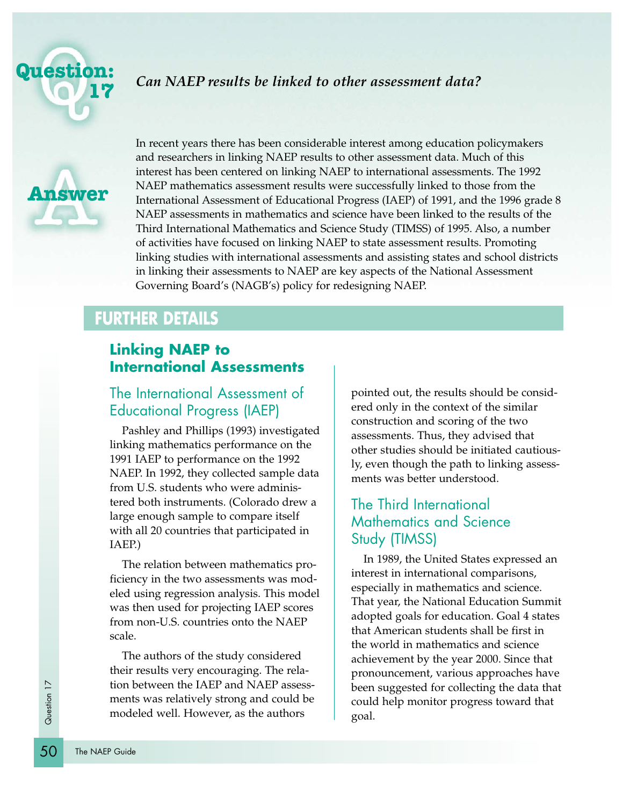

#### *Can NAEP results be linked to other assessment data?*



In recent years there has been considerable interest among education policymakers and researchers in linking NAEP results to other assessment data. Much of this interest has been centered on linking NAEP to international assessments. The 1992 NAEP mathematics assessment results were successfully linked to those from the International Assessment of Educational Progress (IAEP) of 1991, and the 1996 grade 8 NAEP assessments in mathematics and science have been linked to the results of the Third International Mathematics and Science Study (TIMSS) of 1995. Also, a number of activities have focused on linking NAEP to state assessment results. Promoting linking studies with international assessments and assisting states and school districts in linking their assessments to NAEP are key aspects of the National Assessment Governing Board's (NAGB's) policy for redesigning NAEP.

# **FURTHER DETAILS**

# **Linking NAEP to International Assessments**

# The International Assessment of Educational Progress (IAEP)

Pashley and Phillips (1993) investigated linking mathematics performance on the 1991 IAEP to performance on the 1992 NAEP. In 1992, they collected sample data from U.S. students who were administered both instruments. (Colorado drew a large enough sample to compare itself with all 20 countries that participated in IAEP.)

The relation between mathematics proficiency in the two assessments was modeled using regression analysis. This model was then used for projecting IAEP scores from non-U.S. countries onto the NAEP scale.

 $\frac{1}{5}$  tion t<br>  $\frac{1}{5}$  ment<br>  $\frac{1}{5}$  ment<br>  $\frac{1}{5}$  ment<br>  $\frac{1}{5}$  ment<br>  $\frac{1}{5}$  ment<br>  $\frac{1}{5}$  ment<br>  $\frac{1}{5}$  ment<br>  $\frac{1}{5}$  ment<br>  $\frac{1}{5}$  ment<br>  $\frac{1}{5}$  ment<br>  $\frac{1}{5}$  ment<br>  $\frac{1}{5}$  ment<br>  $\frac{1}{5}$  m The authors of the study considered their results very encouraging. The relation between the IAEP and NAEP assessments was relatively strong and could be modeled well. However, as the authors

pointed out, the results should be considered only in the context of the similar construction and scoring of the two assessments. Thus, they advised that other studies should be initiated cautiously, even though the path to linking assessments was better understood.

# The Third International Mathematics and Science Study (TIMSS)

In 1989, the United States expressed an interest in international comparisons, especially in mathematics and science. That year, the National Education Summit adopted goals for education. Goal 4 states that American students shall be first in the world in mathematics and science achievement by the year 2000. Since that pronouncement, various approaches have been suggested for collecting the data that could help monitor progress toward that goal.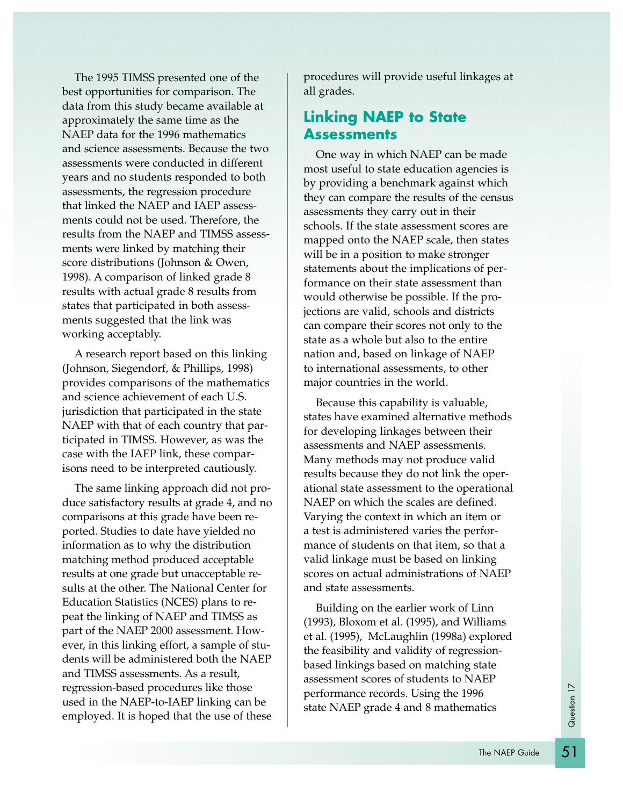The 1995 TIMSS presented one of the best opportunities for comparison. The data from this study became available at approximately the same time as the NAEP data for the 1996 mathematics and science assessments. Because the two assessments were conducted in different years and no students responded to both assessments, the regression procedure that linked the NAEP and IAEP assessments could not be used. Therefore, the results from the NAEP and TIMSS assessments were linked by matching their score distributions (Johnson & Owen, 1998). A comparison of linked grade 8 results with actual grade 8 results from states that participated in both assessments suggested that the link was working acceptably.

A research report based on this linking (Johnson, Siegendorf, & Phillips, 1998) provides comparisons of the mathematics and science achievement of each U.S. jurisdiction that participated in the state NAEP with that of each country that participated in TIMSS. However, as was the case with the IAEP link, these comparisons need to be interpreted cautiously.

The same linking approach did not produce satisfactory results at grade 4, and no comparisons at this grade have been reported. Studies to date have yielded no information as to why the distribution matching method produced acceptable results at one grade but unacceptable results at the other. The National Center for Education Statistics (NCES) plans to repeat the linking of NAEP and TIMSS as part of the NAEP 2000 assessment. However, in this linking effort, a sample of students will be administered both the NAEP and TIMSS assessments. As a result, regression-based procedures like those used in the NAEP-to-IAEP linking can be employed. It is hoped that the use of these

procedures will provide useful linkages at all grades.

### **Linking NAEP to State Assessments**

One way in which NAEP can be made most useful to state education agencies is by providing a benchmark against which they can compare the results of the census assessments they carry out in their schools. If the state assessment scores are mapped onto the NAEP scale, then states will be in a position to make stronger statements about the implications of performance on their state assessment than would otherwise be possible. If the projections are valid, schools and districts can compare their scores not only to the state as a whole but also to the entire nation and, based on linkage of NAEP to international assessments, to other major countries in the world.

Because this capability is valuable, states have examined alternative methods for developing linkages between their assessments and NAEP assessments. Many methods may not produce valid results because they do not link the operational state assessment to the operational NAEP on which the scales are defined. Varying the context in which an item or a test is administered varies the performance of students on that item, so that a valid linkage must be based on linking scores on actual administrations of NAEP and state assessments.

Building on the earlier work of Linn (1993), Bloxom et al. (1995), and Williams et al. (1995), McLaughlin (1998a) explored the feasibility and validity of regressionbased linkings based on matching state assessment scores of students to NAEP performance records. Using the 1996 state NAEP grade 4 and 8 mathematics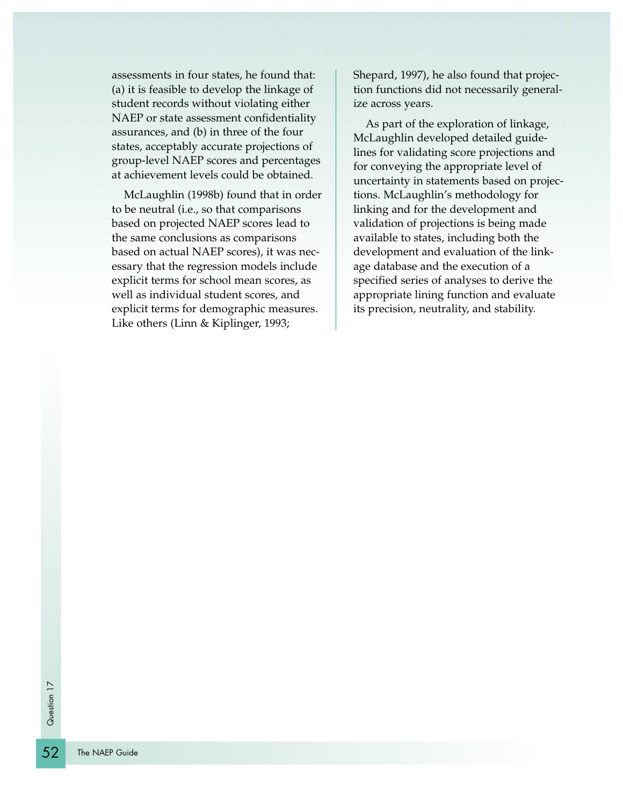assessments in four states, he found that: (a) it is feasible to develop the linkage of student records without violating either NAEP or state assessment confidentiality assurances, and (b) in three of the four states, acceptably accurate projections of group-level NAEP scores and percentages at achievement levels could be obtained.

McLaughlin (1998b) found that in order to be neutral (i.e., so that comparisons based on projected NAEP scores lead to the same conclusions as comparisons based on actual NAEP scores), it was necessary that the regression models include explicit terms for school mean scores, as well as individual student scores, and explicit terms for demographic measures. Like others (Linn & Kiplinger, 1993;

Shepard, 1997), he also found that projection functions did not necessarily generalize across years.

As part of the exploration of linkage, McLaughlin developed detailed guidelines for validating score projections and for conveying the appropriate level of uncertainty in statements based on projections. McLaughlin's methodology for linking and for the development and validation of projections is being made available to states, including both the development and evaluation of the linkage database and the execution of a specified series of analyses to derive the appropriate lining function and evaluate its precision, neutrality, and stability.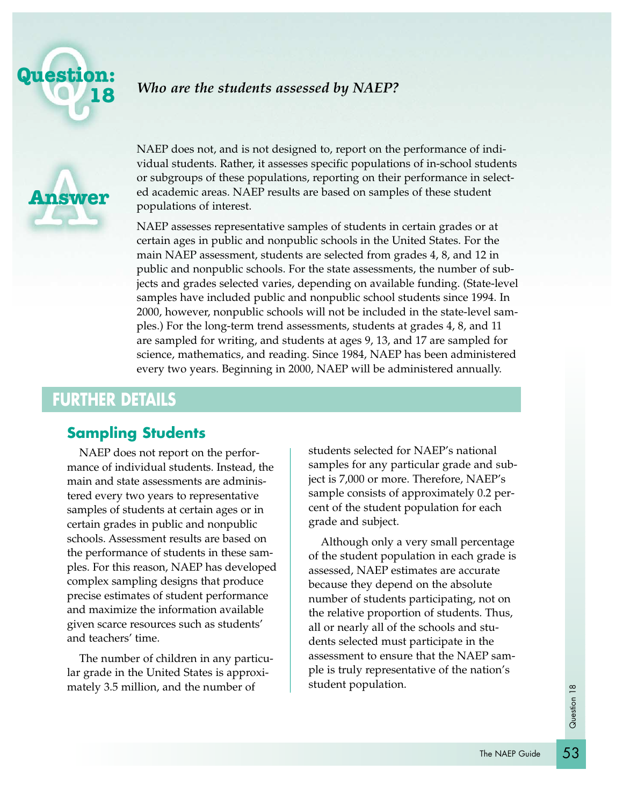

#### *Who are the students assessed by NAEP?*



NAEP does not, and is not designed to, report on the performance of individual students. Rather, it assesses specific populations of in-school students or subgroups of these populations, reporting on their performance in selected academic areas. NAEP results are based on samples of these student populations of interest.

NAEP assesses representative samples of students in certain grades or at certain ages in public and nonpublic schools in the United States. For the main NAEP assessment, students are selected from grades 4, 8, and 12 in public and nonpublic schools. For the state assessments, the number of subjects and grades selected varies, depending on available funding. (State-level samples have included public and nonpublic school students since 1994. In 2000, however, nonpublic schools will not be included in the state-level samples.) For the long-term trend assessments, students at grades 4, 8, and 11 are sampled for writing, and students at ages 9, 13, and 17 are sampled for science, mathematics, and reading. Since 1984, NAEP has been administered every two years. Beginning in 2000, NAEP will be administered annually.

# **FURTHER DETAILS**

#### **Sampling Students**

NAEP does not report on the performance of individual students. Instead, the main and state assessments are administered every two years to representative samples of students at certain ages or in certain grades in public and nonpublic schools. Assessment results are based on the performance of students in these samples. For this reason, NAEP has developed complex sampling designs that produce precise estimates of student performance and maximize the information available given scarce resources such as students' and teachers' time.

The number of children in any particular grade in the United States is approximately 3.5 million, and the number of

students selected for NAEP's national samples for any particular grade and subject is 7,000 or more. Therefore, NAEP's sample consists of approximately 0.2 percent of the student population for each grade and subject.

Although only a very small percentage of the student population in each grade is assessed, NAEP estimates are accurate because they depend on the absolute number of students participating, not on the relative proportion of students. Thus, all or nearly all of the schools and students selected must participate in the assessment to ensure that the NAEP sample is truly representative of the nation's student population.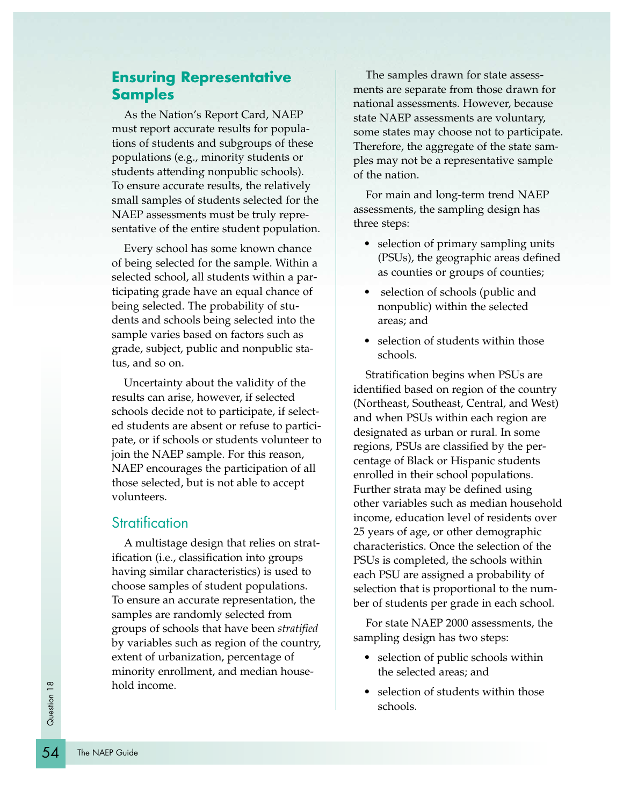### **Ensuring Representative Samples**

As the Nation's Report Card, NAEP must report accurate results for populations of students and subgroups of these populations (e.g., minority students or students attending nonpublic schools). To ensure accurate results, the relatively small samples of students selected for the NAEP assessments must be truly representative of the entire student population.

Every school has some known chance of being selected for the sample. Within a selected school, all students within a participating grade have an equal chance of being selected. The probability of students and schools being selected into the sample varies based on factors such as grade, subject, public and nonpublic status, and so on.

Uncertainty about the validity of the results can arise, however, if selected schools decide not to participate, if selected students are absent or refuse to participate, or if schools or students volunteer to join the NAEP sample. For this reason, NAEP encourages the participation of all those selected, but is not able to accept volunteers.

#### **Stratification**

A multistage design that relies on stratification (i.e., classification into groups having similar characteristics) is used to choose samples of student populations. To ensure an accurate representation, the samples are randomly selected from groups of schools that have been *stratified* by variables such as region of the country, extent of urbanization, percentage of minority enrollment, and median household income.

The samples drawn for state assessments are separate from those drawn for national assessments. However, because state NAEP assessments are voluntary, some states may choose not to participate. Therefore, the aggregate of the state samples may not be a representative sample of the nation.

For main and long-term trend NAEP assessments, the sampling design has three steps:

- selection of primary sampling units (PSUs), the geographic areas defined as counties or groups of counties;
- selection of schools (public and nonpublic) within the selected areas; and
- selection of students within those schools.

Stratification begins when PSUs are identified based on region of the country (Northeast, Southeast, Central, and West) and when PSUs within each region are designated as urban or rural. In some regions, PSUs are classified by the percentage of Black or Hispanic students enrolled in their school populations. Further strata may be defined using other variables such as median household income, education level of residents over 25 years of age, or other demographic characteristics. Once the selection of the PSUs is completed, the schools within each PSU are assigned a probability of selection that is proportional to the number of students per grade in each school.

For state NAEP 2000 assessments, the sampling design has two steps:

- selection of public schools within the selected areas; and
- selection of students within those schools.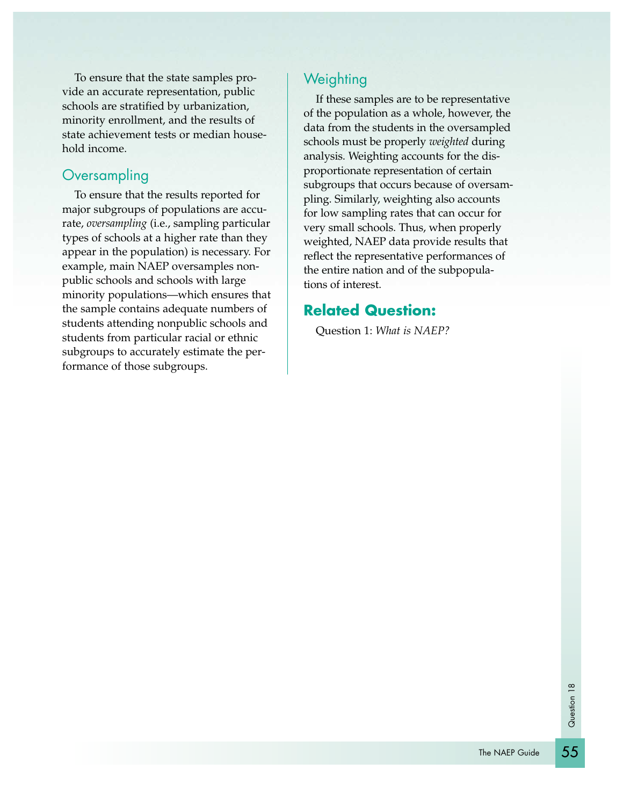To ensure that the state samples provide an accurate representation, public schools are stratified by urbanization, minority enrollment, and the results of state achievement tests or median household income.

#### **Oversampling**

To ensure that the results reported for major subgroups of populations are accurate, *oversampling* (i.e., sampling particular types of schools at a higher rate than they appear in the population) is necessary. For example, main NAEP oversamples nonpublic schools and schools with large minority populations—which ensures that the sample contains adequate numbers of students attending nonpublic schools and students from particular racial or ethnic subgroups to accurately estimate the performance of those subgroups.

### **Weighting**

If these samples are to be representative of the population as a whole, however, the data from the students in the oversampled schools must be properly *weighted* during analysis. Weighting accounts for the disproportionate representation of certain subgroups that occurs because of oversampling. Similarly, weighting also accounts for low sampling rates that can occur for very small schools. Thus, when properly weighted, NAEP data provide results that reflect the representative performances of the entire nation and of the subpopulations of interest.

### **Related Question:**

Question 1: *What is NAEP?*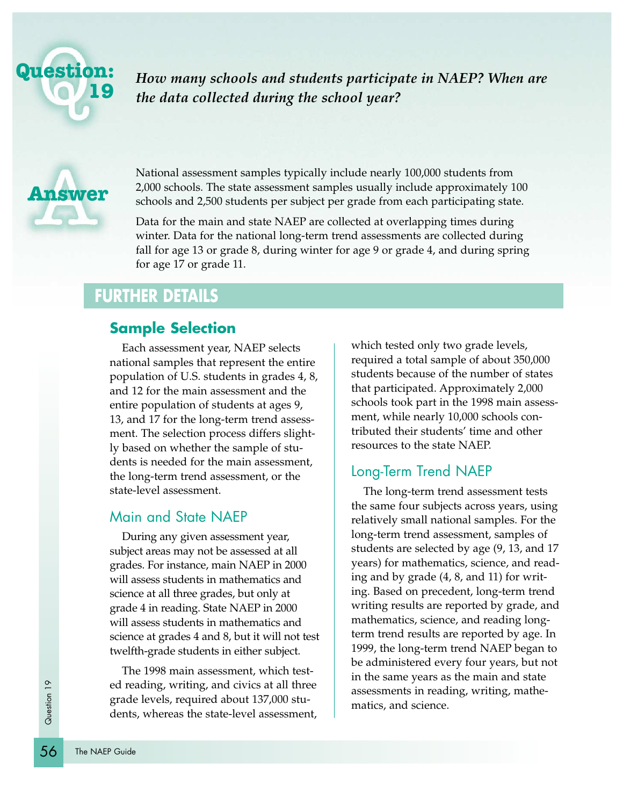

*How many schools and students participate in NAEP? When are the data collected during the school year?*



National assessment samples typically include nearly 100,000 students from 2,000 schools. The state assessment samples usually include approximately 100 schools and 2,500 students per subject per grade from each participating state.

Data for the main and state NAEP are collected at overlapping times during winter. Data for the national long-term trend assessments are collected during fall for age 13 or grade 8, during winter for age 9 or grade 4, and during spring for age 17 or grade 11.

# **FURTHER DETAILS**

#### **Sample Selection**

Each assessment year, NAEP selects national samples that represent the entire population of U.S. students in grades 4, 8, and 12 for the main assessment and the entire population of students at ages 9, 13, and 17 for the long-term trend assessment. The selection process differs slightly based on whether the sample of students is needed for the main assessment, the long-term trend assessment, or the state-level assessment.

#### Main and State NAEP

During any given assessment year, subject areas may not be assessed at all grades. For instance, main NAEP in 2000 will assess students in mathematics and science at all three grades, but only at grade 4 in reading. State NAEP in 2000 will assess students in mathematics and science at grades 4 and 8, but it will not test twelfth-grade students in either subject.

ed reader<br>
grade<br>
grade<br>
dents<br>
56 The NAEP Guide The 1998 main assessment, which tested reading, writing, and civics at all three grade levels, required about 137,000 students, whereas the state-level assessment,

which tested only two grade levels, required a total sample of about 350,000 students because of the number of states that participated. Approximately 2,000 schools took part in the 1998 main assessment, while nearly 10,000 schools contributed their students' time and other resources to the state NAEP.

#### Long-Term Trend NAEP

The long-term trend assessment tests the same four subjects across years, using relatively small national samples. For the long-term trend assessment, samples of students are selected by age (9, 13, and 17 years) for mathematics, science, and reading and by grade (4, 8, and 11) for writing. Based on precedent, long-term trend writing results are reported by grade, and mathematics, science, and reading longterm trend results are reported by age. In 1999, the long-term trend NAEP began to be administered every four years, but not in the same years as the main and state assessments in reading, writing, mathematics, and science.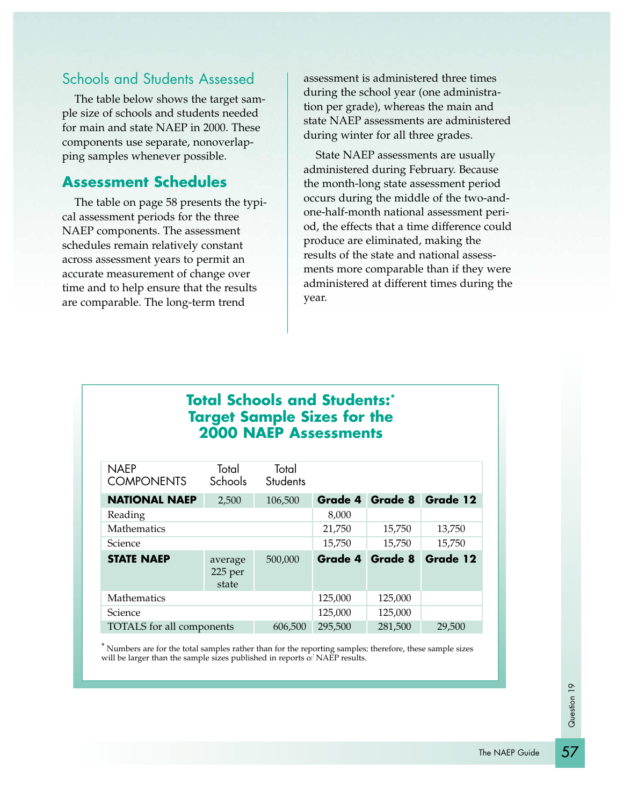# Schools and Students Assessed

The table below shows the target sample size of schools and students needed for main and state NAEP in 2000. These components use separate, nonoverlapping samples whenever possible.

#### **Assessment Schedules**

The table on page 58 presents the typical assessment periods for the three NAEP components. The assessment schedules remain relatively constant across assessment years to permit an accurate measurement of change over time and to help ensure that the results are comparable. The long-term trend

assessment is administered three times during the school year (one administration per grade), whereas the main and state NAEP assessments are administered during winter for all three grades.

State NAEP assessments are usually administered during February. Because the month-long state assessment period occurs during the middle of the two-andone-half-month national assessment period, the effects that a time difference could produce are eliminated, making the results of the state and national assessments more comparable than if they were administered at different times during the year.

# **Total Schools and Students:\* Target Sample Sizes for the 2000 NAEP Assessments**

| <b>NAEP</b><br><b>COMPONENTS</b> | Total<br>Schools            | Total<br><b>Students</b> |         |         |          |
|----------------------------------|-----------------------------|--------------------------|---------|---------|----------|
| <b>NATIONAL NAEP</b>             | 2,500                       | 106,500                  | Grade 4 | Grade 8 | Grade 12 |
| Reading                          |                             |                          | 8,000   |         |          |
| Mathematics                      |                             |                          | 21,750  | 15,750  | 13,750   |
| Science                          |                             |                          | 15,750  | 15,750  | 15,750   |
| <b>STATE NAEP</b>                | average<br>225 per<br>state | 500,000                  | Grade 4 | Grade 8 | Grade 12 |
| Mathematics                      |                             |                          | 125,000 | 125,000 |          |
| Science                          |                             |                          | 125,000 | 125,000 |          |
| TOTALS for all components        |                             | 606,500                  | 295,500 | 281,500 | 29,500   |

\* Numbers are for the total samples rather than for the reporting samples; therefore, these sample sizes will be larger than the sample sizes published in reports of NAEP results.

57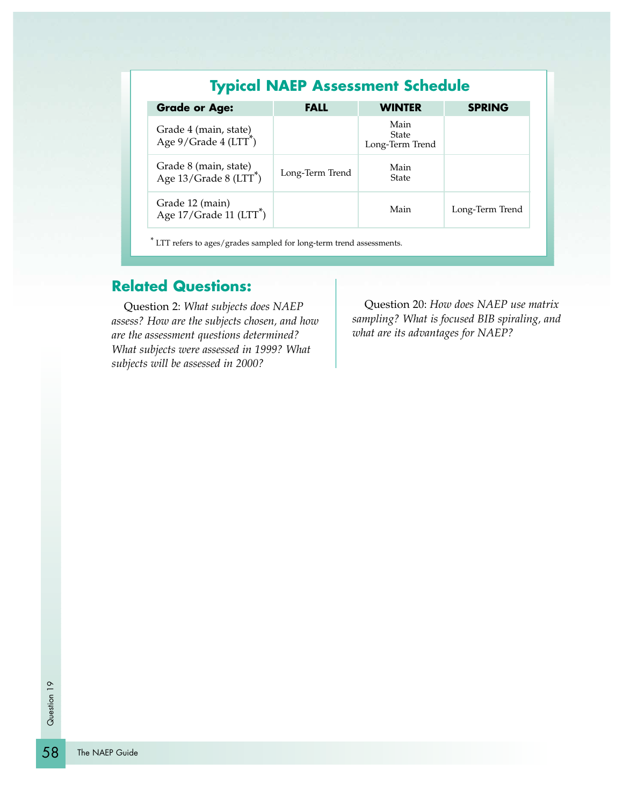|                                                             |                 | <b>Typical NAEP Assessment Schedule</b> |                 |
|-------------------------------------------------------------|-----------------|-----------------------------------------|-----------------|
| <b>Grade or Age:</b>                                        | <b>FALL</b>     | <b>WINTER</b>                           | <b>SPRING</b>   |
| Grade 4 (main, state)<br>Age 9/Grade 4 (LTT <sup>*</sup> )  |                 | Main<br><b>State</b><br>Long-Term Trend |                 |
| Grade 8 (main, state)<br>Age 13/Grade 8 (LTT <sup>*</sup> ) | Long-Term Trend | Main<br><b>State</b>                    |                 |
| Grade 12 (main)<br>Age $17/G$ rade $11(LTT^*)$              |                 | Main                                    | Long-Term Trend |

LTT refers to ages/grades sampled for long-term trend assessments.

# **Related Questions:**

Question 2: *What subjects does NAEP assess? How are the subjects chosen, and how are the assessment questions determined? What subjects were assessed in 1999? What subjects will be assessed in 2000?*

Question 20: *How does NAEP use matrix sampling? What is focused BIB spiraling, and what are its advantages for NAEP?*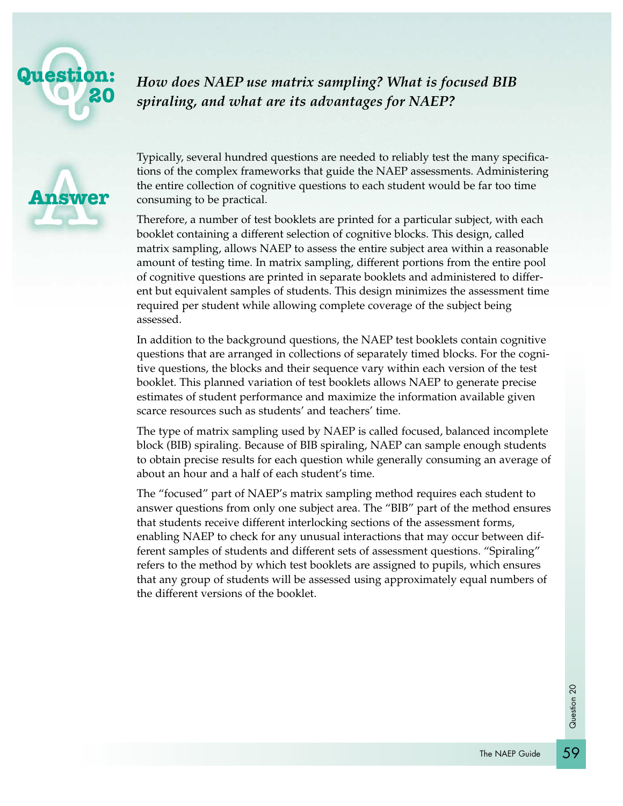

*How does NAEP use matrix sampling? What is focused BIB spiraling, and what are its advantages for NAEP?*



Typically, several hundred questions are needed to reliably test the many specifications of the complex frameworks that guide the NAEP assessments. Administering the entire collection of cognitive questions to each student would be far too time consuming to be practical.

Therefore, a number of test booklets are printed for a particular subject, with each booklet containing a different selection of cognitive blocks. This design, called matrix sampling, allows NAEP to assess the entire subject area within a reasonable amount of testing time. In matrix sampling, different portions from the entire pool of cognitive questions are printed in separate booklets and administered to different but equivalent samples of students. This design minimizes the assessment time required per student while allowing complete coverage of the subject being assessed.

In addition to the background questions, the NAEP test booklets contain cognitive questions that are arranged in collections of separately timed blocks. For the cognitive questions, the blocks and their sequence vary within each version of the test booklet. This planned variation of test booklets allows NAEP to generate precise estimates of student performance and maximize the information available given scarce resources such as students' and teachers' time.

The type of matrix sampling used by NAEP is called focused, balanced incomplete block (BIB) spiraling. Because of BIB spiraling, NAEP can sample enough students to obtain precise results for each question while generally consuming an average of about an hour and a half of each student's time.

The "focused" part of NAEP's matrix sampling method requires each student to answer questions from only one subject area. The "BIB" part of the method ensures that students receive different interlocking sections of the assessment forms, enabling NAEP to check for any unusual interactions that may occur between different samples of students and different sets of assessment questions. "Spiraling" refers to the method by which test booklets are assigned to pupils, which ensures that any group of students will be assessed using approximately equal numbers of the different versions of the booklet.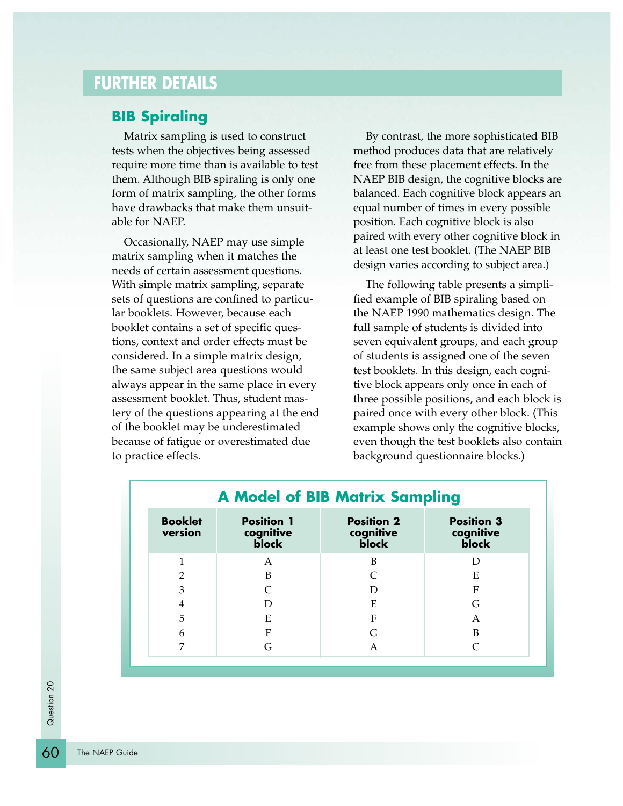# **FURTHER DETAILS**

#### **BIB Spiraling**

Matrix sampling is used to construct tests when the objectives being assessed require more time than is available to test them. Although BIB spiraling is only one form of matrix sampling, the other forms have drawbacks that make them unsuitable for NAEP.

Occasionally, NAEP may use simple matrix sampling when it matches the needs of certain assessment questions. With simple matrix sampling, separate sets of questions are confined to particular booklets. However, because each booklet contains a set of specific questions, context and order effects must be considered. In a simple matrix design, the same subject area questions would always appear in the same place in every assessment booklet. Thus, student mastery of the questions appearing at the end of the booklet may be underestimated because of fatigue or overestimated due to practice effects.

By contrast, the more sophisticated BIB method produces data that are relatively free from these placement effects. In the NAEP BIB design, the cognitive blocks are balanced. Each cognitive block appears an equal number of times in every possible position. Each cognitive block is also paired with every other cognitive block in at least one test booklet. (The NAEP BIB design varies according to subject area.)

The following table presents a simplified example of BIB spiraling based on the NAEP 1990 mathematics design. The full sample of students is divided into seven equivalent groups, and each group of students is assigned one of the seven test booklets. In this design, each cognitive block appears only once in each of three possible positions, and each block is paired once with every other block. (This example shows only the cognitive blocks, even though the test booklets also contain background questionnaire blocks.)

| <b>Booklet</b><br>version | <b>Position 1</b><br>cognitive<br>block | <b>Position 2</b><br>cognitive<br>block | <b>Position 3</b><br>cognitive<br>block |
|---------------------------|-----------------------------------------|-----------------------------------------|-----------------------------------------|
|                           |                                         |                                         |                                         |
|                           | A                                       | B                                       | D                                       |
| $\overline{2}$            | B                                       |                                         | E                                       |
| 3                         |                                         | D                                       | ${\bf F}$                               |
| 4                         |                                         | Ε                                       | G                                       |
| 5                         | Ε                                       | F                                       | A                                       |
| 6                         | F                                       | G                                       | B                                       |
| 7                         | G                                       | A                                       |                                         |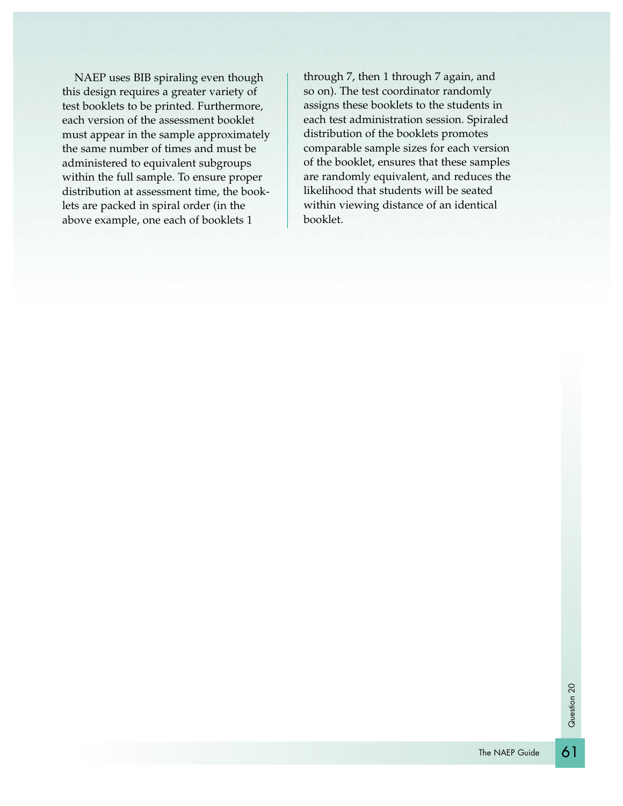NAEP uses BIB spiraling even though this design requires a greater variety of test booklets to be printed. Furthermore, each version of the assessment booklet must appear in the sample approximately the same number of times and must be administered to equivalent subgroups within the full sample. To ensure proper distribution at assessment time, the booklets are packed in spiral order (in the above example, one each of booklets 1

through 7, then 1 through 7 again, and so on). The test coordinator randomly assigns these booklets to the students in each test administration session. Spiraled distribution of the booklets promotes comparable sample sizes for each version of the booklet, ensures that these samples are randomly equivalent, and reduces the likelihood that students will be seated within viewing distance of an identical booklet.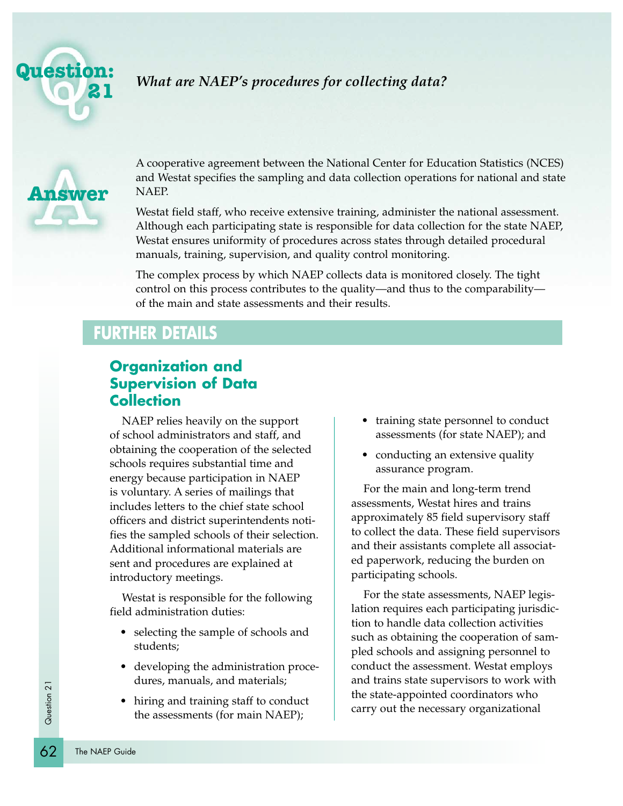



A cooperative agreement between the National Center for Education Statistics (NCES) and Westat specifies the sampling and data collection operations for national and state NAEP.

Westat field staff, who receive extensive training, administer the national assessment. Although each participating state is responsible for data collection for the state NAEP, Westat ensures uniformity of procedures across states through detailed procedural manuals, training, supervision, and quality control monitoring.

The complex process by which NAEP collects data is monitored closely. The tight control on this process contributes to the quality—and thus to the comparability of the main and state assessments and their results.

# **FURTHER DETAILS**

### **Organization and Supervision of Data Collection**

NAEP relies heavily on the support of school administrators and staff, and obtaining the cooperation of the selected schools requires substantial time and energy because participation in NAEP is voluntary. A series of mailings that includes letters to the chief state school officers and district superintendents notifies the sampled schools of their selection. Additional informational materials are sent and procedures are explained at introductory meetings.

Westat is responsible for the following field administration duties:

- selecting the sample of schools and students;
- developing the administration procedures, manuals, and materials;
- hiring and training staff to conduct the assessments (for main NAEP);
- training state personnel to conduct assessments (for state NAEP); and
- conducting an extensive quality assurance program.

For the main and long-term trend assessments, Westat hires and trains approximately 85 field supervisory staff to collect the data. These field supervisors and their assistants complete all associated paperwork, reducing the burden on participating schools.

For the state assessments, NAEP legislation requires each participating jurisdiction to handle data collection activities such as obtaining the cooperation of sampled schools and assigning personnel to conduct the assessment. Westat employs and trains state supervisors to work with the state-appointed coordinators who carry out the necessary organizational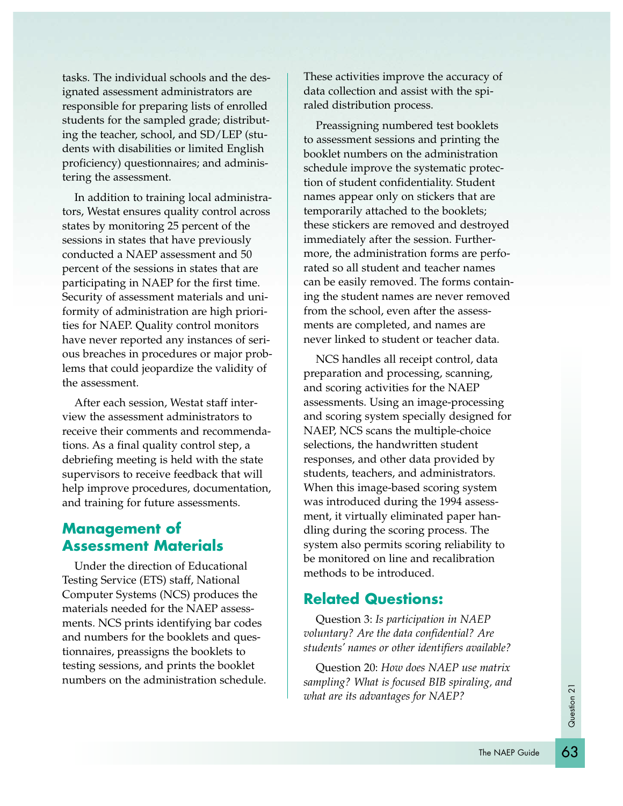tasks. The individual schools and the designated assessment administrators are responsible for preparing lists of enrolled students for the sampled grade; distributing the teacher, school, and SD/LEP (students with disabilities or limited English proficiency) questionnaires; and administering the assessment.

In addition to training local administrators, Westat ensures quality control across states by monitoring 25 percent of the sessions in states that have previously conducted a NAEP assessment and 50 percent of the sessions in states that are participating in NAEP for the first time. Security of assessment materials and uniformity of administration are high priorities for NAEP. Quality control monitors have never reported any instances of serious breaches in procedures or major problems that could jeopardize the validity of the assessment.

After each session, Westat staff interview the assessment administrators to receive their comments and recommendations. As a final quality control step, a debriefing meeting is held with the state supervisors to receive feedback that will help improve procedures, documentation, and training for future assessments.

## **Management of Assessment Materials**

Under the direction of Educational Testing Service (ETS) staff, National Computer Systems (NCS) produces the materials needed for the NAEP assessments. NCS prints identifying bar codes and numbers for the booklets and questionnaires, preassigns the booklets to testing sessions, and prints the booklet numbers on the administration schedule.

These activities improve the accuracy of data collection and assist with the spiraled distribution process.

Preassigning numbered test booklets to assessment sessions and printing the booklet numbers on the administration schedule improve the systematic protection of student confidentiality. Student names appear only on stickers that are temporarily attached to the booklets; these stickers are removed and destroyed immediately after the session. Furthermore, the administration forms are perforated so all student and teacher names can be easily removed. The forms containing the student names are never removed from the school, even after the assessments are completed, and names are never linked to student or teacher data.

NCS handles all receipt control, data preparation and processing, scanning, and scoring activities for the NAEP assessments. Using an image-processing and scoring system specially designed for NAEP, NCS scans the multiple-choice selections, the handwritten student responses, and other data provided by students, teachers, and administrators. When this image-based scoring system was introduced during the 1994 assessment, it virtually eliminated paper handling during the scoring process. The system also permits scoring reliability to be monitored on line and recalibration methods to be introduced.

## **Related Questions:**

Question 3: *Is participation in NAEP voluntary? Are the data confidential? Are students' names or other identifiers available?* 

Question 20: *How does NAEP use matrix sampling? What is focused BIB spiraling, and what are its advantages for NAEP?*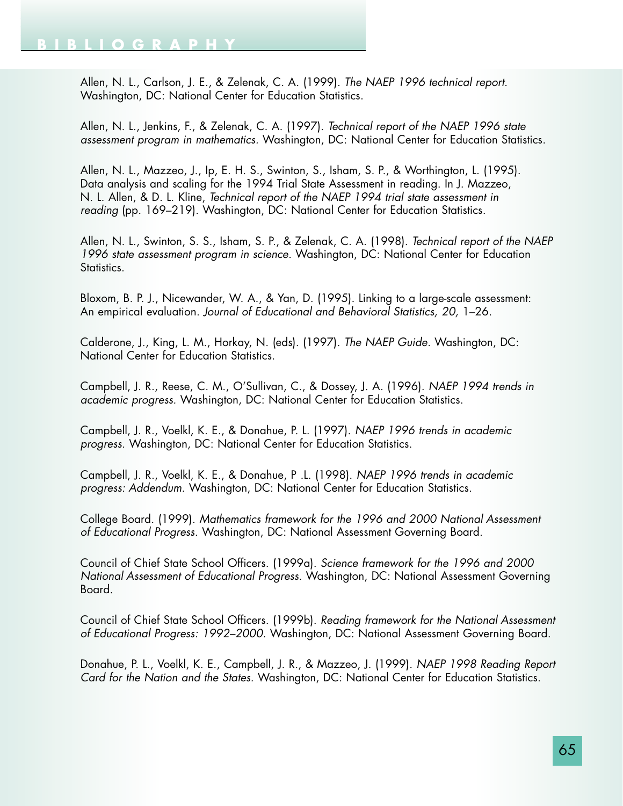Allen, N. L., Carlson, J. E., & Zelenak, C. A. (1999). *The NAEP 1996 technical report.* Washington, DC: National Center for Education Statistics.

Allen, N. L., Jenkins, F., & Zelenak, C. A. (1997). *Technical report of the NAEP 1996 state assessment program in mathematics.* Washington, DC: National Center for Education Statistics.

Allen, N. L., Mazzeo, J., Ip, E. H. S., Swinton, S., Isham, S. P., & Worthington, L. (1995). Data analysis and scaling for the 1994 Trial State Assessment in reading. In J. Mazzeo, N. L. Allen, & D. L. Kline, *Technical report of the NAEP 1994 trial state assessment in reading* (pp. 169–219). Washington, DC: National Center for Education Statistics.

Allen, N. L., Swinton, S. S., Isham, S. P., & Zelenak, C. A. (1998). *Technical report of the NAEP 1996 state assessment program in science.* Washington, DC: National Center for Education Statistics.

Bloxom, B. P. J., Nicewander, W. A., & Yan, D. (1995). Linking to a large-scale assessment: An empirical evaluation. *Journal of Educational and Behavioral Statistics, 20,* 1–26.

Calderone, J., King, L. M., Horkay, N. (eds). (1997). *The NAEP Guide.* Washington, DC: National Center for Education Statistics.

Campbell, J. R., Reese, C. M., O'Sullivan, C., & Dossey, J. A. (1996). *NAEP 1994 trends in academic progress.* Washington, DC: National Center for Education Statistics.

Campbell, J. R., Voelkl, K. E., & Donahue, P. L. (1997). *NAEP 1996 trends in academic progress.* Washington, DC: National Center for Education Statistics.

Campbell, J. R., Voelkl, K. E., & Donahue, P .L. (1998). *NAEP 1996 trends in academic progress: Addendum.* Washington, DC: National Center for Education Statistics.

College Board. (1999). *Mathematics framework for the 1996 and 2000 National Assessment of Educational Progress.* Washington, DC: National Assessment Governing Board.

Council of Chief State School Officers. (1999a). *Science framework for the 1996 and 2000 National Assessment of Educational Progress.* Washington, DC: National Assessment Governing Board.

Council of Chief State School Officers. (1999b). *Reading framework for the National Assessment of Educational Progress: 1992–2000.* Washington, DC: National Assessment Governing Board.

Donahue, P. L., Voelkl, K. E., Campbell, J. R., & Mazzeo, J. (1999). *NAEP 1998 Reading Report Card for the Nation and the States.* Washington, DC: National Center for Education Statistics.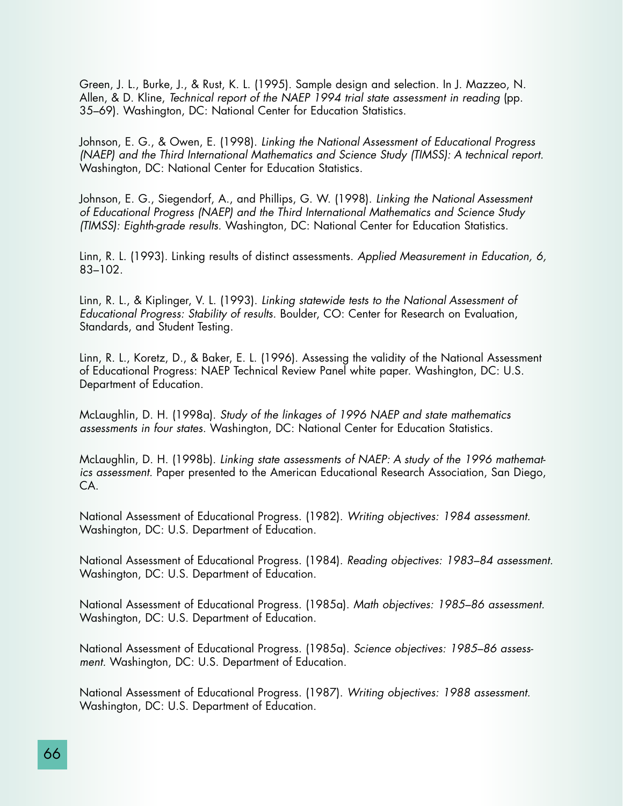Green, J. L., Burke, J., & Rust, K. L. (1995). Sample design and selection. In J. Mazzeo, N. Allen, & D. Kline, *Technical report of the NAEP 1994 trial state assessment in reading* (pp. 35–69). Washington, DC: National Center for Education Statistics.

Johnson, E. G., & Owen, E. (1998). *Linking the National Assessment of Educational Progress (NAEP) and the Third International Mathematics and Science Study (TIMSS): A technical report.* Washington, DC: National Center for Education Statistics.

Johnson, E. G., Siegendorf, A., and Phillips, G. W. (1998). *Linking the National Assessment of Educational Progress (NAEP) and the Third International Mathematics and Science Study (TIMSS): Eighth-grade results.* Washington, DC: National Center for Education Statistics.

Linn, R. L. (1993). Linking results of distinct assessments. *Applied Measurement in Education, 6,* 83–102.

Linn, R. L., & Kiplinger, V. L. (1993). *Linking statewide tests to the National Assessment of Educational Progress: Stability of results.* Boulder, CO: Center for Research on Evaluation, Standards, and Student Testing.

Linn, R. L., Koretz, D., & Baker, E. L. (1996). Assessing the validity of the National Assessment of Educational Progress: NAEP Technical Review Panel white paper. Washington, DC: U.S. Department of Education.

McLaughlin, D. H. (1998a). *Study of the linkages of 1996 NAEP and state mathematics assessments in four states.* Washington, DC: National Center for Education Statistics.

McLaughlin, D. H. (1998b). *Linking state assessments of NAEP: A study of the 1996 mathematics assessment.* Paper presented to the American Educational Research Association, San Diego, CA.

National Assessment of Educational Progress. (1982). *Writing objectives: 1984 assessment.* Washington, DC: U.S. Department of Education.

National Assessment of Educational Progress. (1984). *Reading objectives: 1983–84 assessment.* Washington, DC: U.S. Department of Education.

National Assessment of Educational Progress. (1985a). *Math objectives: 1985–86 assessment.* Washington, DC: U.S. Department of Education.

National Assessment of Educational Progress. (1985a). *Science objectives: 1985–86 assessment.* Washington, DC: U.S. Department of Education.

National Assessment of Educational Progress. (1987). *Writing objectives: 1988 assessment.* Washington, DC: U.S. Department of Education.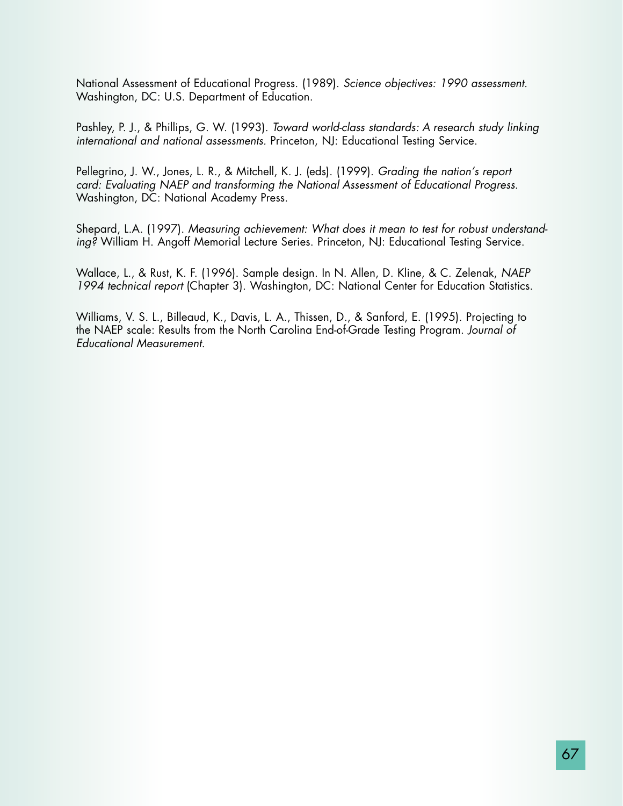National Assessment of Educational Progress. (1989). *Science objectives: 1990 assessment.* Washington, DC: U.S. Department of Education.

Pashley, P. J., & Phillips, G. W. (1993). *Toward world-class standards: A research study linking international and national assessments.* Princeton, NJ: Educational Testing Service.

Pellegrino, J. W., Jones, L. R., & Mitchell, K. J. (eds). (1999). *Grading the nation's report card: Evaluating NAEP and transforming the National Assessment of Educational Progress.* Washington, DC: National Academy Press.

Shepard, L.A. (1997). *Measuring achievement: What does it mean to test for robust understanding?* William H. Angoff Memorial Lecture Series. Princeton, NJ: Educational Testing Service.

Wallace, L., & Rust, K. F. (1996). Sample design. In N. Allen, D. Kline, & C. Zelenak, *NAEP 1994 technical report* (Chapter 3). Washington, DC: National Center for Education Statistics.

Williams, V. S. L., Billeaud, K., Davis, L. A., Thissen, D., & Sanford, E. (1995). Projecting to the NAEP scale: Results from the North Carolina End-of-Grade Testing Program. *Journal of Educational Measurement.*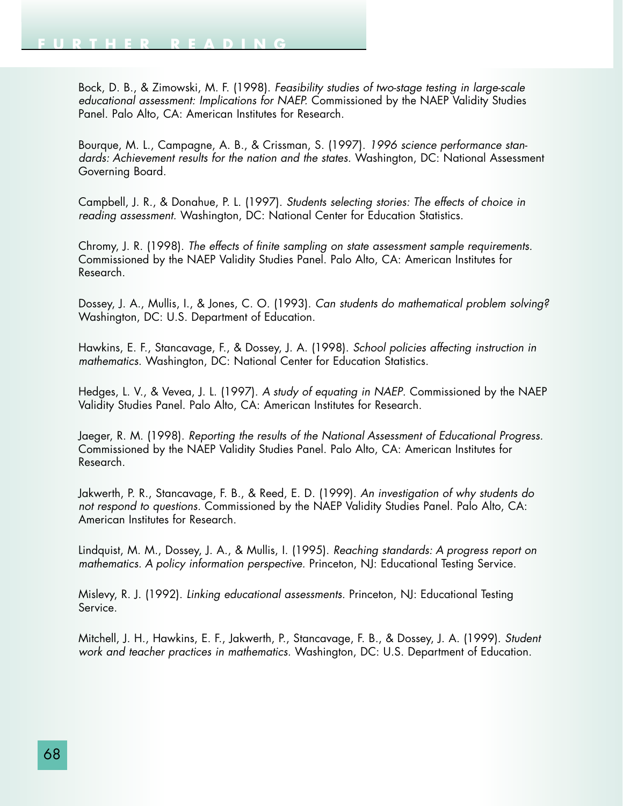Bock, D. B., & Zimowski, M. F. (1998). *Feasibility studies of two-stage testing in large-scale educational assessment: Implications for NAEP.* Commissioned by the NAEP Validity Studies Panel. Palo Alto, CA: American Institutes for Research.

Bourque, M. L., Campagne, A. B., & Crissman, S. (1997). *1996 science performance standards: Achievement results for the nation and the states.* Washington, DC: National Assessment Governing Board.

Campbell, J. R., & Donahue, P. L. (1997). *Students selecting stories: The effects of choice in reading assessment.* Washington, DC: National Center for Education Statistics.

Chromy, J. R. (1998). *The effects of finite sampling on state assessment sample requirements.* Commissioned by the NAEP Validity Studies Panel. Palo Alto, CA: American Institutes for Research.

Dossey, J. A., Mullis, I., & Jones, C. O. (1993). *Can students do mathematical problem solving?* Washington, DC: U.S. Department of Education.

Hawkins, E. F., Stancavage, F., & Dossey, J. A. (1998). *School policies affecting instruction in mathematics.* Washington, DC: National Center for Education Statistics.

Hedges, L. V., & Vevea, J. L. (1997). *A study of equating in NAEP*. Commissioned by the NAEP Validity Studies Panel. Palo Alto, CA: American Institutes for Research.

Jaeger, R. M. (1998). *Reporting the results of the National Assessment of Educational Progress.* Commissioned by the NAEP Validity Studies Panel. Palo Alto, CA: American Institutes for Research.

Jakwerth, P. R., Stancavage, F. B., & Reed, E. D. (1999). *An investigation of why students do not respond to questions.* Commissioned by the NAEP Validity Studies Panel. Palo Alto, CA: American Institutes for Research.

Lindquist, M. M., Dossey, J. A., & Mullis, I. (1995). *Reaching standards: A progress report on mathematics. A policy information perspective.* Princeton, NJ: Educational Testing Service.

Mislevy, R. J. (1992). *Linking educational assessments.* Princeton, NJ: Educational Testing Service.

Mitchell, J. H., Hawkins, E. F., Jakwerth, P., Stancavage, F. B., & Dossey, J. A. (1999). *Student work and teacher practices in mathematics.* Washington, DC: U.S. Department of Education.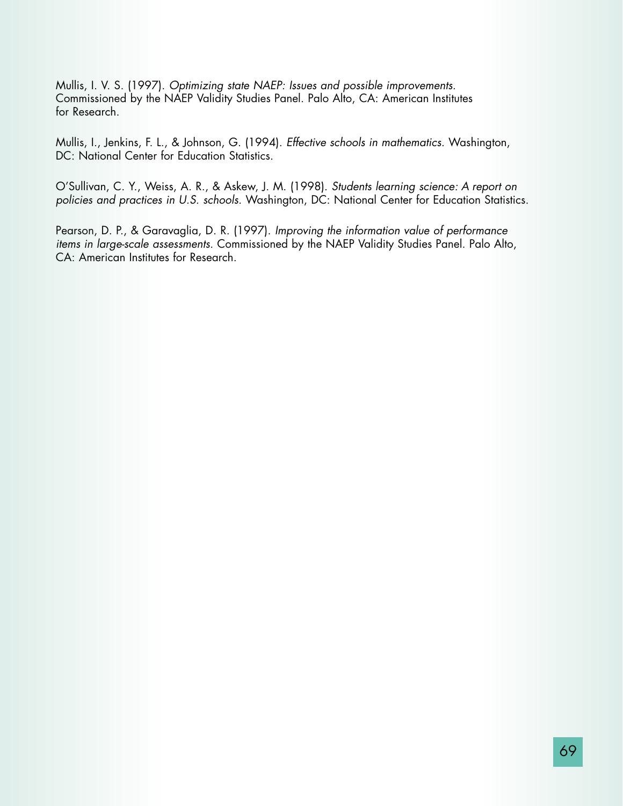Mullis, I. V. S. (1997). *Optimizing state NAEP: Issues and possible improvements.* Commissioned by the NAEP Validity Studies Panel. Palo Alto, CA: American Institutes for Research.

Mullis, I., Jenkins, F. L., & Johnson, G. (1994). *Effective schools in mathematics.* Washington, DC: National Center for Education Statistics.

O'Sullivan, C. Y., Weiss, A. R., & Askew, J. M. (1998). *Students learning science: A report on* policies and practices in U.S. schools. Washington, DC: National Center for Education Statistics.

Pearson, D. P., & Garavaglia, D. R. (1997). *Improving the information value of performance items in large-scale assessments.* Commissioned by the NAEP Validity Studies Panel. Palo Alto, CA: American Institutes for Research.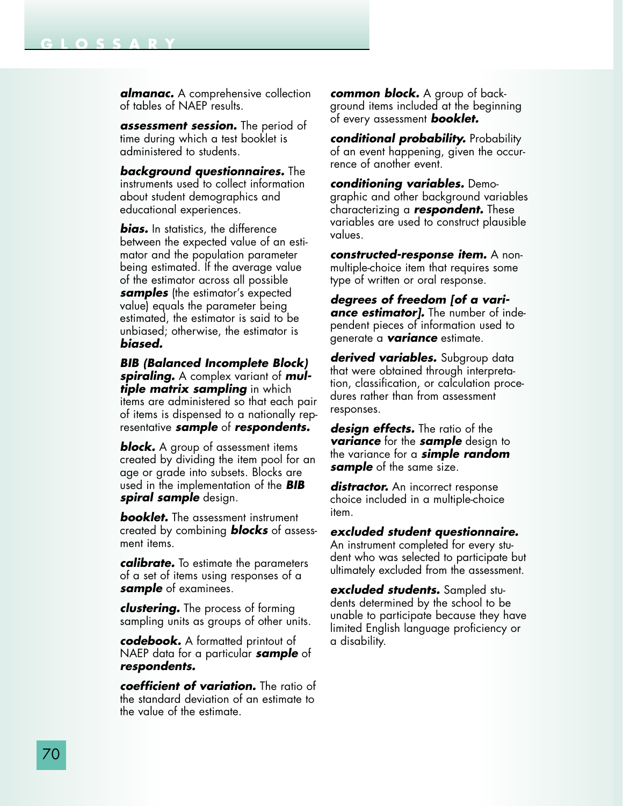**GLOSSARY**

*assessment session.* The period of time during which a test booklet is administered to students.

*background questionnaires.* The instruments used to collect information about student demographics and educational experiences.

*bias.* In statistics, the difference between the expected value of an estimator and the population parameter being estimated. If the average value of the estimator across all possible *samples* (the estimator's expected value) equals the parameter being estimated, the estimator is said to be unbiased; otherwise, the estimator is *biased.*

*BIB (Balanced Incomplete Block) spiraling.* A complex variant of *multiple matrix sampling* in which items are administered so that each pair of items is dispensed to a nationally representative *sample* of *respondents.*

*block.* A group of assessment items created by dividing the item pool for an age or grade into subsets. Blocks are used in the implementation of the *BIB spiral sample* design.

*booklet.* The assessment instrument created by combining *blocks* of assessment items.

*calibrate.* To estimate the parameters of a set of items using responses of a *sample* of examinees.

*clustering.* The process of forming sampling units as groups of other units.

*codebook.* A formatted printout of NAEP data for a particular *sample* of *respondents.*

*coefficient of variation.* The ratio of the standard deviation of an estimate to the value of the estimate.

*common block.* A group of background items included at the beginning of every assessment *booklet.*

*conditional probability.* Probability of an event happening, given the occurrence of another event.

*conditioning variables.* Demographic and other background variables characterizing a *respondent.* These variables are used to construct plausible values.

*constructed-response item.* A nonmultiple-choice item that requires some type of written or oral response.

*degrees of freedom [of a variance estimator].* The number of independent pieces of information used to generate a *variance* estimate.

*derived variables.* Subgroup data that were obtained through interpretation, classification, or calculation procedures rather than from assessment responses.

*design effects.* The ratio of the *variance* for the *sample* design to the variance for a *simple random sample* of the same size.

distractor. An incorrect response choice included in a multiple-choice item.

*excluded student questionnaire.* An instrument completed for every student who was selected to participate but ultimately excluded from the assessment.

*excluded students.* Sampled students determined by the school to be unable to participate because they have limited English language proficiency or a disability.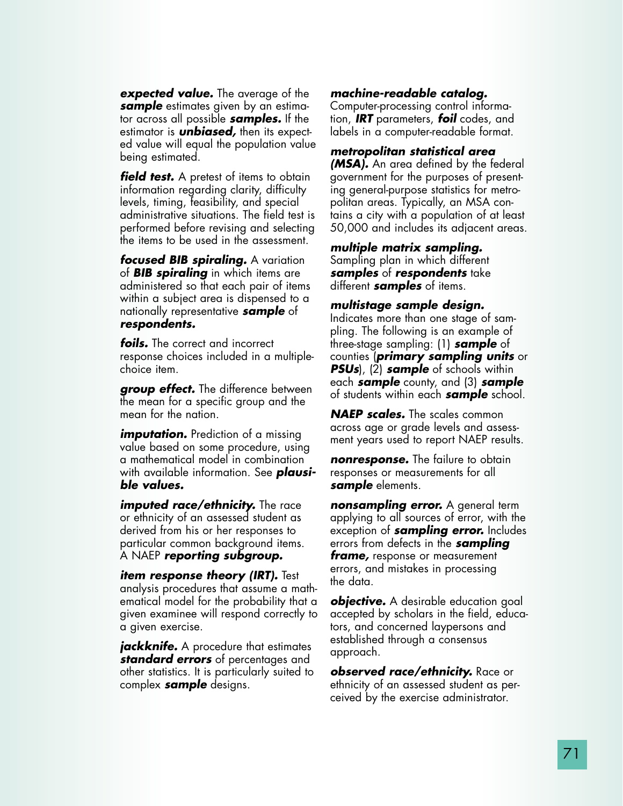*expected value.* The average of the *sample* estimates given by an estimator across all possible *samples.* If the estimator is *unbiased,* then its expected value will equal the population value being estimated.

*field test.* A pretest of items to obtain information regarding clarity, difficulty levels, timing, feasibility, and special administrative situations. The field test is performed before revising and selecting the items to be used in the assessment.

*focused BIB spiraling.* A variation of *BIB spiraling* in which items are administered so that each pair of items within a subject area is dispensed to a nationally representative *sample* of *respondents.*

*foils.* The correct and incorrect response choices included in a multiplechoice item.

*group effect.* The difference between the mean for a specific group and the mean for the nation.

*imputation.* Prediction of a missing value based on some procedure, using a mathematical model in combination with available information. See *plausible values.*

*imputed race/ethnicity.* The race or ethnicity of an assessed student as derived from his or her responses to particular common background items. A NAEP *reporting subgroup.*

*item response theory (IRT).* Test analysis procedures that assume a mathematical model for the probability that a given examinee will respond correctly to a given exercise.

*jackknife.* A procedure that estimates *standard errors* of percentages and other statistics. It is particularly suited to complex *sample* designs.

### *machine-readable catalog.*

Computer-processing control information, *IRT* parameters, *foil* codes, and labels in a computer-readable format.

#### *metropolitan statistical area*

*(MSA).* An area defined by the federal government for the purposes of presenting general-purpose statistics for metropolitan areas. Typically, an MSA contains a city with a population of at least 50,000 and includes its adjacent areas.

*multiple matrix sampling.* Sampling plan in which different *samples* of *respondents* take different *samples* of items.

#### *multistage sample design.*

Indicates more than one stage of sampling. The following is an example of three-stage sampling: (1) *sample* of counties (*primary sampling units* or *PSUs*), (2) *sample* of schools within each *sample* county, and (3) *sample* of students within each *sample* school.

*NAEP scales.* The scales common across age or grade levels and assessment years used to report NAEP results.

*nonresponse.* The failure to obtain responses or measurements for all *sample* elements.

*nonsampling error.* A general term applying to all sources of error, with the exception of *sampling error.* Includes errors from defects in the *sampling frame,* response or measurement errors, and mistakes in processing the data.

*objective.* A desirable education goal accepted by scholars in the field, educators, and concerned laypersons and established through a consensus approach.

*observed race/ethnicity.* Race or ethnicity of an assessed student as perceived by the exercise administrator.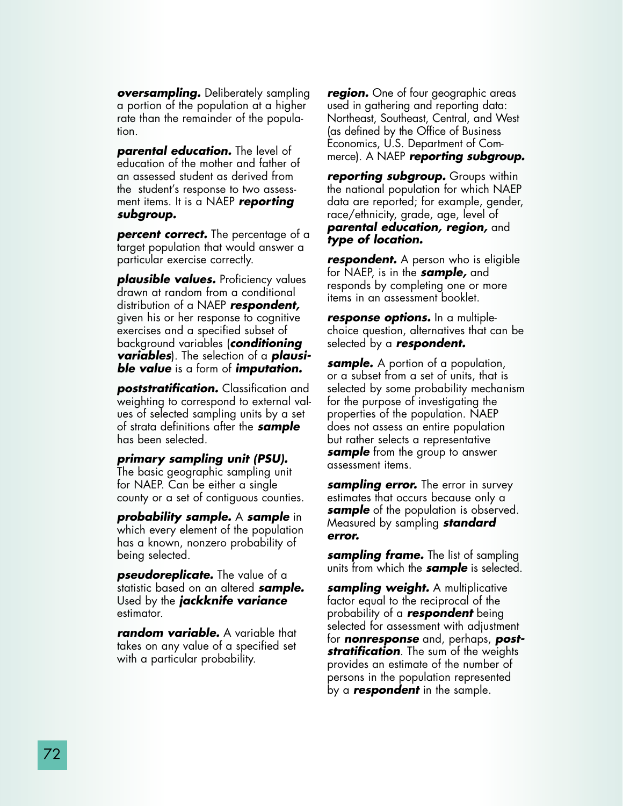*oversampling.* Deliberately sampling a portion of the population at a higher rate than the remainder of the population.

*parental education.* The level of education of the mother and father of an assessed student as derived from the student's response to two assessment items. It is a NAEP *reporting subgroup.*

**percent correct.** The percentage of a target population that would answer a particular exercise correctly.

*plausible values.* Proficiency values drawn at random from a conditional distribution of a NAEP *respondent,* given his or her response to cognitive exercises and a specified subset of background variables (*conditioning variables*). The selection of a *plausible value* is a form of *imputation.*

*poststratification.* Classification and weighting to correspond to external values of selected sampling units by a set of strata definitions after the *sample* has been selected.

#### *primary sampling unit (PSU).*

The basic geographic sampling unit for NAEP. Can be either a single county or a set of contiguous counties.

*probability sample.* A *sample* in which every element of the population has a known, nonzero probability of being selected.

*pseudoreplicate.* The value of a statistic based on an altered *sample.* Used by the *jackknife variance* estimator.

*random variable.* A variable that takes on any value of a specified set with a particular probability.

*region.* One of four geographic areas used in gathering and reporting data: Northeast, Southeast, Central, and West (as defined by the Office of Business Economics, U.S. Department of Commerce). A NAEP *reporting subgroup.*

*reporting subgroup.* Groups within the national population for which NAEP data are reported; for example, gender, race/ethnicity, grade, age, level of *parental education, region,* and *type of location.*

*respondent.* A person who is eligible for NAEP, is in the *sample,* and responds by completing one or more items in an assessment booklet.

*response options.* In a multiplechoice question, alternatives that can be selected by a *respondent.*

*sample.* A portion of a population, or a subset from a set of units, that is selected by some probability mechanism for the purpose of investigating the properties of the population. NAEP does not assess an entire population but rather selects a representative *sample* from the group to answer assessment items.

*sampling error.* The error in survey estimates that occurs because only a *sample* of the population is observed. Measured by sampling *standard error.*

*sampling frame.* The list of sampling units from which the *sample* is selected.

*sampling weight.* A multiplicative factor equal to the reciprocal of the probability of a *respondent* being selected for assessment with adjustment for *nonresponse* and, perhaps, *poststratification*. The sum of the weights provides an estimate of the number of persons in the population represented by a *respondent* in the sample.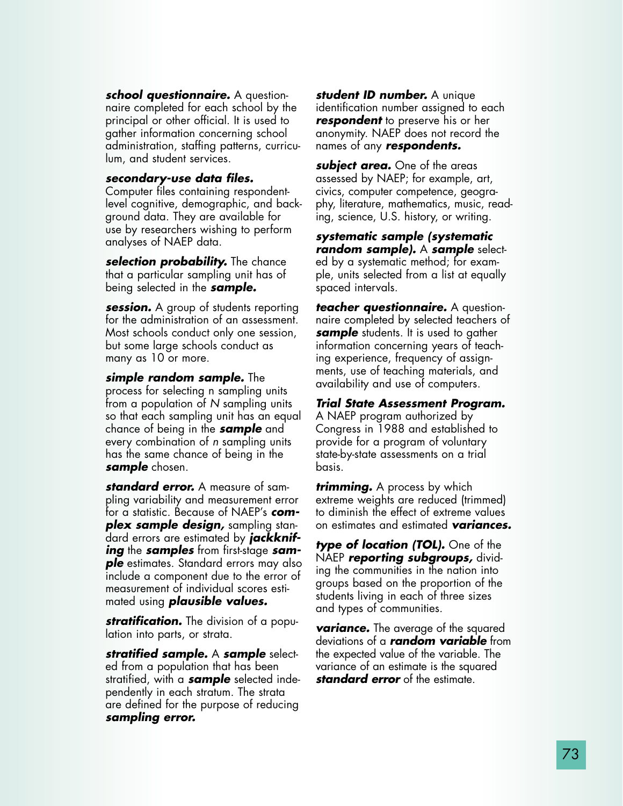*school questionnaire.* A questionnaire completed for each school by the principal or other official. It is used to gather information concerning school administration, staffing patterns, curriculum, and student services.

#### *secondary-use data files.*

Computer files containing respondentlevel cognitive, demographic, and background data. They are available for use by researchers wishing to perform analyses of NAEP data.

*selection probability.* The chance that a particular sampling unit has of being selected in the *sample.*

*session.* A group of students reporting for the administration of an assessment. Most schools conduct only one session, but some large schools conduct as many as 10 or more.

*simple random sample.* The process for selecting n sampling units from a population of *N* sampling units so that each sampling unit has an equal chance of being in the *sample* and every combination of *n* sampling units has the same chance of being in the *sample* chosen.

*standard error.* A measure of sampling variability and measurement error for a statistic. Because of NAEP's *complex sample design,* sampling standard errors are estimated by *jackknifing* the *samples* from first-stage *sample* estimates. Standard errors may also include a component due to the error of measurement of individual scores estimated using *plausible values.*

*stratification.* The division of a population into parts, or strata.

*stratified sample.* A *sample* selected from a population that has been stratified, with a *sample* selected independently in each stratum. The strata are defined for the purpose of reducing *sampling error.*

*student ID number.* A unique identification number assigned to each *respondent* to preserve his or her anonymity. NAEP does not record the names of any *respondents.*

*subject area.* One of the areas assessed by NAEP; for example, art, civics, computer competence, geography, literature, mathematics, music, reading, science, U.S. history, or writing.

*systematic sample (systematic random sample).* A *sample* selected by a systematic method; for example, units selected from a list at equally spaced intervals.

*teacher questionnaire.* A questionnaire completed by selected teachers of **sample** students. It is used to gather information concerning years of teaching experience, frequency of assignments, use of teaching materials, and availability and use of computers.

*Trial State Assessment Program.* A NAEP program authorized by Congress in 1988 and established to provide for a program of voluntary state-by-state assessments on a trial basis.

*trimming.* A process by which extreme weights are reduced (trimmed) to diminish the effect of extreme values on estimates and estimated *variances.*

*type of location (TOL).* One of the NAEP *reporting subgroups,* dividing the communities in the nation into groups based on the proportion of the students living in each of three sizes and types of communities.

*variance.* The average of the squared deviations of a *random variable* from the expected value of the variable. The variance of an estimate is the squared *standard error* of the estimate.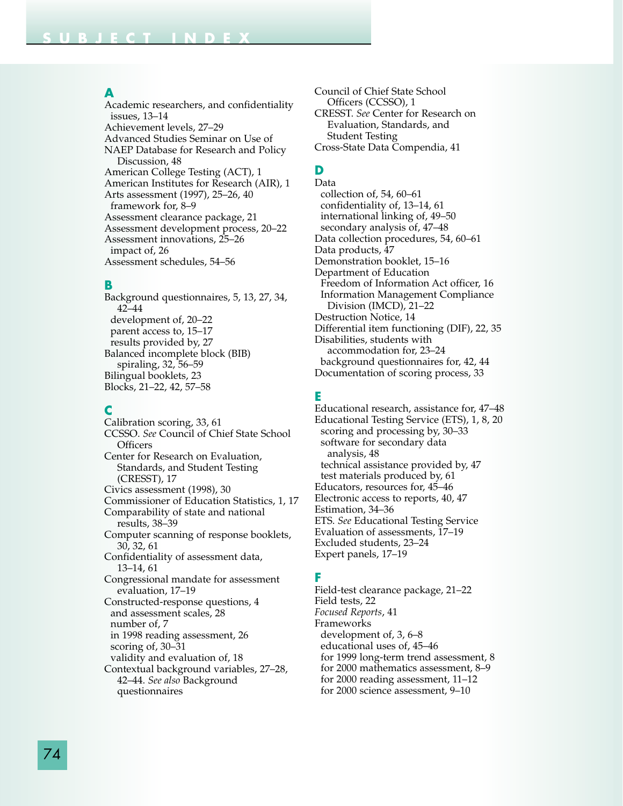#### **A**

Academic researchers, and confidentiality issues, 13–14 Achievement levels, 27–29 Advanced Studies Seminar on Use of NAEP Database for Research and Policy Discussion, 48 American College Testing (ACT), 1 American Institutes for Research (AIR), 1 Arts assessment (1997), 25–26, 40 framework for, 8–9 Assessment clearance package, 21 Assessment development process, 20–22 Assessment innovations, 25–26 impact of, 26 Assessment schedules, 54–56

#### **B**

Background questionnaires, 5, 13, 27, 34, 42–44 development of, 20–22 parent access to, 15–17 results provided by, 27 Balanced incomplete block (BIB) spiraling, 32, 56–59 Bilingual booklets, 23 Blocks, 21–22, 42, 57–58

### **C**

Calibration scoring, 33, 61 CCSSO. *See* Council of Chief State School Officers Center for Research on Evaluation, Standards, and Student Testing (CRESST), 17 Civics assessment (1998), 30 Commissioner of Education Statistics, 1, 17 Comparability of state and national results, 38–39 Computer scanning of response booklets, 30, 32, 61 Confidentiality of assessment data, 13–14, 61 Congressional mandate for assessment evaluation, 17–19 Constructed-response questions, 4 and assessment scales, 28 number of, 7 in 1998 reading assessment, 26 scoring of, 30–31 validity and evaluation of, 18 Contextual background variables, 27–28, 42–44. *See also* Background questionnaires

Council of Chief State School Officers (CCSSO), 1 CRESST. *See* Center for Research on Evaluation, Standards, and Student Testing Cross-State Data Compendia, 41

## **D**

Data collection of, 54, 60–61 confidentiality of, 13–14, 61 international linking of, 49–50 secondary analysis of, 47–48 Data collection procedures, 54, 60–61 Data products, 47 Demonstration booklet, 15–16 Department of Education Freedom of Information Act officer, 16 Information Management Compliance Division (IMCD), 21–22 Destruction Notice, 14 Differential item functioning (DIF), 22, 35 Disabilities, students with accommodation for, 23–24 background questionnaires for, 42, 44 Documentation of scoring process, 33

### **E**

Educational research, assistance for, 47–48 Educational Testing Service (ETS), 1, 8, 20 scoring and processing by, 30–33 software for secondary data analysis, 48 technical assistance provided by, 47 test materials produced by, 61 Educators, resources for, 45–46 Electronic access to reports, 40, 47 Estimation, 34–36 ETS. *See* Educational Testing Service Evaluation of assessments, 17–19 Excluded students, 23–24 Expert panels, 17–19

### **F**

Field-test clearance package, 21–22 Field tests, 22 *Focused Reports*, 41 Frameworks development of, 3, 6–8 educational uses of, 45–46 for 1999 long-term trend assessment, 8 for 2000 mathematics assessment, 8–9 for 2000 reading assessment, 11–12 for 2000 science assessment, 9–10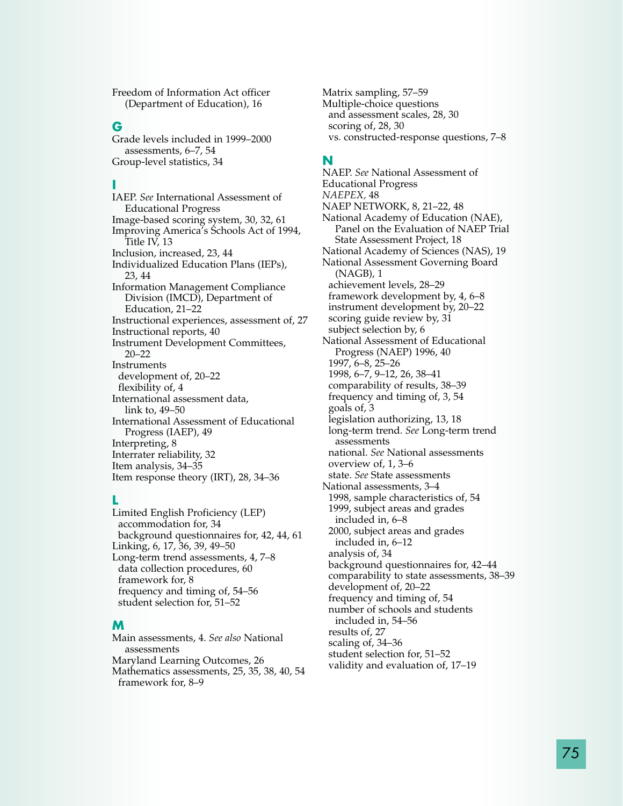Freedom of Information Act officer (Department of Education), 16

#### **G**

Grade levels included in 1999–2000 assessments, 6–7, 54 Group-level statistics, 34

#### **I**

IAEP. *See* International Assessment of Educational Progress Image-based scoring system, 30, 32, 61 Improving America's Schools Act of 1994, Title IV, 13 Inclusion, increased, 23, 44 Individualized Education Plans (IEPs), 23, 44 Information Management Compliance Division (IMCD), Department of Education, 21–22 Instructional experiences, assessment of, 27 Instructional reports, 40 Instrument Development Committees, 20–22 Instruments development of, 20–22 flexibility of, 4 International assessment data, link to, 49–50 International Assessment of Educational Progress (IAEP), 49 Interpreting, 8 Interrater reliability, 32 Item analysis, 34–35 Item response theory (IRT), 28, 34–36

#### **L**

Limited English Proficiency (LEP) accommodation for, 34 background questionnaires for, 42, 44, 61 Linking, 6, 17, 36, 39, 49–50 Long-term trend assessments, 4, 7–8 data collection procedures, 60 framework for, 8 frequency and timing of, 54–56 student selection for, 51–52

#### **M**

Main assessments, 4. *See also* National assessments Maryland Learning Outcomes, 26 Mathematics assessments, 25, 35, 38, 40, 54 framework for, 8–9

Matrix sampling, 57–59 Multiple-choice questions and assessment scales, 28, 30 scoring of, 28, 30 vs. constructed-response questions, 7–8

#### **N**

NAEP. *See* National Assessment of Educational Progress *NAEPEX,* 48 NAEP NETWORK, 8, 21–22, 48 National Academy of Education (NAE), Panel on the Evaluation of NAEP Trial State Assessment Project, 18 National Academy of Sciences (NAS), 19 National Assessment Governing Board (NAGB), 1 achievement levels, 28–29 framework development by, 4, 6–8 instrument development by, 20–22 scoring guide review by, 31 subject selection by, 6 National Assessment of Educational Progress (NAEP) 1996, 40 1997, 6–8, 25–26 1998, 6–7, 9–12, 26, 38–41 comparability of results, 38–39 frequency and timing of, 3, 54 goals of, 3 legislation authorizing, 13, 18 long-term trend. *See* Long-term trend assessments national. *See* National assessments overview of, 1, 3–6 state. *See* State assessments National assessments, 3–4 1998, sample characteristics of, 54 1999, subject areas and grades included in, 6–8 2000, subject areas and grades included in, 6–12 analysis of, 34 background questionnaires for, 42–44 comparability to state assessments, 38–39 development of, 20–22 frequency and timing of, 54 number of schools and students included in, 54–56 results of, 27 scaling of, 34–36 student selection for, 51–52 validity and evaluation of, 17–19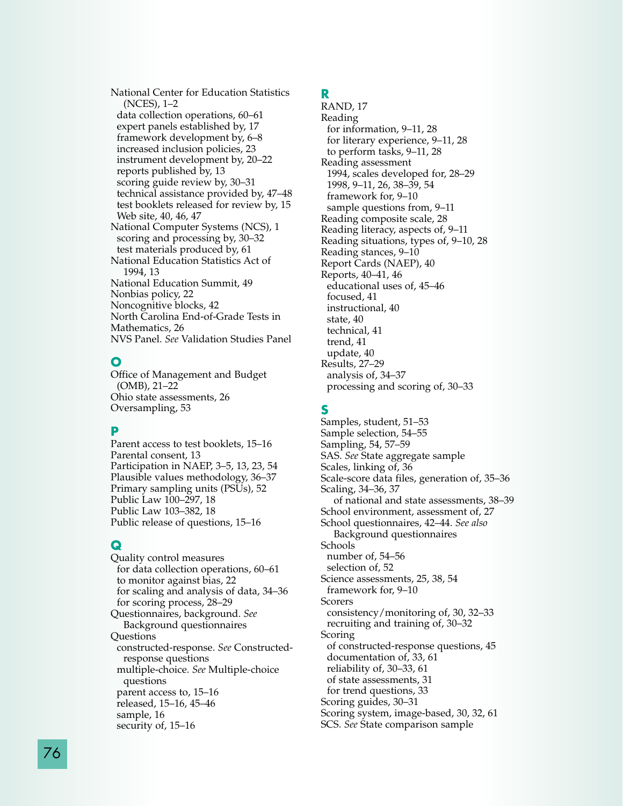National Center for Education Statistics (NCES), 1–2 data collection operations, 60–61 expert panels established by, 17 framework development by, 6–8 increased inclusion policies, 23 instrument development by, 20–22 reports published by, 13 scoring guide review by, 30–31 technical assistance provided by, 47–48 test booklets released for review by, 15 Web site, 40, 46, 47 National Computer Systems (NCS), 1 scoring and processing by, 30–32 test materials produced by, 61 National Education Statistics Act of 1994, 13 National Education Summit, 49 Nonbias policy, 22 Noncognitive blocks, 42 North Carolina End-of-Grade Tests in Mathematics, 26 NVS Panel. *See* Validation Studies Panel

### **O**

Office of Management and Budget (OMB), 21–22 Ohio state assessments, 26 Oversampling, 53

## **P**

Parent access to test booklets, 15–16 Parental consent, 13 Participation in NAEP, 3–5, 13, 23, 54 Plausible values methodology, 36–37 Primary sampling units (PSUs), 52 Public Law 100–297, 18 Public Law 103–382, 18 Public release of questions, 15–16

## **Q**

Quality control measures for data collection operations, 60–61 to monitor against bias, 22 for scaling and analysis of data, 34–36 for scoring process, 28–29 Questionnaires, background. *See* Background questionnaires **Questions** constructed-response. *See* Constructedresponse questions multiple-choice. *See* Multiple-choice questions parent access to, 15–16 released, 15–16, 45–46 sample, 16 security of, 15–16

## **R**

RAND, 17 Reading for information, 9–11, 28 for literary experience, 9–11, 28 to perform tasks, 9–11, 28 Reading assessment 1994, scales developed for, 28–29 1998, 9–11, 26, 38–39, 54 framework for, 9–10 sample questions from, 9–11 Reading composite scale, 28 Reading literacy, aspects of, 9–11 Reading situations, types of, 9–10, 28 Reading stances, 9–10 Report Cards (NAEP), 40 Reports, 40–41, 46 educational uses of, 45–46 focused, 41 instructional, 40 state, 40 technical, 41 trend, 41 update, 40 Results, 27–29 analysis of, 34–37 processing and scoring of, 30–33

## **S**

Samples, student, 51–53 Sample selection, 54–55 Sampling, 54, 57–59 SAS. *See* State aggregate sample Scales, linking of, 36 Scale-score data files, generation of, 35–36 Scaling, 34–36, 37 of national and state assessments, 38–39 School environment, assessment of, 27 School questionnaires, 42–44. *See also* Background questionnaires Schools number of, 54–56 selection of, 52 Science assessments, 25, 38, 54 framework for, 9–10 Scorers consistency/monitoring of, 30, 32–33 recruiting and training of, 30–32 Scoring of constructed-response questions, 45 documentation of, 33, 61 reliability of, 30–33, 61 of state assessments, 31 for trend questions, 33 Scoring guides, 30–31 Scoring system, image-based, 30, 32, 61 SCS. *See* State comparison sample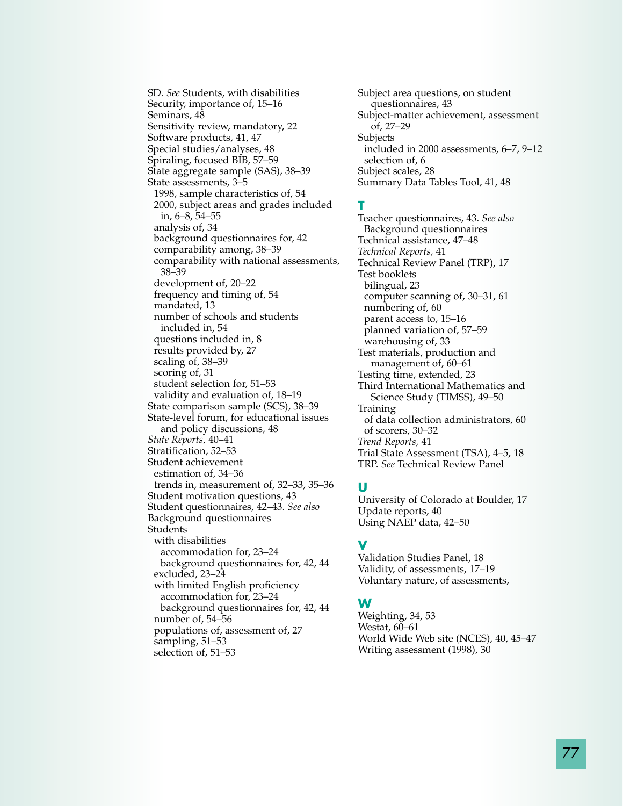SD. *See* Students, with disabilities Security, importance of, 15–16 Seminars, 48 Sensitivity review, mandatory, 22 Software products, 41, 47 Special studies/analyses, 48 Spiraling, focused BIB, 57–59 State aggregate sample (SAS), 38–39 State assessments, 3–5 1998, sample characteristics of, 54 2000, subject areas and grades included in, 6–8, 54–55 analysis of, 34 background questionnaires for, 42 comparability among, 38–39 comparability with national assessments, 38–39 development of, 20–22 frequency and timing of, 54 mandated, 13 number of schools and students included in, 54 questions included in, 8 results provided by, 27 scaling of, 38–39 scoring of, 31 student selection for, 51–53 validity and evaluation of, 18–19 State comparison sample (SCS), 38–39 State-level forum, for educational issues and policy discussions, 48 *State Reports,* 40–41 Stratification, 52–53 Student achievement estimation of, 34–36 trends in, measurement of, 32–33, 35–36 Student motivation questions, 43 Student questionnaires, 42–43. *See also* Background questionnaires Students with disabilities accommodation for, 23–24 background questionnaires for, 42, 44 excluded, 23–24 with limited English proficiency accommodation for, 23–24 background questionnaires for, 42, 44 number of, 54–56 populations of, assessment of, 27 sampling, 51–53

selection of, 51–53

Subject area questions, on student questionnaires, 43 Subject-matter achievement, assessment of, 27–29 Subjects included in 2000 assessments, 6–7, 9–12 selection of, 6 Subject scales, 28 Summary Data Tables Tool, 41, 48

#### **T**

Teacher questionnaires, 43. *See also* Background questionnaires Technical assistance, 47–48 *Technical Reports,* 41 Technical Review Panel (TRP), 17 Test booklets bilingual, 23 computer scanning of, 30–31, 61 numbering of, 60 parent access to, 15–16 planned variation of, 57–59 warehousing of, 33 Test materials, production and management of, 60–61 Testing time, extended, 23 Third International Mathematics and Science Study (TIMSS), 49–50 Training of data collection administrators, 60 of scorers, 30–32 *Trend Reports,* 41 Trial State Assessment (TSA), 4–5, 18 TRP. *See* Technical Review Panel

## **U**

University of Colorado at Boulder, 17 Update reports, 40 Using NAEP data, 42–50

## **V**

Validation Studies Panel, 18 Validity, of assessments, 17–19 Voluntary nature, of assessments,

### **W**

Weighting, 34, 53 Westat, 60–61 World Wide Web site (NCES), 40, 45–47 Writing assessment (1998), 30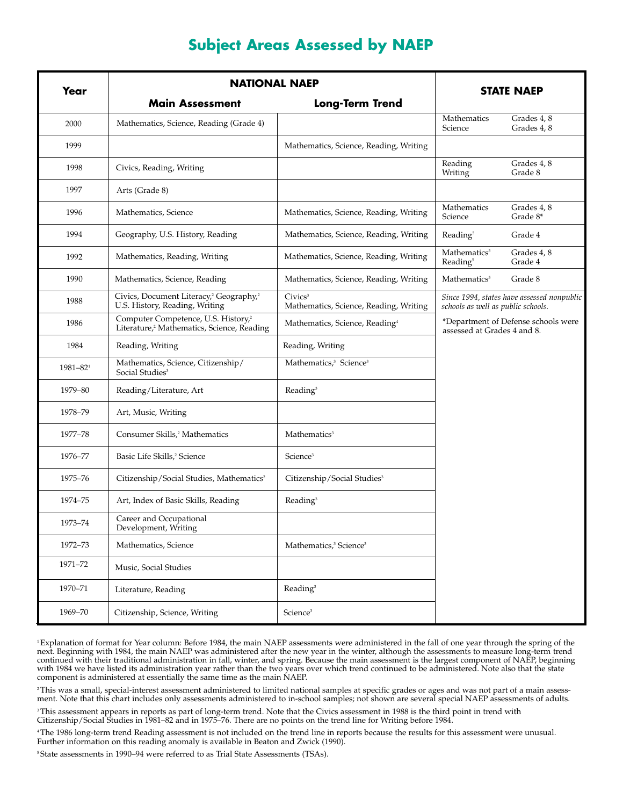| Year     | <b>NATIONAL NAEP</b>                                                                                      |                                                               | <b>STATE NAEP</b>                                |                                            |
|----------|-----------------------------------------------------------------------------------------------------------|---------------------------------------------------------------|--------------------------------------------------|--------------------------------------------|
|          | <b>Main Assessment</b>                                                                                    | <b>Long-Term Trend</b>                                        |                                                  |                                            |
| 2000     | Mathematics, Science, Reading (Grade 4)                                                                   |                                                               | Mathematics<br>Science                           | Grades 4, 8<br>Grades 4, 8                 |
| 1999     |                                                                                                           | Mathematics, Science, Reading, Writing                        |                                                  |                                            |
| 1998     | Civics, Reading, Writing                                                                                  |                                                               | Reading<br>Writing                               | Grades 4, 8<br>Grade 8                     |
| 1997     | Arts (Grade 8)                                                                                            |                                                               |                                                  |                                            |
| 1996     | Mathematics, Science                                                                                      | Mathematics, Science, Reading, Writing                        | Mathematics<br>Science                           | Grades 4, 8<br>Grade 8*                    |
| 1994     | Geography, U.S. History, Reading                                                                          | Mathematics, Science, Reading, Writing                        | Reading <sup>5</sup>                             | Grade 4                                    |
| 1992     | Mathematics, Reading, Writing                                                                             | Mathematics, Science, Reading, Writing                        | Mathematics <sup>5</sup><br>Reading <sup>5</sup> | Grades 4, 8<br>Grade 4                     |
| 1990     | Mathematics, Science, Reading                                                                             | Mathematics, Science, Reading, Writing                        | Mathematics <sup>5</sup>                         | Grade 8                                    |
| 1988     | Civics, Document Literacy, <sup>2</sup> Geography, <sup>2</sup><br>U.S. History, Reading, Writing         | Civics <sup>3</sup><br>Mathematics, Science, Reading, Writing | schools as well as public schools.               | Since 1994, states have assessed nonpublic |
| 1986     | Computer Competence, U.S. History, <sup>2</sup><br>Literature, <sup>2</sup> Mathematics, Science, Reading | Mathematics, Science, Reading <sup>4</sup>                    | assessed at Grades 4 and 8.                      | *Department of Defense schools were        |
| 1984     | Reading, Writing                                                                                          | Reading, Writing                                              |                                                  |                                            |
| 1981-821 | Mathematics, Science, Citizenship/<br>Social Studies <sup>3</sup>                                         | Mathematics, <sup>3</sup> Science <sup>3</sup>                |                                                  |                                            |
| 1979-80  | Reading/Literature, Art                                                                                   | Reading <sup>3</sup>                                          |                                                  |                                            |
| 1978-79  | Art, Music, Writing                                                                                       |                                                               |                                                  |                                            |
| 1977-78  | Consumer Skills, <sup>2</sup> Mathematics                                                                 | Mathematics <sup>3</sup>                                      |                                                  |                                            |
| 1976-77  | Basic Life Skills, <sup>2</sup> Science                                                                   | Science <sup>3</sup>                                          |                                                  |                                            |
| 1975–76  | Citizenship/Social Studies, Mathematics <sup>2</sup>                                                      | Citizenship/Social Studies <sup>3</sup>                       |                                                  |                                            |
| 1974-75  | Art, Index of Basic Skills, Reading                                                                       | Reading <sup>3</sup>                                          |                                                  |                                            |
| 1973-74  | Career and Occupational<br>Development, Writing                                                           |                                                               |                                                  |                                            |
| 1972-73  | Mathematics, Science                                                                                      | Mathematics, <sup>3</sup> Science <sup>3</sup>                |                                                  |                                            |
| 1971-72  | Music, Social Studies                                                                                     |                                                               |                                                  |                                            |
| 1970-71  | Literature, Reading                                                                                       | Reading <sup>3</sup>                                          |                                                  |                                            |
| 1969-70  | Citizenship, Science, Writing                                                                             | Science <sup>3</sup>                                          |                                                  |                                            |

# **Subject Areas Assessed by NAEP**

<sup>1</sup>Explanation of format for Year column: Before 1984, the main NAEP assessments were administered in the fall of one year through the spring of the next. Beginning with 1984, the main NAEP was administered after the new year in the winter, although the assessments to measure long-term trend continued with their traditional administration in fall, winter, and spring. Because the main assessment is the largest component of NAEP, beginning with 1984 we have listed its administration year rather than the two years over which trend continued to be administered. Note also that the state component is administered at essentially the same time as the main NAEP.

<sup>2</sup>This was a small, special-interest assessment administered to limited national samples at specific grades or ages and was not part of a main assessment. Note that this chart includes only assessments administered to in-school samples; not shown are several special NAEP assessments of adults.

3 This assessment appears in reports as part of long-term trend. Note that the Civics assessment in 1988 is the third point in trend with Citizenship/Social Studies in 1981–82 and in 1975–76. There are no points on the trend line for Writing before 1984.

4 The 1986 long-term trend Reading assessment is not included on the trend line in reports because the results for this assessment were unusual. Further information on this reading anomaly is available in Beaton and Zwick (1990).

<sup>5</sup> State assessments in 1990–94 were referred to as Trial State Assessments (TSAs).